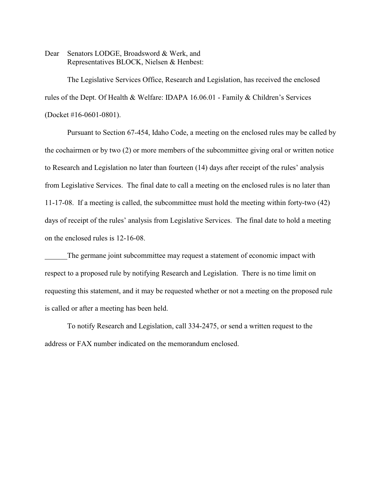Dear Senators LODGE, Broadsword & Werk, and Representatives BLOCK, Nielsen & Henbest:

The Legislative Services Office, Research and Legislation, has received the enclosed rules of the Dept. Of Health & Welfare: IDAPA 16.06.01 - Family & Children's Services (Docket #16-0601-0801).

Pursuant to Section 67-454, Idaho Code, a meeting on the enclosed rules may be called by the cochairmen or by two (2) or more members of the subcommittee giving oral or written notice to Research and Legislation no later than fourteen (14) days after receipt of the rules' analysis from Legislative Services. The final date to call a meeting on the enclosed rules is no later than 11-17-08. If a meeting is called, the subcommittee must hold the meeting within forty-two (42) days of receipt of the rules' analysis from Legislative Services. The final date to hold a meeting on the enclosed rules is 12-16-08.

The germane joint subcommittee may request a statement of economic impact with respect to a proposed rule by notifying Research and Legislation. There is no time limit on requesting this statement, and it may be requested whether or not a meeting on the proposed rule is called or after a meeting has been held.

To notify Research and Legislation, call 334-2475, or send a written request to the address or FAX number indicated on the memorandum enclosed.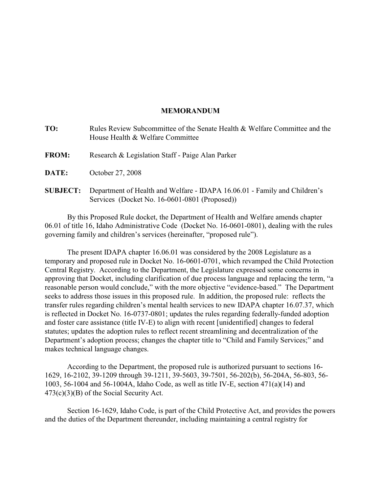# **MEMORANDUM**

| TO:             | Rules Review Subcommittee of the Senate Health & Welfare Committee and the<br>House Health & Welfare Committee             |
|-----------------|----------------------------------------------------------------------------------------------------------------------------|
| <b>FROM:</b>    | Research & Legislation Staff - Paige Alan Parker                                                                           |
| <b>DATE:</b>    | October 27, 2008                                                                                                           |
| <b>SUBJECT:</b> | Department of Health and Welfare - IDAPA 16.06.01 - Family and Children's<br>Services (Docket No. 16-0601-0801 (Proposed)) |

By this Proposed Rule docket, the Department of Health and Welfare amends chapter 06.01 of title 16, Idaho Administrative Code (Docket No. 16-0601-0801), dealing with the rules governing family and children's services (hereinafter, "proposed rule").

The present IDAPA chapter 16.06.01 was considered by the 2008 Legislature as a temporary and proposed rule in Docket No. 16-0601-0701, which revamped the Child Protection Central Registry. According to the Department, the Legislature expressed some concerns in approving that Docket, including clarification of due process language and replacing the term, "a reasonable person would conclude," with the more objective "evidence-based." The Department seeks to address those issues in this proposed rule. In addition, the proposed rule: reflects the transfer rules regarding children's mental health services to new IDAPA chapter 16.07.37, which is reflected in Docket No. 16-0737-0801; updates the rules regarding federally-funded adoption and foster care assistance (title IV-E) to align with recent [unidentified] changes to federal statutes; updates the adoption rules to reflect recent streamlining and decentralization of the Department's adoption process; changes the chapter title to "Child and Family Services;" and makes technical language changes.

According to the Department, the proposed rule is authorized pursuant to sections 16- 1629, 16-2102, 39-1209 through 39-1211, 39-5603, 39-7501, 56-202(b), 56-204A, 56-803, 56- 1003, 56-1004 and 56-1004A, Idaho Code, as well as title IV-E, section 471(a)(14) and 473(c)(3)(B) of the Social Security Act.

Section 16-1629, Idaho Code, is part of the Child Protective Act, and provides the powers and the duties of the Department thereunder, including maintaining a central registry for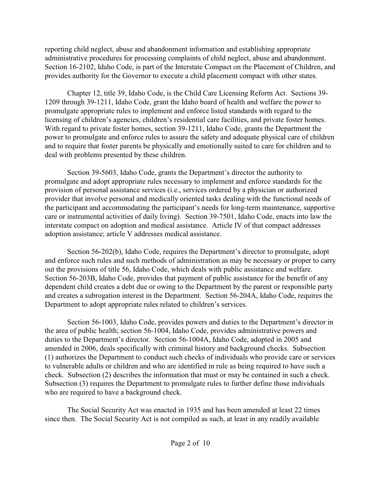reporting child neglect, abuse and abandonment information and establishing appropriate administrative procedures for processing complaints of child neglect, abuse and abandonment. Section 16-2102, Idaho Code, is part of the Interstate Compact on the Placement of Children, and provides authority for the Governor to execute a child placement compact with other states.

Chapter 12, title 39, Idaho Code, is the Child Care Licensing Reform Act. Sections 39- 1209 through 39-1211, Idaho Code, grant the Idaho board of health and welfare the power to promulgate appropriate rules to implement and enforce listed standards with regard to the licensing of children's agencies, children's residential care facilities, and private foster homes. With regard to private foster homes, section 39-1211, Idaho Code, grants the Department the power to promulgate and enforce rules to assure the safety and adequate physical care of children and to require that foster parents be physically and emotionally suited to care for children and to deal with problems presented by these children.

Section 39-5603, Idaho Code, grants the Department's director the authority to promulgate and adopt appropriate rules necessary to implement and enforce standards for the provision of personal assistance services (i.e., services ordered by a physician or authorized provider that involve personal and medically oriented tasks dealing with the functional needs of the participant and accommodating the participant's needs for long-term maintenance, supportive care or instrumental activities of daily living). Section 39-7501, Idaho Code, enacts into law the interstate compact on adoption and medical assistance. Article IV of that compact addresses adoption assistance; article V addresses medical assistance.

Section 56-202(b), Idaho Code, requires the Department's director to promulgate, adopt and enforce such rules and such methods of administration as may be necessary or proper to carry out the provisions of title 56, Idaho Code, which deals with public assistance and welfare. Section 56-203B, Idaho Code, provides that payment of public assistance for the benefit of any dependent child creates a debt due or owing to the Department by the parent or responsible party and creates a subrogation interest in the Department. Section 56-204A, Idaho Code, requires the Department to adopt appropriate rules related to children's services.

Section 56-1003, Idaho Code, provides powers and duties to the Department's director in the area of public health; section 56-1004, Idaho Code, provides administrative powers and duties to the Department's director. Section 56-1004A, Idaho Code, adopted in 2005 and amended in 2006, deals specifically with criminal history and background checks. Subsection (1) authorizes the Department to conduct such checks of individuals who provide care or services to vulnerable adults or children and who are identified in rule as being required to have such a check. Subsection (2) describes the information that must or may be contained in such a check. Subsection (3) requires the Department to promulgate rules to further define those individuals who are required to have a background check.

The Social Security Act was enacted in 1935 and has been amended at least 22 times since then. The Social Security Act is not compiled as such, at least in any readily available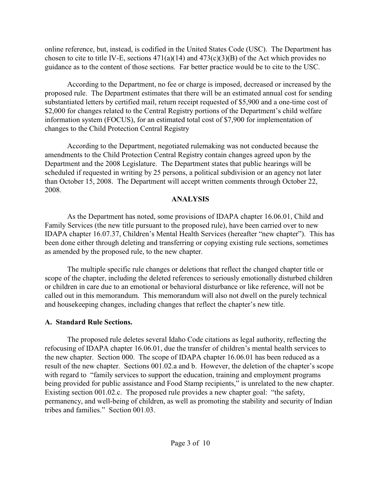online reference, but, instead, is codified in the United States Code (USC). The Department has chosen to cite to title IV-E, sections  $471(a)(14)$  and  $473(c)(3)(B)$  of the Act which provides no guidance as to the content of those sections. Far better practice would be to cite to the USC.

According to the Department, no fee or charge is imposed, decreased or increased by the proposed rule. The Department estimates that there will be an estimated annual cost for sending substantiated letters by certified mail, return receipt requested of \$5,900 and a one-time cost of \$2,000 for changes related to the Central Registry portions of the Department's child welfare information system (FOCUS), for an estimated total cost of \$7,900 for implementation of changes to the Child Protection Central Registry

According to the Department, negotiated rulemaking was not conducted because the amendments to the Child Protection Central Registry contain changes agreed upon by the Department and the 2008 Legislature. The Department states that public hearings will be scheduled if requested in writing by 25 persons, a political subdivision or an agency not later than October 15, 2008. The Department will accept written comments through October 22, 2008.

# **ANALYSIS**

As the Department has noted, some provisions of IDAPA chapter 16.06.01, Child and Family Services (the new title pursuant to the proposed rule), have been carried over to new IDAPA chapter 16.07.37, Children's Mental Health Services (hereafter "new chapter"). This has been done either through deleting and transferring or copying existing rule sections, sometimes as amended by the proposed rule, to the new chapter.

The multiple specific rule changes or deletions that reflect the changed chapter title or scope of the chapter, including the deleted references to seriously emotionally disturbed children or children in care due to an emotional or behavioral disturbance or like reference, will not be called out in this memorandum. This memorandum will also not dwell on the purely technical and housekeeping changes, including changes that reflect the chapter's new title.

# **A. Standard Rule Sections.**

The proposed rule deletes several Idaho Code citations as legal authority, reflecting the refocusing of IDAPA chapter 16.06.01, due the transfer of children's mental health services to the new chapter. Section 000. The scope of IDAPA chapter 16.06.01 has been reduced as a result of the new chapter. Sections 001.02.a and b. However, the deletion of the chapter's scope with regard to "family services to support the education, training and employment programs being provided for public assistance and Food Stamp recipients," is unrelated to the new chapter. Existing section 001.02.c. The proposed rule provides a new chapter goal: "the safety, permanency, and well-being of children, as well as promoting the stability and security of Indian tribes and families." Section 001.03.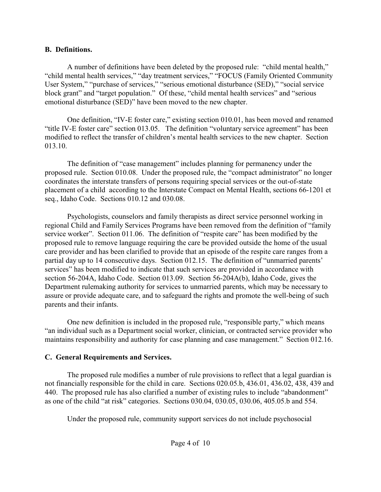# **B. Definitions.**

A number of definitions have been deleted by the proposed rule: "child mental health," "child mental health services," "day treatment services," "FOCUS (Family Oriented Community User System," "purchase of services," "serious emotional disturbance (SED)," "social service block grant" and "target population." Of these, "child mental health services" and "serious emotional disturbance (SED)" have been moved to the new chapter.

One definition, "IV-E foster care," existing section 010.01, has been moved and renamed "title IV-E foster care" section 013.05. The definition "voluntary service agreement" has been modified to reflect the transfer of children's mental health services to the new chapter. Section 013.10.

The definition of "case management" includes planning for permanency under the proposed rule. Section 010.08. Under the proposed rule, the "compact administrator" no longer coordinates the interstate transfers of persons requiring special services or the out-of-state placement of a child according to the Interstate Compact on Mental Health, sections 66-1201 et seq., Idaho Code. Sections 010.12 and 030.08.

Psychologists, counselors and family therapists as direct service personnel working in regional Child and Family Services Programs have been removed from the definition of "family service worker". Section 011.06. The definition of "respite care" has been modified by the proposed rule to remove language requiring the care be provided outside the home of the usual care provider and has been clarified to provide that an episode of the respite care ranges from a partial day up to 14 consecutive days. Section 012.15. The definition of "unmarried parents' services" has been modified to indicate that such services are provided in accordance with section 56-204A, Idaho Code. Section 013.09. Section 56-204A(b), Idaho Code, gives the Department rulemaking authority for services to unmarried parents, which may be necessary to assure or provide adequate care, and to safeguard the rights and promote the well-being of such parents and their infants.

One new definition is included in the proposed rule, "responsible party," which means "an individual such as a Department social worker, clinician, or contracted service provider who maintains responsibility and authority for case planning and case management." Section 012.16.

# **C. General Requirements and Services.**

The proposed rule modifies a number of rule provisions to reflect that a legal guardian is not financially responsible for the child in care. Sections 020.05.b, 436.01, 436.02, 438, 439 and 440. The proposed rule has also clarified a number of existing rules to include "abandonment" as one of the child "at risk" categories. Sections 030.04, 030.05, 030.06, 405.05.b and 554.

Under the proposed rule, community support services do not include psychosocial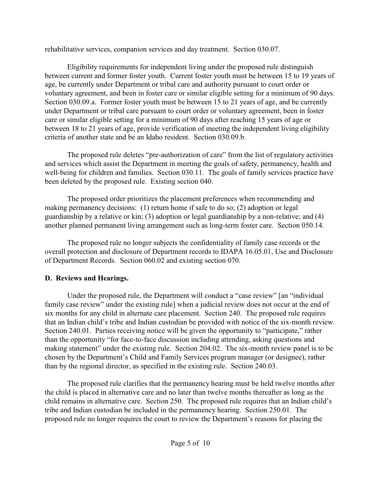rehabilitative services, companion services and day treatment. Section 030.07.

Eligibility requirements for independent living under the proposed rule distinguish between current and former foster youth. Current foster youth must be between 15 to 19 years of age, be currently under Department or tribal care and authority pursuant to court order or voluntary agreement, and been in foster care or similar eligible setting for a minimum of 90 days. Section 030.09.a. Former foster youth must be between 15 to 21 years of age, and be currently under Department or tribal care pursuant to court order or voluntary agreement, been in foster care or similar eligible setting for a minimum of 90 days after reaching 15 years of age or between 18 to 21 years of age, provide verification of meeting the independent living eligibility criteria of another state and be an Idaho resident. Section 030.09.b.

The proposed rule deletes "pre-authorization of care" from the list of regulatory activities and services which assist the Department in meeting the goals of safety, permanency, health and well-being for children and families. Section 030.11. The goals of family services practice have been deleted by the proposed rule. Existing section 040.

The proposed order prioritizes the placement preferences when recommending and making permanency decisions: (1) return home if safe to do so; (2) adoption or legal guardianship by a relative or kin; (3) adoption or legal guardianship by a non-relative; and (4) another planned permanent living arrangement such as long-term foster care. Section 050.14.

The proposed rule no longer subjects the confidentiality of family case records or the overall protection and disclosure of Department records to IDAPA 16.05.01, Use and Disclosure of Department Records. Section 060.02 and existing section 070.

# **D. Reviews and Hearings.**

Under the proposed rule, the Department will conduct a "case review" [an "individual family case review" under the existing rule] when a judicial review does not occur at the end of six months for any child in alternate care placement. Section 240. The proposed rule requires that an Indian child's tribe and Indian custodian be provided with notice of the six-month review. Section 240.01. Parties receiving notice will be given the opportunity to "participate," rather than the opportunity "for face-to-face discussion including attending, asking questions and making statement" under the existing rule. Section 204.02. The six-month review panel is to be chosen by the Department's Child and Family Services program manager (or designee), rather than by the regional director, as specified in the existing rule. Section 240.03.

The proposed rule clarifies that the permanency hearing must be held twelve months after the child is placed in alternative care and no later than twelve months thereafter as long as the child remains in alternative care. Section 250. The proposed rule requires that an Indian child's tribe and Indian custodian be included in the permanency hearing. Section 250.01. The proposed rule no longer requires the court to review the Department's reasons for placing the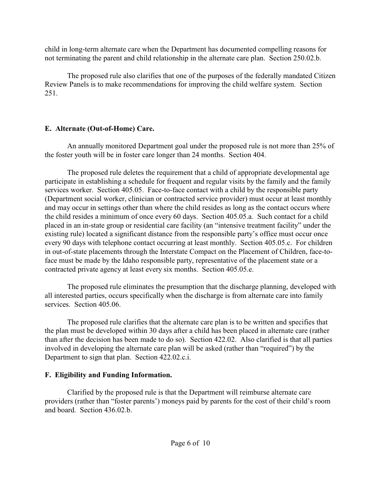child in long-term alternate care when the Department has documented compelling reasons for not terminating the parent and child relationship in the alternate care plan. Section 250.02.b.

The proposed rule also clarifies that one of the purposes of the federally mandated Citizen Review Panels is to make recommendations for improving the child welfare system. Section 251.

# **E. Alternate (Out-of-Home) Care.**

An annually monitored Department goal under the proposed rule is not more than 25% of the foster youth will be in foster care longer than 24 months. Section 404.

The proposed rule deletes the requirement that a child of appropriate developmental age participate in establishing a schedule for frequent and regular visits by the family and the family services worker. Section 405.05. Face-to-face contact with a child by the responsible party (Department social worker, clinician or contracted service provider) must occur at least monthly and may occur in settings other than where the child resides as long as the contact occurs where the child resides a minimum of once every 60 days. Section 405.05.a. Such contact for a child placed in an in-state group or residential care facility (an "intensive treatment facility" under the existing rule) located a significant distance from the responsible party's office must occur once every 90 days with telephone contact occurring at least monthly. Section 405.05.c. For children in out-of-state placements through the Interstate Compact on the Placement of Children, face-toface must be made by the Idaho responsible party, representative of the placement state or a contracted private agency at least every six months. Section 405.05.e.

The proposed rule eliminates the presumption that the discharge planning, developed with all interested parties, occurs specifically when the discharge is from alternate care into family services. Section 405.06.

The proposed rule clarifies that the alternate care plan is to be written and specifies that the plan must be developed within 30 days after a child has been placed in alternate care (rather than after the decision has been made to do so). Section 422.02. Also clarified is that all parties involved in developing the alternate care plan will be asked (rather than "required") by the Department to sign that plan. Section 422.02.c.i.

# **F. Eligibility and Funding Information.**

Clarified by the proposed rule is that the Department will reimburse alternate care providers (rather than "foster parents') moneys paid by parents for the cost of their child's room and board. Section 436.02.b.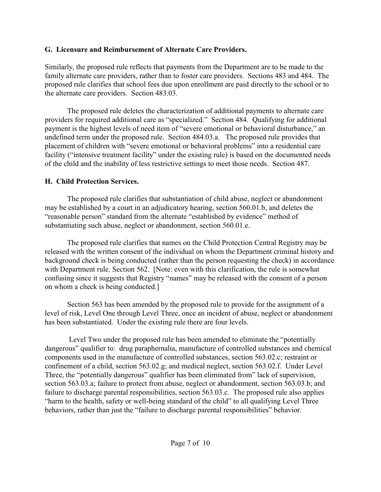# **G. Licensure and Reimbursement of Alternate Care Providers.**

Similarly, the proposed rule reflects that payments from the Department are to be made to the family alternate care providers, rather than to foster care providers. Sections 483 and 484. The proposed rule clarifies that school fees due upon enrollment are paid directly to the school or to the alternate care providers. Section 483.03.

The proposed rule deletes the characterization of additional payments to alternate care providers for required additional care as "specialized." Section 484. Qualifying for additional payment is the highest levels of need item of "severe emotional or behavioral disturbance," an undefined term under the proposed rule. Section 484.03.a. The proposed rule provides that placement of children with "severe emotional or behavioral problems" into a residential care facility ("intensive treatment facility" under the existing rule) is based on the documented needs of the child and the inability of less restrictive settings to meet those needs. Section 487.

# **H. Child Protection Services.**

The proposed rule clarifies that substantiation of child abuse, neglect or abandonment may be established by a court in an adjudicatory hearing, section 560.01.b, and deletes the "reasonable person" standard from the alternate "established by evidence" method of substantiating such abuse, neglect or abandonment, section 560.01.e.

The proposed rule clarifies that names on the Child Protection Central Registry may be released with the written consent of the individual on whom the Department criminal history and background check is being conducted (rather than the person requesting the check) in accordance with Department rule. Section 562. [Note: even with this clarification, the rule is somewhat confusing since it suggests that Registry "names" may be released with the consent of a person on whom a check is being conducted.]

Section 563 has been amended by the proposed rule to provide for the assignment of a level of risk, Level One through Level Three, once an incident of abuse, neglect or abandonment has been substantiated. Under the existing rule there are four levels.

 Level Two under the proposed rule has been amended to eliminate the "potentially dangerous" qualifier to: drug paraphernalia, manufacture of controlled substances and chemical components used in the manufacture of controlled substances, section 563.02.c; restraint or confinement of a child, section 563.02.g; and medical neglect, section 563.02.f. Under Level Three, the "potentially dangerous" qualifier has been eliminated from" lack of supervision, section 563.03.a; failure to protect from abuse, neglect or abandonment, section 563.03.b; and failure to discharge parental responsibilities, section 563.03.c. The proposed rule also applies "harm to the health, safety or well-being standard of the child" to all qualifying Level Three behaviors, rather than just the "failure to discharge parental responsibilities" behavior.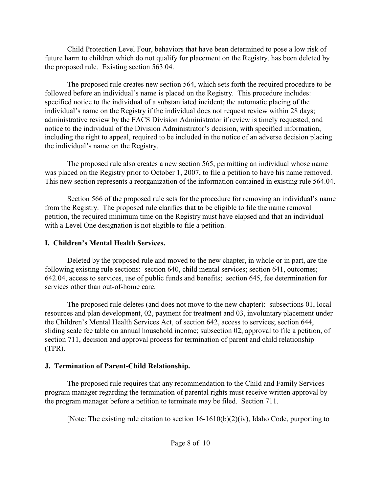Child Protection Level Four, behaviors that have been determined to pose a low risk of future harm to children which do not qualify for placement on the Registry, has been deleted by the proposed rule. Existing section 563.04.

The proposed rule creates new section 564, which sets forth the required procedure to be followed before an individual's name is placed on the Registry. This procedure includes: specified notice to the individual of a substantiated incident; the automatic placing of the individual's name on the Registry if the individual does not request review within 28 days; administrative review by the FACS Division Administrator if review is timely requested; and notice to the individual of the Division Administrator's decision, with specified information, including the right to appeal, required to be included in the notice of an adverse decision placing the individual's name on the Registry.

The proposed rule also creates a new section 565, permitting an individual whose name was placed on the Registry prior to October 1, 2007, to file a petition to have his name removed. This new section represents a reorganization of the information contained in existing rule 564.04.

Section 566 of the proposed rule sets for the procedure for removing an individual's name from the Registry. The proposed rule clarifies that to be eligible to file the name removal petition, the required minimum time on the Registry must have elapsed and that an individual with a Level One designation is not eligible to file a petition.

# **I. Children's Mental Health Services.**

Deleted by the proposed rule and moved to the new chapter, in whole or in part, are the following existing rule sections: section 640, child mental services; section 641, outcomes; 642.04, access to services, use of public funds and benefits; section 645, fee determination for services other than out-of-home care.

The proposed rule deletes (and does not move to the new chapter): subsections 01, local resources and plan development, 02, payment for treatment and 03, involuntary placement under the Children's Mental Health Services Act, of section 642, access to services; section 644, sliding scale fee table on annual household income; subsection 02, approval to file a petition, of section 711, decision and approval process for termination of parent and child relationship (TPR).

# **J. Termination of Parent-Child Relationship.**

The proposed rule requires that any recommendation to the Child and Family Services program manager regarding the termination of parental rights must receive written approval by the program manager before a petition to terminate may be filed. Section 711.

[Note: The existing rule citation to section 16-1610(b)(2)(iv), Idaho Code, purporting to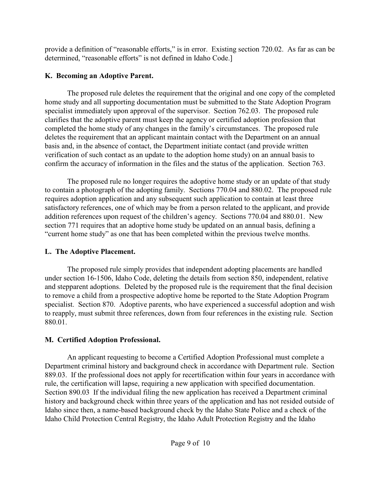provide a definition of "reasonable efforts," is in error. Existing section 720.02. As far as can be determined, "reasonable efforts" is not defined in Idaho Code.]

# **K. Becoming an Adoptive Parent.**

The proposed rule deletes the requirement that the original and one copy of the completed home study and all supporting documentation must be submitted to the State Adoption Program specialist immediately upon approval of the supervisor. Section 762.03. The proposed rule clarifies that the adoptive parent must keep the agency or certified adoption profession that completed the home study of any changes in the family's circumstances. The proposed rule deletes the requirement that an applicant maintain contact with the Department on an annual basis and, in the absence of contact, the Department initiate contact (and provide written verification of such contact as an update to the adoption home study) on an annual basis to confirm the accuracy of information in the files and the status of the application. Section 763.

The proposed rule no longer requires the adoptive home study or an update of that study to contain a photograph of the adopting family. Sections 770.04 and 880.02. The proposed rule requires adoption application and any subsequent such application to contain at least three satisfactory references, one of which may be from a person related to the applicant, and provide addition references upon request of the children's agency. Sections 770.04 and 880.01. New section 771 requires that an adoptive home study be updated on an annual basis, defining a "current home study" as one that has been completed within the previous twelve months.

# **L. The Adoptive Placement.**

The proposed rule simply provides that independent adopting placements are handled under section 16-1506, Idaho Code, deleting the details from section 850, independent, relative and stepparent adoptions. Deleted by the proposed rule is the requirement that the final decision to remove a child from a prospective adoptive home be reported to the State Adoption Program specialist. Section 870. Adoptive parents, who have experienced a successful adoption and wish to reapply, must submit three references, down from four references in the existing rule. Section 880.01.

# **M. Certified Adoption Professional.**

An applicant requesting to become a Certified Adoption Professional must complete a Department criminal history and background check in accordance with Department rule. Section 889.03. If the professional does not apply for recertification within four years in accordance with rule, the certification will lapse, requiring a new application with specified documentation. Section 890.03 If the individual filing the new application has received a Department criminal history and background check within three years of the application and has not resided outside of Idaho since then, a name-based background check by the Idaho State Police and a check of the Idaho Child Protection Central Registry, the Idaho Adult Protection Registry and the Idaho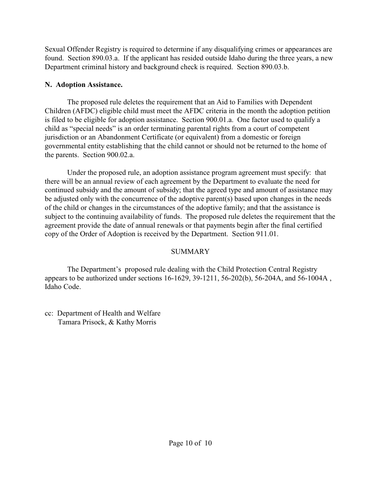Sexual Offender Registry is required to determine if any disqualifying crimes or appearances are found. Section 890.03.a. If the applicant has resided outside Idaho during the three years, a new Department criminal history and background check is required. Section 890.03.b.

# **N. Adoption Assistance.**

The proposed rule deletes the requirement that an Aid to Families with Dependent Children (AFDC) eligible child must meet the AFDC criteria in the month the adoption petition is filed to be eligible for adoption assistance. Section 900.01.a. One factor used to qualify a child as "special needs" is an order terminating parental rights from a court of competent jurisdiction or an Abandonment Certificate (or equivalent) from a domestic or foreign governmental entity establishing that the child cannot or should not be returned to the home of the parents. Section 900.02.a.

Under the proposed rule, an adoption assistance program agreement must specify: that there will be an annual review of each agreement by the Department to evaluate the need for continued subsidy and the amount of subsidy; that the agreed type and amount of assistance may be adjusted only with the concurrence of the adoptive parent(s) based upon changes in the needs of the child or changes in the circumstances of the adoptive family; and that the assistance is subject to the continuing availability of funds. The proposed rule deletes the requirement that the agreement provide the date of annual renewals or that payments begin after the final certified copy of the Order of Adoption is received by the Department. Section 911.01.

# **SUMMARY**

The Department's proposed rule dealing with the Child Protection Central Registry appears to be authorized under sections 16-1629, 39-1211, 56-202(b), 56-204A, and 56-1004A , Idaho Code.

cc: Department of Health and Welfare Tamara Prisock, & Kathy Morris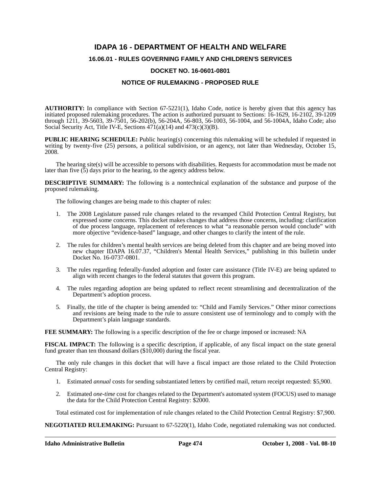# **IDAPA 16 - DEPARTMENT OF HEALTH AND WELFARE**

# **16.06.01 - RULES GOVERNING FAMILY AND CHILDREN'S SERVICES**

# **DOCKET NO. 16-0601-0801**

# **NOTICE OF RULEMAKING - PROPOSED RULE**

**AUTHORITY:** In compliance with Section 67-5221(1), Idaho Code, notice is hereby given that this agency has initiated proposed rulemaking procedures. The action is authorized pursuant to Sections: 16-1629, 16-2102, 39-1209 through 1211, 39-5603, 39-7501, 56-202(b), 56-204A, 56-803, 56-1003, 56-1004, and 56-1004A, Idaho Code; also Social Security Act, Title IV-E, Sections  $471(a)(14)$  and  $473(c)(3)(B)$ .

**PUBLIC HEARING SCHEDULE:** Public hearing(s) concerning this rulemaking will be scheduled if requested in writing by twenty-five (25) persons, a political subdivision, or an agency, not later than Wednesday, October 15, 2008.

The hearing site(s) will be accessible to persons with disabilities. Requests for accommodation must be made not later than five  $(5)$  days prior to the hearing, to the agency address below.

**DESCRIPTIVE SUMMARY:** The following is a nontechnical explanation of the substance and purpose of the proposed rulemaking.

The following changes are being made to this chapter of rules:

- 1. The 2008 Legislature passed rule changes related to the revamped Child Protection Central Registry, but expressed some concerns. This docket makes changes that address those concerns, including: clarification of due process language, replacement of references to what "a reasonable person would conclude" with more objective "evidence-based" language, and other changes to clarify the intent of the rule.
- 2. The rules for children's mental health services are being deleted from this chapter and are being moved into new chapter IDAPA 16.07.37, "Children's Mental Health Services," publishing in this bulletin under Docket No. 16-0737-0801.
- 3. The rules regarding federally-funded adoption and foster care assistance (Title IV-E) are being updated to align with recent changes to the federal statutes that govern this program.
- 4. The rules regarding adoption are being updated to reflect recent streamlining and decentralization of the Department's adoption process.
- 5. Finally, the title of the chapter is being amended to: "Child and Family Services." Other minor corrections and revisions are being made to the rule to assure consistent use of terminology and to comply with the Department's plain language standards.

**FEE SUMMARY:** The following is a specific description of the fee or charge imposed or increased: NA

**FISCAL IMPACT:** The following is a specific description, if applicable, of any fiscal impact on the state general fund greater than ten thousand dollars (\$10,000) during the fiscal year.

The only rule changes in this docket that will have a fiscal impact are those related to the Child Protection Central Registry:

- 1. Estimated *annual* costs for sending substantiated letters by certified mail, return receipt requested: \$5,900.
- 2. Estimated *one-time* cost for changes related to the Department's automated system (FOCUS) used to manage the data for the Child Protection Central Registry: \$2000.

Total estimated cost for implementation of rule changes related to the Child Protection Central Registry: \$7,900.

**NEGOTIATED RULEMAKING:** Pursuant to 67-5220(1), Idaho Code, negotiated rulemaking was not conducted.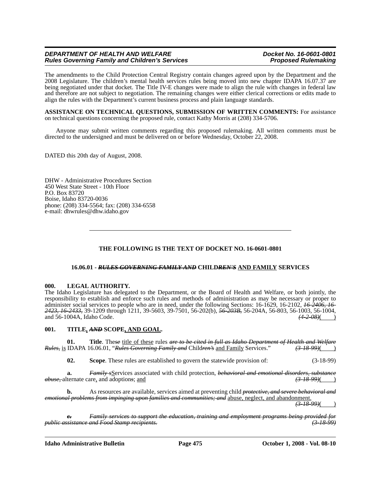The amendments to the Child Protection Central Registry contain changes agreed upon by the Department and the 2008 Legislature. The children's mental health services rules being moved into new chapter IDAPA 16.07.37 are being negotiated under that docket. The Title IV-E changes were made to align the rule with changes in federal law and therefore are not subject to negotiation. The remaining changes were either clerical corrections or edits made to align the rules with the Department's current business process and plain language standards.

**ASSISTANCE ON TECHNICAL QUESTIONS, SUBMISSION OF WRITTEN COMMENTS:** For assistance on technical questions concerning the proposed rule, contact Kathy Morris at (208) 334-5706.

Anyone may submit written comments regarding this proposed rulemaking. All written comments must be directed to the undersigned and must be delivered on or before Wednesday, October 22, 2008.

DATED this 20th day of August, 2008.

DHW - Administrative Procedures Section 450 West State Street - 10th Floor P.O. Box 83720 Boise, Idaho 83720-0036 phone: (208) 334-5564; fax: (208) 334-6558 e-mail: dhwrules@dhw.idaho.gov

# **THE FOLLOWING IS THE TEXT OF DOCKET NO. 16-0601-0801**

#### **16.06.01 -** *RULES GOVERNING FAMILY AND* **CHILD***REN'S* **AND FAMILY SERVICES**

#### **000. LEGAL AUTHORITY.**

The Idaho Legislature has delegated to the Department, or the Board of Health and Welfare, or both jointly, the responsibility to establish and enforce such rules and methods of administration as may be necessary or proper to administer social services to people who are in need, under the following Sections: 16-1629, 16-2102, *16-2406, 16- 2423, 16-2433,* 39-1209 through 1211, 39-5603, 39-7501, 56-202(b), *56-203B,* 56-204A, 56-803, 56-1003, 56-1004, and 56-1004A, Idaho Code.

#### **001. TITLE,** *AND* **SCOPE, AND GOAL.**

**01. Title**. These <u>title of these</u> rules *are to be cited in full as Idaho Department of Health and Welfare*<br>IDAPA 16.06.01, "*Rules Governing Family and* Children's <u>and Family</u> Services." (3-18-99)( *Rules,* is IDAPA 16.06.01, "*Rules Governing Family and* Child*ren's* and Family Services." *(3-18-99)*( )

**02. Scope**. These rules are established to govern the statewide provision of: (3-18-99)

**a.** *Family s*Services associated with child protection, *behavioral and emotional disorders, substance abuse,* alternate care, and adoption*s*; and *(3-18-99)*( )

**b.** As resources are available, services aimed at preventing child *protective, and severe behavioral and emotional problems from impinging upon families and communities; and* abuse, neglect, and abandonment.

 $(3-18-99)$ 

*c. Family services to support the education, training and employment programs being provided for public assistance and Food Stamp recipients. (3-18-99)*

**Idaho Administrative Bulletin Page 475 October 1, 2008 - Vol. 08-10**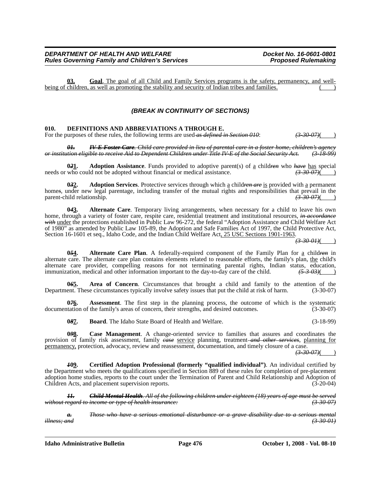**03. Goal**. The goal of all Child and Family Services programs is the safety, permanency, and wellbeing of children, as well as promoting the stability and security of Indian tribes and families.

# *(BREAK IN CONTINUITY OF SECTIONS)*

#### **010. DEFINITIONS AND ABBREVIATIONS A THROUGH E.**

For the purposes of these rules, the following terms are used *as defined in Section 010*:  $(3-30-07)($ 

*01. IV-E Foster Care. Child care provided in lieu of parental care in a foster home, children's agency or institution eligible to receive Aid to Dependent Children under Title IV-E of the Social Security Act. (3-18-99)*

**021.** Adoption Assistance. Funds provided to adoptive parent(s) of <u>a</u> child<del>ren</del> who *have* has special who could not be adopted without financial or medical assistance.  $\left(3,30,07\right)$ needs or who could not be adopted without financial or medical assistance.

**0***3***2. Adoption Services**. Protective services through which a child*ren are* is provided with a permanent home<sub>s</sub>, under new legal parentage, including transfer of the mutual rights and responsibilities that prevail in the parent-child relationship. *(3-30-07)***(** *(3-30-07)*(

**0***4***3. Alternate Care**. Temporary living arrangements, when necessary for a child to leave his own home, through a variety of foster care, respite care, residential treatment and institutional resources, *in accordance with* under the protections established in Public Law 96-272, the federal "Adoption Assistance and Child Welfare Act of 1980" as amended by Public Law 105-89, the Adoption and Safe Families Act of 1997, the Child Protective Act, Section 16-1601 et seq., Idaho Code, and the Indian Child Welfare Act, 25 USC Sections 1901-1963.

*(3-30-01)*( )

**0***5***4. Alternate Care Plan**. A federally-required component of the Family Plan for a child*ren* in alternate care. The alternate care plan contains elements related to reasonable efforts, the family's plan, the child's alternate care provider, compelling reasons for not terminating parental rights, Indian status, education, immunization, medical and other information important to the day-to-day care of the child.  $(5-3-03)($ 

**0***6***5. Area of Concern**. Circumstances that brought a child and family to the attention of the Department. These circumstances typically involve safety issues that put the child at risk of harm. (3-30-07)

**076.** Assessment. The first step in the planning process, the outcome of which is the systematic documentation of the family's areas of concern, their strengths, and desired outcomes. (3-30-07)

**0***8***7. Board**. The Idaho State Board of Health and Welfare. (3-18-99)

048. Case Management. A change-oriented service to families that assures and coordinates the provision of family risk assessment, family *case* service planning, treatment *and other services*, planning for permanency, protection, advocacy, review and reassessment, documentation, and timely closure of a case.

*(3-30-07)*( )

*1***09. Certified Adoption Professional (formerly "qualified individual")**. An individual certified by the Department who meets the qualifications specified in Section 889 of these rules for completion of pre-placement adoption home studies, reports to the court under the Termination of Parent and Child Relationship and Adoption of Children Acts, and placement supervision reports. (3-20-04)

*11. Child Mental Health. All of the following children under eighteen (18) years of age must be served without regard to income or type of health insurance: (3-30-07)*

*a. Those who have a serious emotional disturbance or a grave disability due to a serious mental illness; and (3-30-01)*

**Idaho Administrative Bulletin Page 476 October 1, 2008 - Vol. 08-10**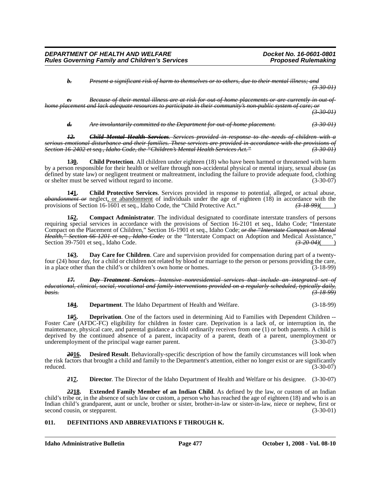*b. Present a significant risk of harm to themselves or to others, due to their mental illness; and (3-30-01)*

**e.** Because of their mental illness are at risk for out of home placements or are currently in out of *home placement and lack adequate resources to participate in their community's non-public system of care; (3-30-01)*

#### *d. Are involuntarily committed to the Department for out-of-home placement. (3-30-01)*

*12. Child Mental Health Services. Services provided in response to the needs of children with a serious emotional disturbance and their families. These services are provided in accordance with the provisions of Section 16-2402 et seq., Idaho Code, the "Children's Mental Health Services Act." (3-30-01)*

**1***3***0. Child Protection**. All children under eighteen (18) who have been harmed or threatened with harm by a person responsible for their health or welfare through non-accidental physical or mental injury, sexual abuse (as defined by state law) or negligent treatment or maltreatment, including the failure to provide adequate food, clothing or shelter must be served without regard to income. (3-30-07)

**1***4***1. Child Protective Services**. Services provided in response to potential, alleged, or actual abuse, *abandonment or* neglect, <u>or abandonment</u> of individuals under the age of eighteen (18) in accordance with the provisions of Section 16-1601 et seq., Idaho Code, the "Child Protective Act." (3-18-99) provisions of Section 16-1601 et seq., Idaho Code, the "Child Protective Act."

**1***5***2. Compact Administrator**. The individual designated to coordinate interstate transfers of persons requiring special services in accordance with the provisions of Section 16-2101 et seq., Idaho Code; "Interstate Compact on the Placement of Children," Section 16-1901 et seq., Idaho Code; *or the "Interstate Compact on Mental Health," Section 66-1201 et seq., Idaho Code;* or the "Interstate Compact on Adoption and Medical Assistance,"<br>Section 39-7501 et seq., Idaho Code. Section 39-7501 et seq., Idaho Code.

**1***6***3. Day Care for Children**. Care and supervision provided for compensation during part of a twentyfour (24) hour day, for a child or children not related by blood or marriage to the person or persons providing the care, in a place other than the child's or children's own home or homes. (3-18-99)

17. *Day Treatment Services. Intensive nonresidential services that include an integrated educational, clinical, social, vocational and family interventions provided on a regularly scheduled, typically daily, basis. (3-18-99)*

**1***8***4. Department**. The Idaho Department of Health and Welfare. (3-18-99)

**1***9***5. Deprivation**. One of the factors used in determining Aid to Families with Dependent Children -- Foster Care (AFDC-FC) eligibility for children in foster care. Deprivation is a lack of, or interruption in, the maintenance, physical care, and parental guidance a child ordinarily receives from one (1) or both parents. A child is deprived by the continued absence of a parent, incapacity of a parent, death of a parent, unemployment or underemployment of the principal wage earner parent. (3-30-07) underemployment of the principal wage earner parent.

**Desired Result**. Behaviorally-specific description of how the family circumstances will look when the risk factors that brought a child and family to the Department's attention, either no longer exist or are significantly reduced. (3-30-07)

*2***17. Director**. The Director of the Idaho Department of Health and Welfare or his designee. (3-30-07)

*22***18. Extended Family Member of an Indian Child**. As defined by the law, or custom of an Indian child's tribe or, in the absence of such law or custom, a person who has reached the age of eighteen (18) and who is an Indian child's grandparent, aunt or uncle, brother or sister, brother-in-law or sister-in-law, niece or nephew, first or second cousin, or stepparent. (3-30-01) second cousin, or stepparent.

## **011. DEFINITIONS AND ABBREVIATIONS F THROUGH K.**

**Idaho Administrative Bulletin Page 477 October 1, 2008 - Vol. 08-10**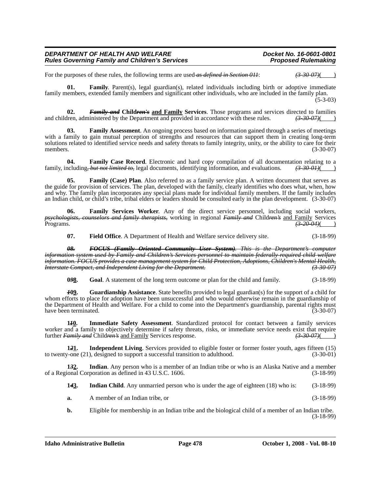For the purposes of these rules, the following terms are used-as defined in Section 011:  $(3-30-07)($ 

**01.** Family. Parent(s), legal guardian(s), related individuals including birth or adoptive immediate family members, extended family members and significant other individuals, who are included in the family plan. (5-3-03)

**02.** *Family and* **Children's and Family Services**. Those programs and services directed to families lies.  $\frac{1}{3}$   $\frac{30}{97}$  (i) and children, administered by the Department and provided in accordance with these rules.

**Family Assessment**. An ongoing process based on information gained through a series of meetings with a family to gain mutual perception of strengths and resources that can support them in creating long-term solutions related to identified service needs and safety threats to family integrity, unity, or the ability to care for their<br>(3-30-07) members.  $(3-30-07)$ 

**04. Family Case Record**. Electronic and hard copy compilation of all documentation relating to a ncluding, but not limited to, legal documents, identifying information, and evaluations.  $\left(3\text{-}30\text{-}01\right)(\text{C})$ family, including, but not limited to, legal documents, identifying information, and evaluations.

**05. Family (Case) Plan**. Also referred to as a family service plan. A written document that serves as the guide for provision of services. The plan, developed with the family, clearly identifies who does what, when, how and why. The family plan incorporates any special plans made for individual family members. If the family includes an Indian child, or child's tribe, tribal elders or leaders should be consulted early in the plan development. (3-30-07)

**06. Family Services Worker**. Any of the direct service personnel, including social workers, *psychologists, counselors and family therapists,* working in regional *Family and* Child*ren's* and Family Services Programs. *(3-20-04)*( )

**07. Field Office**. A Department of Health and Welfare service delivery site. (3-18-99)

*08. FOCUS (Family Oriented Community User System). This is the Department's computer information system used by Family and Children's Services personnel to maintain federally-required child welfare information. FOCUS provides a case management system for Child Protection, Adoptions, Children's Mental Health, Interstate Compact, and Independent Living for the Department. (3-30-07)*

**0***9***8. Goal**. A statement of the long term outcome or plan for the child and family. (3-18-99)

*1***09. Guardianship Assistance**. State benefits provided to legal guardian(s) for the support of a child for whom efforts to place for adoption have been unsuccessful and who would otherwise remain in the guardianship of the Department of Health and Welfare. For a child to come into the Department's guardianship, parental rights must have been terminated. (3-30-07)

**1***1***0. Immediate Safety Assessment**. Standardized protocol for contact between a family services worker and a family to objectively determine if safety threats, risks, or immediate service needs exist that require further *Family and* Child*ren's* and Family Services response. *(3-30-07)*( )

**121.** Independent Living. Services provided to eligible foster or former foster youth, ages fifteen (15)  $\gamma$ -one (21), designed to support a successful transition to adulthood. (3-30-01) to twenty-one  $(21)$ , designed to support a successful transition to adulthood.

**1***3***2. Indian**. Any person who is a member of an Indian tribe or who is an Alaska Native and a member of a Regional Corporation as defined in 43 U.S.C. 1606. (3-18-99)

**1***4***3. Indian Child**. Any unmarried person who is under the age of eighteen (18) who is: (3-18-99)

- **a.** A member of an Indian tribe, or (3-18-99)
- **b.** Eligible for membership in an Indian tribe and the biological child of a member of an Indian tribe. (3-18-99)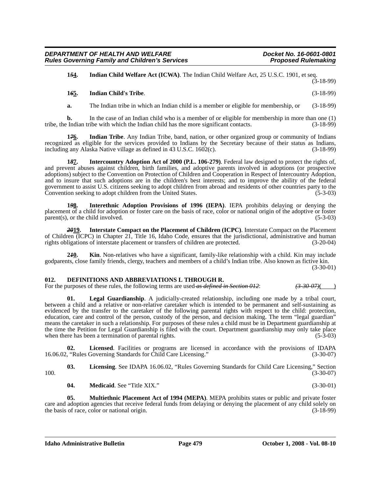**1***5***4. Indian Child Welfare Act (ICWA)**. The Indian Child Welfare Act, 25 U.S.C. 1901, et seq.  $(3-18-99)$ 

#### **1***6***5. Indian Child's Tribe**. (3-18-99)

**a.** The Indian tribe in which an Indian child is a member or eligible for membership, or (3-18-99)

**b.** In the case of an Indian child who is a member of or eligible for membership in more than one (1) tribe, the Indian tribe with which the Indian child has the more significant contacts. (3-18-99)

**1***7***6. Indian Tribe**. Any Indian Tribe, band, nation, or other organized group or community of Indians recognized as eligible for the services provided to Indians by the Secretary because of their status as Indians, including any Alaska Native village as defined in 43 U.S.C. 1602(c). including any Alaska Native village as defined in  $43 \text{ U.S.C. } 1602(c)$ .

**1***8***7. Intercountry Adoption Act of 2000 (P.L. 106-279)**. Federal law designed to protect the rights of, and prevent abuses against children, birth families, and adoptive parents involved in adoptions (or prospective adoptions) subject to the Convention on Protection of Children and Cooperation in Respect of Intercountry Adoption, and to insure that such adoptions are in the children's best interests; and to improve the ability of the federal government to assist U.S. citizens seeking to adopt children from abroad and residents of other countries party to the Convention seeking to adopt children from the United States. (5-3-03)

**1***9***8. Interethnic Adoption Provisions of 1996 (IEPA)**. IEPA prohibits delaying or denying the placement of a child for adoption or foster care on the basis of race, color or national origin of the adoptive or foster parent(s), or the child involved. (5-3-03)

*20***19. Interstate Compact on the Placement of Children (ICPC)**. Interstate Compact on the Placement of Children (ICPC) in Chapter 21, Title 16, Idaho Code, ensures that the jurisdictional, administrative and human rights obligations of interstate placement or transfers of children are protected. (3-20-04) rights obligations of interstate placement or transfers of children are protected.

**2***1***0. Kin**. Non-relatives who have a significant, family-like relationship with a child. Kin may include godparents, close family friends, clergy, teachers and members of a child's Indian tribe. Also known as fictive kin. (3-30-01)

#### **012. DEFINITIONS AND ABBREVIATIONS L THROUGH R.**

For the purposes of these rules, the following terms are used-as defined in Section 012:  $(3-30-07)()$ 

Legal Guardianship. A judicially-created relationship, including one made by a tribal court, between a child and a relative or non-relative caretaker which is intended to be permanent and self-sustaining as evidenced by the transfer to the caretaker of the following parental rights with respect to the child: protection, education, care and control of the person, custody of the person, and decision making. The term "legal guardian" means the caretaker in such a relationship. For purposes of these rules a child must be in Department guardianship at the time the Petition for Legal Guardianship is filed with the court. Department guardianship may only take place when there has been a termination of parental rights. (5-3-03)

**02.** Licensed. Facilities or programs are licensed in accordance with the provisions of IDAPA ("Rules Governing Standards for Child Care Licensing." (3-30-07) 16.06.02, "Rules Governing Standards for Child Care Licensing."

**03. Licensing**. See IDAPA 16.06.02, "Rules Governing Standards for Child Care Licensing," Section 100. (3-30-07)

**04. Medicaid**. See "Title XIX." (3-30-01)

**05. Multiethnic Placement Act of 1994 (MEPA)**. MEPA prohibits states or public and private foster care and adoption agencies that receive federal funds from delaying or denying the placement of any child solely on the basis of race, color or national origin. (3-18-99) the basis of race, color or national origin.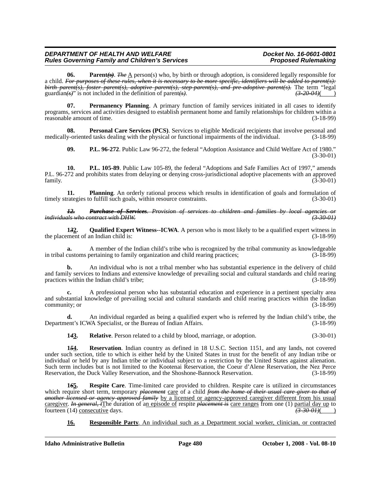**06.** Parent $(\ast)$ . *The*  $\Delta$  person(s) who, by birth or through adoption, is considered legally responsible for a child. *For purposes of these rules, when it is necessary to be more specific, identifiers will be added to parent(s): birth parent(s), foster parent(s), adoptive parent(s), step-parent(s), and pre-adoptive parent(s).* The term "legal guardian(s)" is not included in the definition of parent(s). guardian $\left(\frac{s}{s}\right)$ " is not included in the definition of parent $\left(\frac{s}{s}\right)$ .

**07.** Permanency Planning. A primary function of family services initiated in all cases to identify programs, services and activities designed to establish permanent home and family relationships for children within a reasonable amount of time. (3-18-99)

**08. Personal Care Services (PCS)**. Services to eligible Medicaid recipients that involve personal and medically-oriented tasks dealing with the physical or functional impairments of the individual. (3-18-99)

**09. P.L. 96-272**. Public Law 96-272, the federal "Adoption Assistance and Child Welfare Act of 1980." (3-30-01)

**10. P.L. 105-89**. Public Law 105-89, the federal "Adoptions and Safe Families Act of 1997," amends P.L. 96-272 and prohibits states from delaying or denying cross-jurisdictional adoptive placements with an approved  $f_{\text{amily.}}$  (3-30-01)  $(3-30-01)$ 

**11. Planning**. An orderly rational process which results in identification of goals and formulation of timely strategies to fulfill such goals, within resource constraints. (3-30-01)

*12. Purchase of Services. Provision of services to children and families by local agencies or individuals who contract with DHW. (3-30-01)*

**1***3***2. Qualified Expert Witness--ICWA**. A person who is most likely to be a qualified expert witness in the placement of an Indian child is: (3-18-99)

**a.** A member of the Indian child's tribe who is recognized by the tribal community as knowledgeable in tribal customs pertaining to family organization and child rearing practices; (3-18-99)

**b.** An individual who is not a tribal member who has substantial experience in the delivery of child and family services to Indians and extensive knowledge of prevailing social and cultural standards and child rearing practices within the Indian child's tribe; (3-18-99)

**c.** A professional person who has substantial education and experience in a pertinent specialty area and substantial knowledge of prevailing social and cultural standards and child rearing practices within the Indian community; or  $(3-18-99)$ 

**d.** An individual regarded as being a qualified expert who is referred by the Indian child's tribe, the Department's ICWA Specialist, or the Bureau of Indian Affairs. (3-18-99)

**1***4***3. Relative**. Person related to a child by blood, marriage, or adoption. (3-30-01)

**1***5***4. Reservation**. Indian country as defined in 18 U.S.C. Section 1151, and any lands, not covered under such section, title to which is either held by the United States in trust for the benefit of any Indian tribe or individual or held by any Indian tribe or individual subject to a restriction by the United States against alienation. Such term includes but is not limited to the Kootenai Reservation, the Coeur d'Alene Reservation, the Nez Perce Reservation, the Duck Valley Reservation, and the Shoshone-Bannock Reservation. (3-18-99)

**1***6***5. Respite Care**. Time-limited care provided to children. Respite care is utilized in circumstances which require short term, temporary *placement* care of a child *from the home of their usual care giver to that of another licensed or agency approved family* by a licensed or agency-approved caregiver different from his usual caregiver. *In general, i*The duration of an episode of respite *placement is* care ranges from one (1) partial day up to fourteen (14) consecutive days. fourteen (14) consecutive days.  $\overline{(3-30-01)}$   $\overline{(3-30-01)}$ 

**16. Responsible Party**. An individual such as a Department social worker, clinician, or contracted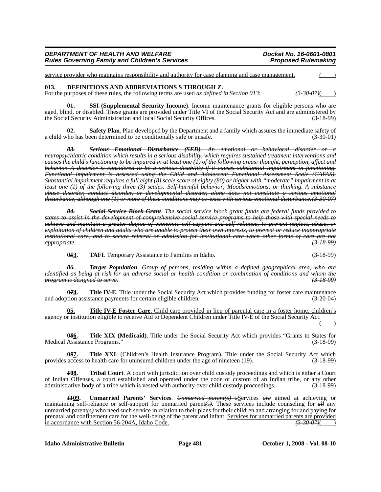service provider who maintains responsibility and authority for case planning and case management.

# **013. DEFINITIONS AND ABBREVIATIONS S THROUGH Z.**

For the purposes of these rules, the following terms are used as defined in Section 013:  $(3-30-07)($ 

**01. SSI (Supplemental Security Income)**. Income maintenance grants for eligible persons who are aged, blind, or disabled. These grants are provided under Title VI of the Social Security Act and are administered by the Social Security Administration and local Social Security Offices. (3-18-99)

**Safety Plan.** Plan developed by the Department and a family which assures the immediate safety of a child who has been determined to be conditionally safe or unsafe. (3-30-01)

**03.** *Serious Emotional Disturbance (SED). An emotional or behavioral disorder neuropsychiatric condition which results in a serious disability, which requires sustained treatment interventions and causes the child's functioning to be impaired in at least one (1) of the following areas: thought, perception, affect and behavior. A disorder is considered to be a serious disability if it causes substantial impairment in functioning. Functional impairment is assessed using the Child and Adolescent Functional Assessment Scale (CAFAS). Substantial impairment requires a full eight (8) scale score of eighty (80) or higher with "moderate" impairment in at least one (1) of the following three (3) scales: Self-harmful behavior; Moods/emotions; or thinking. A substance abuse disorder, conduct disorder, or developmental disorder, alone does not constitute a serious emotional disturbance, although one (1) or more of these conditions may co-exist with serious emotional disturbance.(3-30-07)*

*04. Social Service Block Grant. The social service block grant funds are federal funds provided to states to assist in the development of comprehensive social service programs to help those with special needs to achieve and maintain a greater degree of economic self support and self reliance, to prevent neglect, abuse, or exploitation of children and adults who are unable to protect their own interests, to prevent or reduce inappropriate institutional care, and to secure referral or admission for institutional care when other forms of care are not appropriate. (3-18-99)*

**05<u>3</u>. TAFI**. Temporary Assistance to Families in Idaho. (3-18-99)

*06. Target Population. Group of persons, residing within a defined geographical area, who are identified as being at risk for an adverse social or health condition or combination of conditions and whom the program is designed to serve.* 

0<del>71</del> Title IV-E. Title under the Social Security Act which provides funding for foster care maintenance and adoption assistance payments for certain eligible children. (3-20-04)

**05. Title IV-E Foster Care**. Child care provided in lieu of parental care in a foster home, children's agency or institution eligible to receive Aid to Dependent Children under Title IV-E of the Social Security Act.  $($  )

**086.** Title XIX (Medicaid). Title under the Social Security Act which provides "Grants to States for Assistance Programs." (3-18-99) Medical Assistance Programs."

**0***9***7. Title XXI**. (Children's Health Insurance Program). Title under the Social Security Act which provides access to health care for uninsured children under the age of nineteen (19). (3-18-99)

*1***08. Tribal Court**. A court with jurisdiction over child custody proceedings and which is either a Court of Indian Offenses, a court established and operated under the code or custom of an Indian tribe, or any other administrative body of a tribe which is vested with authority over child custody proceedings. (3-18-99)

*1109.* Unmarried Parents' Services. *Unmarried parent(s) s*Services *are* aimed at achieving or maintaining self-reliance or self-support for unmarried parent*(*s*)*. These services include counseling for *all* any unmarried parent*(*s*)* who need such service in relation to their plans for their children and arranging for and paying for prenatal and confinement care for the well-being of the parent and infant. Services for unmarried parents are provided in accordance with Section 56-204A, Idaho Code. *(3-30-07)*( )

**Idaho Administrative Bulletin Page 481 October 1, 2008 - Vol. 08-10**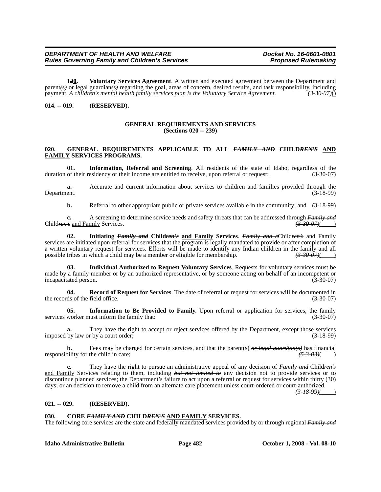**1***2***0. Voluntary Services Agreement**. A written and executed agreement between the Department and parent<del>(</del>s) or legal guardian(s) regarding the goal, areas of concern, desired results, and task responsibility, including payment. A children's mental health family services plan is the Voluntary Service Agreement. (3-30payment. *A children's mental health family services plan is the Voluntary Service Agreement. (3-30-07)*()

# **014. -- 019. (RESERVED).**

#### **GENERAL REQUIREMENTS AND SERVICES (Sections 020 -- 239)**

#### **020. GENERAL REQUIREMENTS APPLICABLE TO ALL** *FAMILY AND* **CHILD***REN'S* **AND FAMILY SERVICES PROGRAMS.**

**01.** Information, Referral and Screening. All residents of the state of Idaho, regardless of the of their residency or their income are entitled to receive, upon referral or request:  $(3-30-07)$ duration of their residency or their income are entitled to receive, upon referral or request:

**a.** Accurate and current information about services to children and families provided through the Department. (3-18-99) Department. (3-18-99)

**b.** Referral to other appropriate public or private services available in the community; and  $(3-18-99)$ 

**c.** A screening to determine service needs and safety threats that can be addressed through *Family and* Child*ren's* and Family Services. *(3-30-07)*( )

**02. Initiating** *Family and* **Child***ren's* **and Family Services**. *Family and c*Child*ren's* and Family services are initiated upon referral for services that the program is legally mandated to provide or after completion of a written voluntary request for services. Efforts will be made to identify any Indian children in the family and all possible tribes in which a child may be a member or eligible for membership.  $(3-30-07)($ 

**03. Individual Authorized to Request Voluntary Services**. Requests for voluntary services must be made by a family member or by an authorized representative, or by someone acting on behalf of an incompetent or incapacitated person. (3-30-07)

**04. Record of Request for Services**. The date of referral or request for services will be documented in ds of the field office. (3-30-07) the records of the field office.

**05.** Information to Be Provided to Family. Upon referral or application for services, the family worker must inform the family that: (3-30-07) services worker must inform the family that:

**a.** They have the right to accept or reject services offered by the Department, except those services imposed by law or by a court order; (3-18-99)

**b.** Fees may be charged for certain services, and that the parent(s)  $\theta r$  legal guardian(s) has financial bility for the child in care: responsibility for the child in care;

**c.** They have the right to pursue an administrative appeal of any decision of *Family and* Child*ren's* and Family Services relating to them, including *but not limited to* any decision not to provide services or to discontinue planned services; the Department's failure to act upon a referral or request for services within thirty (30) days; or an decision to remove a child from an alternate care placement unless court-ordered or court-authorized.

*(3-18-99)*( )

#### **021. -- 029. (RESERVED).**

#### **030. CORE** *FAMILY AND* **CHILD***REN'S* **AND FAMILY SERVICES.**

The following core services are the state and federally mandated services provided by or through regional *Family and*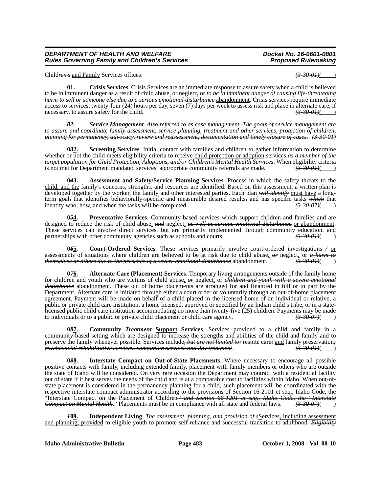Child*ren's* and Family Services offices: *(3-30-01)*( )

**01. Crisis Services**. Crisis Services are an immediate response to assure safety when a child is believed to be in imminent danger as a result of child abuse, or neglect, or *to be in imminent danger of causing life-threatening harm to self or someone else due to a serious emotional disturbance* abandonment. Crisis services require immediate access to services, twenty-four (24) hours per day, seven (7) days per week to assess risk and place in alternate care, if<br>necessary, to assure safety for the child. necessary, to assure safety for the child. *(3-30-01)***( )**  $(3-30-01)$ 

*02. Service Management. Also referred to as case management. The goals of service management are to assure and coordinate family assessment, service planning, treatment and other services, protection of children, planning for permanency, advocacy, review and reassessment, documentation and timely closure of cases. (3-30-01)*

**0***3***2. Screening Services**. Initial contact with families and children to gather information to determine whether or not the child meets eligibility criteria to receive child protection or adoption services *as a member of the target population for Child Protection, Adoptions, and/or Children's Mental Health Services*. When eligibility criteria is not met for Department mandated services, appropriate community referrals are made.  $\left(3-30-0.01\$ is not met for Department mandated services, appropriate community referrals are made.

**0***4***3. Assessment and Safety/Service Planning Services**. Process in which the safety threats to the child, and the family's concerns, strengths, and resources are identified. Based on this assessment, a written plan is developed together by the worker, the family and other interested parties. Each plan *will identify* must have a longterm goal<sub>7</sub> that identifies behaviorally-specific and measurable desired results<sub>7</sub> and has specific tasks which that identify who, how, and when the tasks will be completed.  $\left(3-30-07\right)$ identify who, how, and when the tasks will be completed.

**054.** Preventative Services. Community-based services which support children and families and are designed to reduce the risk of child abuse, *and* neglect, *as well as serious emotional disturbance* or abandonment. These services can involve direct services, but are primarily implemented through community education, and partnerships with other community agencies such as schools and courts.  $(3-30-01)$ 

**Court-Ordered Services**. These services primarily involve court-ordered investigations  $\neq$  or assessments of situations where children are believed to be at risk due to child abuse, *or* neglect, or *a harm to themselves or others due to the presence of a severe emotional disturbance* abandonment.

**0***7***6. Alternate Care (Placement) Services**. Temporary living arrangements outside of the family home for children and youth who are victims of child abuse, *or* neglect, or *children and youth with a severe emotional disturbance* abandonment. These out of home placements are arranged for and financed in full or in part by the Department. Alternate care is initiated through either a court order or voluntarily through an out-of-home placement agreement. Payment will be made on behalf of a child placed in the licensed home of an individual or relative, a public or private child care institution, a home licensed, approved or specified by an Indian child's tribe, or in a statelicensed public child care institution accommodating no more than twenty-five (25) children. Payments may be made to individuals or to a public or private child placement or child care agency. to individuals or to a public or private child placement or child care agency.

**087.** Community *Treatment* **Support** Services. Services provided to a child and family in a community-based setting which are designed to increase the strengths and abilities of the child and family and to preserve the family whenever possible. Services include*, but are not limited to:* respite care*;* and family preservation*; psychosocial rehabilitative services, companion services and day treatment*. *(3-30-01)*( )

**0***9***8. Interstate Compact on Out-of-State Placements**. Where necessary to encourage all possible positive contacts with family, including extended family, placement with family members or others who are outside the state of Idaho will be considered. On very rare occasion the Department may contract with a residential facility out of state if it best serves the needs of the child and is at a comparable cost to facilities within Idaho. When out-ofstate placement is considered in the permanency planning for a child, such placement will be coordinated with the respective interstate compact administrator according to the provisions of Section 16-2101 et seq., Idaho Code, the "Interstate Compact on the Placement of Children*" and Section 66-1201 et seq., Idaho Code, the "Interstate Compact on Mental Health.*" Placements must be in compliance with all state and federal laws.

**Independent Living**. *The assessment, planning, and provision of s*Services, including assessment and planning, provided to eligible youth to promote self-reliance and successful transition to adulthood. *Eligibility*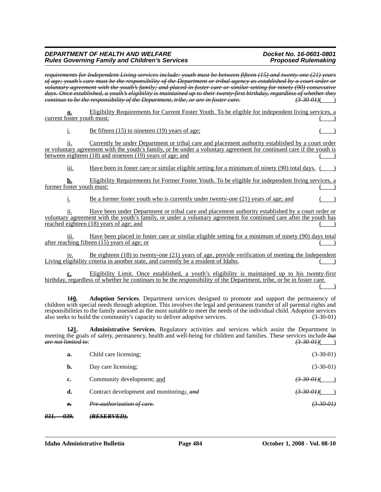# *DEPARTMENT OF HEALTH AND WELFARE Docket No. 16-0601-0801 Rules Governing Family and Children's Services* Physics And *Proposed Rulemaking*

|                                         | requirements for Independent Living services include: youth must be between fifteen (15) and twenty-one (21) years<br>of age; youth's care must be the responsibility of the Department or tribal agency as established by a court order or<br>voluntary agreement with the youth's family; and placed in foster care or similar setting for ninety (90) consecutive<br>days. Once established, a youth's eligibility is maintained up to their twenty-first birthday, regardless of whether they |                            |
|-----------------------------------------|---------------------------------------------------------------------------------------------------------------------------------------------------------------------------------------------------------------------------------------------------------------------------------------------------------------------------------------------------------------------------------------------------------------------------------------------------------------------------------------------------|----------------------------|
|                                         | eontinue to be the responsibility of the Department, tribe, or are in foster care.                                                                                                                                                                                                                                                                                                                                                                                                                | <del>(3 30 01)</del> (     |
| <u>a.</u><br>current foster youth must: | Eligibility Requirements for Current Foster Youth. To be eligible for independent living services, a                                                                                                                                                                                                                                                                                                                                                                                              |                            |
| <u>i.</u>                               | Be fifteen $(15)$ to nineteen $(19)$ years of age:                                                                                                                                                                                                                                                                                                                                                                                                                                                |                            |
| 11.                                     | Currently be under Department or tribal care and placement authority established by a court order<br>or voluntary agreement with the youth's family, or be under a voluntary agreement for continued care if the youth is<br>between eighteen (18) and nineteen (19) years of age; and                                                                                                                                                                                                            |                            |
| iii.                                    | Have been in foster care or similar eligible setting for a minimum of ninety (90) total days.                                                                                                                                                                                                                                                                                                                                                                                                     |                            |
| b.<br>former foster youth must:         | Eligibility Requirements for Former Foster Youth. To be eligible for independent living services, a                                                                                                                                                                                                                                                                                                                                                                                               |                            |
| <u>i.</u>                               | Be a former foster youth who is currently under twenty-one (21) years of age; and                                                                                                                                                                                                                                                                                                                                                                                                                 |                            |
| 11.                                     | Have been under Department or tribal care and placement authority established by a court order or<br>voluntary agreement with the youth's family, or under a voluntary agreement for continued care after the youth has<br>reached eighteen (18) years of age; and                                                                                                                                                                                                                                |                            |
| 111.                                    | Have been placed in foster care or similar eligible setting for a minimum of ninety (90) days total<br>after reaching fifteen (15) years of age; or                                                                                                                                                                                                                                                                                                                                               |                            |
| 1V.                                     | Be eighteen $(18)$ to twenty-one $(21)$ years of age, provide verification of meeting the Independent<br>Living eligibility criteria in another state, and currently be a resident of Idaho.                                                                                                                                                                                                                                                                                                      |                            |
| $c_{\cdot}$                             | Eligibility Limit. Once established, a youth's eligibility is maintained up to his twenty-first<br>birthday, regardless of whether he continues to be the responsibility of the Department, tribe, or be in foster care.                                                                                                                                                                                                                                                                          |                            |
| 170.                                    | Adoption Services. Department services designed to promote and support the permanency of<br>children with special needs through adoption. This involves the legal and permanent transfer of all parental rights and<br>responsibilities to the family assessed as the most suitable to meet the needs of the individual child. Adoption services<br>also seeks to build the community's capacity to deliver adoptive services.                                                                    | $(3-30-01)$                |
| 121.<br>are not limited to:             | Administrative Services. Regulatory activities and services which assist the Department in<br>meeting the goals of safety, permanency, health and well-being for children and families. These services include-but                                                                                                                                                                                                                                                                                | $\left(3\,30\,01\right)()$ |
| a.                                      | Child care licensing;                                                                                                                                                                                                                                                                                                                                                                                                                                                                             | $(3-30-01)$                |
| b.                                      | Day care licensing;                                                                                                                                                                                                                                                                                                                                                                                                                                                                               | $(3-30-01)$                |
| c.                                      | Community development; and                                                                                                                                                                                                                                                                                                                                                                                                                                                                        | $\frac{(3-30.01)}{)}$      |
| d.                                      | Contract development and monitoring; and                                                                                                                                                                                                                                                                                                                                                                                                                                                          |                            |
| $e_{\overline{\cdot}}$                  | Pre-authorization of care.                                                                                                                                                                                                                                                                                                                                                                                                                                                                        |                            |
| <u>өз9.</u><br><del>031.</del>          | (RESERVED).                                                                                                                                                                                                                                                                                                                                                                                                                                                                                       |                            |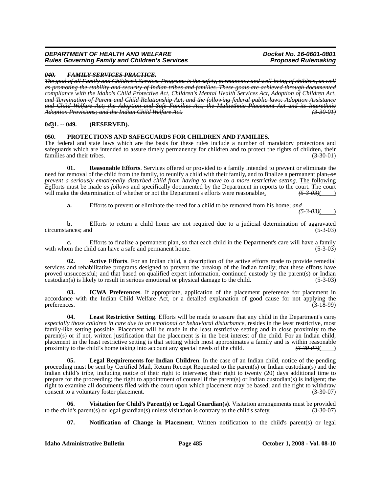#### *040. FAMILY SERVICES PRACTICE.*

*The goal of all Family and Children's Services Programs is the safety, permanency and well-being of children, as well as promoting the stability and security of Indian tribes and families. These goals are achieved through documented compliance with the Idaho's Child Protective Act, Children's Mental Health Services Act, Adoption of Children Act, and Termination of Parent and Child Relationship Act, and the following federal public laws: Adoption Assistance and Child Welfare Act; the Adoption and Safe Families Act; the Multiethnic Placement Act and its Interethnic Adoption Provisions; and the Indian Child Welfare Act. (3-30-01)*

# **0***4***31. -- 049. (RESERVED).**

## **050. PROTECTIONS AND SAFEGUARDS FOR CHILDREN AND FAMILIES.**

The federal and state laws which are the basis for these rules include a number of mandatory protections and safeguards which are intended to assure timely permanency for children and to protect the rights of children, their families and their tribes. (3-30-01) (3-30-01)

**01. Reasonable Efforts**. Services offered or provided to a family intended to prevent or eliminate the need for removal of the child from the family, to reunify a child with their family, and to finalize a permanent plan*, or prevent a seriously emotionally disturbed child from having to move to a more restrictive setting*. The following *E*efforts must be made *as follows* and specifically documented by the Department in reports to the court. The court will make the determination of whether or not the Department's efforts were reasonable. will make the determination of whether or not the Department's efforts were reasonable.  $\left(53-03\right)$  ( $\left(53-03\right)$ )

**a.** Efforts to prevent or eliminate the need for a child to be removed from his home; *and*

*(5-3-03)*( )

**b.** Efforts to return a child home are not required due to a judicial determination of aggravated ances: and (5-3-03) circumstances; and

**c.** Efforts to finalize a permanent plan, so that each child in the Department's care will have a family on the child can have a safe and permanent home. (5-3-03) with whom the child can have a safe and permanent home.

**02. Active Efforts**. For an Indian child, a description of the active efforts made to provide remedial services and rehabilitative programs designed to prevent the breakup of the Indian family; that these efforts have proved unsuccessful; and that based on qualified expert information, continued custody by the parent(s) or Indian custodian(s) is likely to result in serious emotional or physical damage to the child. (5-3-03)

**03. ICWA Preferences**. If appropriate, application of the placement preference for placement in accordance with the Indian Child Welfare Act, or a detailed explanation of good cause for not applying the preferences. (3-18-99) preferences.  $(3-18-99)$ 

**04.** Least Restrictive Setting. Efforts will be made to assure that any child in the Department's care-<br>especially those children in care due to an emotional or behavioral disturbance, resides in the least restrictive, mo family-like setting possible. Placement will be made in the least restrictive setting and in close proximity to the parent(s) or if not, written justification that the placement is in the best interest of the child. For an Indian child, placement in the least restrictive setting is that setting which most approximates a family and is within reasonable proximity to the child's home taking into account any special needs of the child.  $\left(3-30-07\right)\left(4-30-0$ proximity to the child's home taking into account any special needs of the child.

**05. Legal Requirements for Indian Children**. In the case of an Indian child, notice of the pending proceeding must be sent by Certified Mail, Return Receipt Requested to the parent(s) or Indian custodian(s) and the Indian child's tribe, including notice of their right to intervene; their right to twenty (20) days additional time to prepare for the proceeding; the right to appointment of counsel if the parent(s) or Indian custodian(s) is indigent; the right to examine all documents filed with the court upon which placement may be based; and the right to withdraw consent to a voluntary foster placement. (3-30-07)

**06. Visitation for Child's Parent(s) or Legal Guardian(s)**. Visitation arrangements must be provided ild's parent(s) or legal guardian(s) unless visitation is contrary to the child's safety. (3-30-07) to the child's parent(s) or legal guardian(s) unless visitation is contrary to the child's safety.

**07. Notification of Change in Placement**. Written notification to the child's parent(s) or legal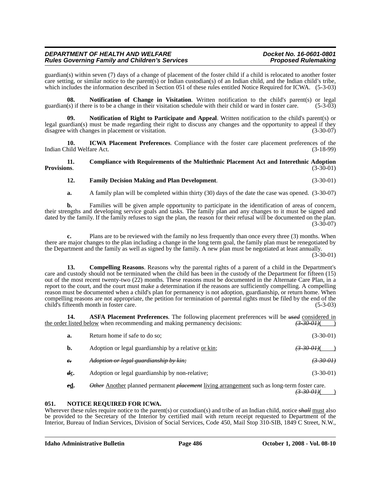guardian(s) within seven (7) days of a change of placement of the foster child if a child is relocated to another foster care setting, or similar notice to the parent(s) or Indian custodian(s) of an Indian child, and the Indian child's tribe, which includes the information described in Section 051 of these rules entitled Notice Required for ICWA. (5-3-03)

**08. Notification of Change in Visitation**. Written notification to the child's parent(s) or legal guardian(s) if there is to be a change in their visitation schedule with their child or ward in foster care. (5-3-03)

**09. Notification of Right to Participate and Appeal**. Written notification to the child's parent(s) or legal guardian(s) must be made regarding their right to discuss any changes and the opportunity to appeal if they disagree with changes in placement or visitation. (3-30-07)

**10. ICWA Placement Preferences**. Compliance with the foster care placement preferences of the hild Welfare Act. (3-18-99) Indian Child Welfare Act.

**11. Compliance with Requirements of the Multiethnic Placement Act and Interethnic Adoption Provisions.** (3-30-01)

# **12. Family Decision Making and Plan Development**. (3-30-01)

**a.** A family plan will be completed within thirty (30) days of the date the case was opened. (3-30-07)

**b.** Families will be given ample opportunity to participate in the identification of areas of concern, their strengths and developing service goals and tasks. The family plan and any changes to it must be signed and dated by the family. If the family refuses to sign the plan, the reason for their refusal will be documented on the plan. (3-30-07)

**c.** Plans are to be reviewed with the family no less frequently than once every three (3) months. When there are major changes to the plan including a change in the long term goal, the family plan must be renegotiated by the Department and the family as well as signed by the family. A new plan must be negotiated at least annually.

(3-30-01)

**13. Compelling Reasons**. Reasons why the parental rights of a parent of a child in the Department's care and custody should not be terminated when the child has been in the custody of the Department for fifteen (15) out of the most recent twenty-two (22) months. These reasons must be documented in the Alternate Care Plan, in a report to the court, and the court must make a determination if the reasons are sufficiently compelling. A compelling reason must be documented when a child's plan for permanency is not adoption, guardianship, or return home. When compelling reasons are not appropriate, the petition for termination of parental rights must be filed by the end of the child's fifteenth month in foster care. (5-3-03)

**14. ASFA Placement Preferences**. The following placement preferences will be *used* considered in the order listed below when recommending and making permanency decisions:  $(3-30-01)$ 

| a.                     | Return home if safe to do so:                        | $(3-30-01)$            |
|------------------------|------------------------------------------------------|------------------------|
| b.                     | Adoption or legal guardianship by a relative or kin; | <del>(3-30-01)</del> ( |
| $e_{\overline{\cdot}}$ | Adoption or legal guardianship by kin;               | (3300)                 |
| dc.                    | Adoption or legal guardianship by non-relative;      | $(3-30-01)$            |
|                        |                                                      |                        |

*e***d.** *Other* Another planned permanent *placement* living arrangement such as long-term foster care.

*(3-30-01)*( )

#### **051. NOTICE REQUIRED FOR ICWA.**

Wherever these rules require notice to the parent(s) or custodian(s) and tribe of an Indian child, notice *shall* must also be provided to the Secretary of the Interior by certified mail with return receipt requested to Department of the Interior, Bureau of Indian Services, Division of Social Services, Code 450, Mail Stop 310-SIB, 1849 C Street, N.W.,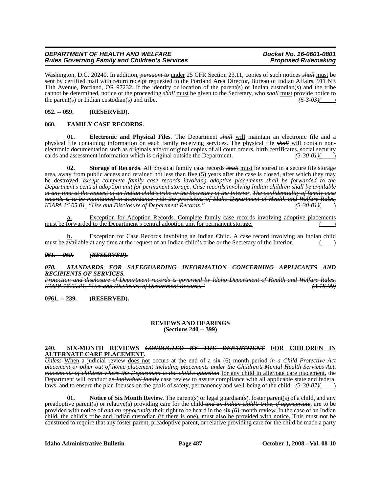Washington, D.C. 20240. In addition, *pursuant to* under 25 CFR Section 23.11, copies of such notices *shall* must be sent by certified mail with return receipt requested to the Portland Area Director, Bureau of Indian Affairs, 911 NE 11th Avenue, Portland, OR 97232. If the identity or location of the parent(s) or Indian custodian(s) and the tribe cannot be determined, notice of the proceeding *shall* must be given to the Secretary, who *shall* must provide notice to the parent(s) or Indian custodian(s) and tribe.  $\frac{(5-3.03)}{(2.5-3.03)}$ the parent(s) or Indian custodian(s) and tribe.

# **052. -- 059. (RESERVED).**

# **060. FAMILY CASE RECORDS.**

**01. Electronic and Physical Files**. The Department *shall* will maintain an electronic file and a physical file containing information on each family receiving services. The physical file *shall* will contain nonelectronic documentation such as originals and/or original copies of all court orders, birth certificates, social security cards and assessment information which is original outside the Department.  $\left(3\right.30\right.01\text{)}$ cards and assessment information which is original outside the Department.

**02. Storage of Records**. All physical family case records *shall* must be stored in a secure file storage area, away from public access and retained not less than five (5) years after the case is closed, after which they may be destroyed*, except complete family case records involving adoptive placements shall be forwarded to the Department's central adoption unit for permanent storage. Case records involving Indian children shall be available at any time at the request of an Indian child's tribe or the Secretary of the Interior*. *The confidentiality of family case records is to be maintained in accordance with the provisions of Idaho Department of Health and Welfare Rules, IDAPA 16.05.01, "Use and Disclosure of Department Records."* 

Exception for Adoption Records. Complete family case records involving adoptive placements must be forwarded to the Department's central adoption unit for permanent storage.

**b.** Exception for Case Records Involving an Indian Child. A case record involving an Indian child must be available at any time at the request of an Indian child's tribe or the Secretary of the Interior.

# *061. -- 069. (RESERVED).*

#### *070. STANDARDS FOR SAFEGUARDING INFORMATION CONCERNING APPLICANTS AND RECIPIENTS OF SERVICES.*

*Protection and disclosure of Department records is governed by Idaho Department of Health and Welfare Rules, IDAPA 16.05.01, "Use and Disclosure of Department Records." (3-18-99)*

**0***7***61. -- 239. (RESERVED).**

# **REVIEWS AND HEARINGS**

**(Sections 240 -- 399)**

## **240. SIX-MONTH REVIEWS** *CONDUCTED BY THE DEPARTMENT* **FOR CHILDREN IN ALTERNATE CARE PLACEMENT.**

*Unless* When a judicial review does not occur*s* at the end of a six (6) month period *in a Child Protective Act placement or other out of home placement including placements under the Children's Mental Health Services Act, placements of children where the Department is the child's guardian* for any child in alternate care placement, the Department will conduct an *individual family* case review to assure compliance with all applicable state and federal laws, and to ensure the plan focuses on the goals of safety, permanency and well-being of the child.  $(3-30-07)$ 

**01.** Notice of Six Month Review. The parent(s) or legal guardian(s), foster parent(s) of a child, and any preadoptive parent(s) or relative(s) providing care for the child *and an Indian child's tribe, if appropriate*, are to be provided with notice of *and an opportunity* their right to be heard in the six *(6)*-month review. In the case of an Indian child, the child's tribe and Indian custodian (if there is one), must also be provided with notice. This must not be construed to require that any foster parent, preadoptive parent, or relative providing care for the child be made a party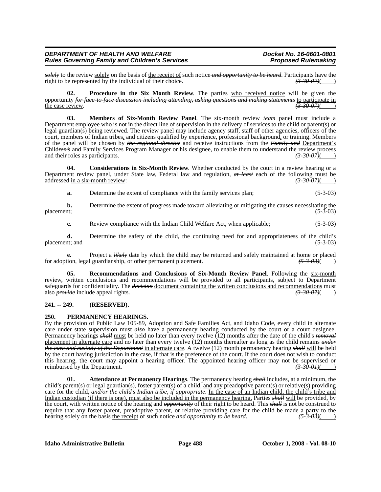*solely* to the review <u>solely</u> on the basis of <u>the receipt of</u> such notice *and opportunity to be heard*. Participants have the right to be represented by the individual of their choice.  $\overrightarrow{(3.30.07)}}$ right to be represented by the individual of their choice.

**Procedure in the Six Month Review**. The parties who received notice will be given the opportunity *for face-to-face discussion including attending, asking questions and making statements* to participate in the case review. *(3-30-07)*( )

**03. Members of Six-Month Review Panel**. The six-month review *team* panel must include a Department employee who is not in the direct line of supervision in the delivery of services to the child or parent(s) or legal guardian(s) being reviewed. The review panel may include agency staff, staff of other agencies, officers of the court, members of Indian tribes, and citizens qualified by experience, professional background, or training. Members of the panel will be chosen by *the regional director* and receive instructions from the *Family and* Department's Child<del>ren's</del> and Family Services Program Manager or his designee, to enable them to understand the review process and their roles as participants. (3.30.07)( and their roles as participants.

**04. Considerations in Six-Month Review**. Whether conducted by the court in a review hearing or a Department review panel, under State law, Federal law and regulation,  $\frac{at \text{ least}}{at \text{ least}}$  each of the following must be addressed in a six-month review: addressed in a six-month review:

**a.** Determine the extent of compliance with the family services plan; (5-3-03)

**b.** Determine the extent of progress made toward alleviating or mitigating the causes necessitating the placement; (5-3-03) placement;  $(5-3-03)$ 

**c.** Review compliance with the Indian Child Welfare Act, when applicable; (5-3-03)

**d.** Determine the safety of the child, the continuing need for and appropriateness of the child's placement; and (5-3-03)

**e.** Project a *likely* date by which the child may be returned and safely maintained at home or placed tion, legal guardianship, or other permanent placement.  $\frac{(5-3-0.3)}{(5-3-0.3)}$ for adoption, legal guardianship, or other permanent placement.

**Recommendations and Conclusions of Six-Month Review Panel**. Following the six-month review, written conclusions and recommendations will be provided to all participants, subject to Department safeguards for confidentiality. The *decision* <u>document containing the written conclusions and recommendations</u> must<br>also *provide* include appeal rights. also *provide* include appeal rights.

# **241. -- 249. (RESERVED).**

#### **250. PERMANENCY HEARINGS.**

By the provision of Public Law 105-89, Adoption and Safe Families Act, and Idaho Code, every child in alternate care under state supervision must  $\frac{d}{dS}$  have a permanency hearing conducted by the court or a court designee. Permanency hearings *shall* must be held no later than every twelve (12) months after the date of the child's *removal* placement in alternate care and no later than every twelve (12) months thereafter as long as the child remains *under the care and custody of the Department* in alternate care. A twelve (12) month permanency hearing *shall* will be held by the court having jurisdiction in the case, if that is the preference of the court. If the court does not wish to conduct this hearing, the court may appoint a hearing officer. The appointed hearing officer may not be supervised or reimbursed by the Department.  $\left(3-30-01\right)\left(4-30-01\right)$ reimbursed by the Department.

**01. Attendance at Permanency Hearings**. The permanency hearing *shall* includes, at a minimum, the child's parent(s) or legal guardian(s), foster parent(s) of a child, and any preadoptive parent(s) or relative(s) providing care for the child*, and/or the child's Indian tribe, if appropriate*. In the case of an Indian child, the child's tribe and Indian custodian (if there is one), must also be included in the permanency hearing. Parties *shall* will be provided, by the court, with written notice of the hearing and *opportunity* of their right to be heard. This *shall* is not be construed to require that any foster parent, preadoptive parent, or relative providing care for the child be made a party to the hearing solely on the basis the receipt of such notice and opportunity to be heard.  $(53.03)()$ hearing solely on the basis the receipt of such notice and opportunity to be heard.  $(5\frac{3}{9})(\frac{1}{2})$ 

**Idaho Administrative Bulletin Page 488 October 1, 2008 - Vol. 08-10**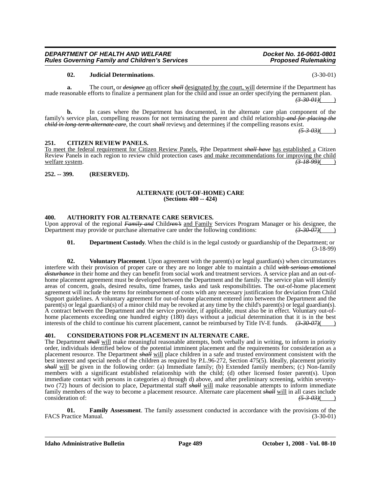# *Rules Governing Family and Children's Services* **02. Judicial Determinations**. (3-30-01)

**a.** The court, or *designee* an officer *shall* designated by the court, will determine if the Department has made reasonable efforts to finalize a permanent plan for the child and issue an order specifying the permanent plan. *(3-30-01)*( )

**b.** In cases where the Department has documented, in the alternate care plan component of the family's service plan, compelling reasons for not terminating the parent and child relationship *and for placing the child in long-term alternate care*, the court *shall* reviews and determines if the compelling reasons exist.

 $(5 - 3 - 03)$ 

# **251. CITIZEN REVIEW PANELS.**

To meet the federal requirement for Citizen Review Panels, *T*the Department *shall have* has established a Citizen Review Panel*s* in each region to review child protection cases and make recommendations for improving the child welfare system. *(3-18-99)*( )

# **252. -- 399. (RESERVED).**

# **ALTERNATE (OUT-OF-HOME) CARE (Sections 400 -- 424)**

# **400. AUTHORITY FOR ALTERNATE CARE SERVICES.**

Upon approval of the regional *Family and* Children's and Family Services Program Manager or his designee, the Department may provide or purchase alternative care under the following conditions:  $\left(3.3007\right)(1)$ Department may provide or purchase alternative care under the following conditions:

#### **01. Department Custody**. When the child is in the legal custody or guardianship of the Department; or (3-18-99)

**02. Voluntary Placement**. Upon agreement with the parent(s) or legal guardian(s) when circumstances interfere with their provision of proper care or they are no longer able to maintain a child *with serious emotional disturbance* in their home and they can benefit from social work and treatment services. A service plan and an out-ofhome placement agreement must be developed between the Department and the family. The service plan will identify areas of concern, goals, desired results, time frames, tasks and task responsibilities. The out-of-home placement agreement will include the terms for reimbursement of costs with any necessary justification for deviation from Child Support guidelines. A voluntary agreement for out-of-home placement entered into between the Department and the parent(s) or legal guardian(s) of a minor child may be revoked at any time by the child's parent(s) or legal guardian(s). A contract between the Department and the service provider, if applicable, must also be in effect. Voluntary out-ofhome placements exceeding one hundred eighty (180) days without a judicial determination that it is in the best interests of the child to continue his current placement, cannot be reimbursed by Title IV-E funds.  $\left(3\text{-}30\text{-}07\right)\left(2\text{-}0.025\right)$ 

# **401. CONSIDERATIONS FOR PLACEMENT IN ALTERNATE CARE.**

The Department *shall* will make meaningful reasonable attempts, both verbally and in writing, to inform in priority order, individuals identified below of the potential imminent placement and the requirements for consideration as a placement resource. The Department *shall* will place children in a safe and trusted environment consistent with the best interest and special needs of the children as required by P.L.96-272, Section 475(5). Ideally, placement priority *shall* will be given in the following order: (a) Immediate family; (b) Extended family members; (c) Non-family members with a significant established relationship with the child; (d) other licensed foster parent(s). Upon immediate contact with persons in categories a) through d) above, and after preliminary screening, within seventytwo (72) hours of decision to place, Departmental staff *shall* will make reasonable attempts to inform immediate family members of the way to become a placement resource. Alternate care placement *shall* will in all cases include consideration of: consideration of:  $\left(5-3-03\right)$  (5-3-03)

**01. Family Assessment**. The family assessment conducted in accordance with the provisions of the actice Manual. (3-30-01) FACS Practice Manual.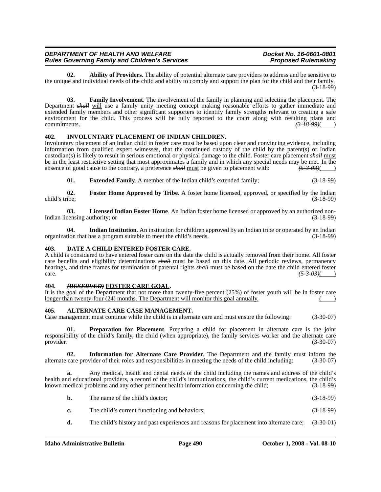**02. Ability of Providers**. The ability of potential alternate care providers to address and be sensitive to the unique and individual needs of the child and ability to comply and support the plan for the child and their family. (3-18-99)

**03. Family Involvement**. The involvement of the family in planning and selecting the placement. The Department *shall* will use a family unity meeting concept making reasonable efforts to gather immediate and extended family members and other significant supporters to identify family strengths relevant to creating a safe environment for the child. This process will be fully reported to the court along with resulting plans and commitments. *(3-18-99)*( )

# **402. INVOLUNTARY PLACEMENT OF INDIAN CHILDREN.**

Involuntary placement of an Indian child in foster care must be based upon clear and convincing evidence, including information from qualified expert witnesses, that the continued custody of the child by the parent(s) or Indian custodian(s) is likely to result in serious emotional or physical damage to the child. Foster care placement *shall* must be in the least restrictive setting that most approximates a family and in which any special needs may be met. In the absence of good cause to the contrary, a preference shall must be given to placement with:  $\frac{(5-3-0.3)}$ absence of good cause to the contrary, a preference *shall* must be given to placement with:

**01. Extended Family**. A member of the Indian child's extended family; (3-18-99)

**02. Foster Home Approved by Tribe**. A foster home licensed, approved, or specified by the Indian child's tribe; (3-18-99)

**03. Licensed Indian Foster Home**. An Indian foster home licensed or approved by an authorized non-Indian licensing authority; or (3-18-99)

**04. Indian Institution**. An institution for children approved by an Indian tribe or operated by an Indian organization that has a program suitable to meet the child's needs. (3-18-99)

## **403. DATE A CHILD ENTERED FOSTER CARE.**

A child is considered to have entered foster care on the date the child is actually removed from their home. All foster care benefits and eligibility determinations *shall* must be based on this date. All periodic reviews, permanency hearings, and time frames for termination of parental rights *shall* must be based on the date the child entered foster care. *(5-3-03)*( )

# **404.** *(RESERVED)* FOSTER CARE GOAL.

| It is the goal of the Department that not more than twenty-five percent $(25%)$ of foster vouth will be in foster care |  |  |  |  |
|------------------------------------------------------------------------------------------------------------------------|--|--|--|--|
| longer than twenty-four (24) months. The Department will monitor this goal annually.                                   |  |  |  |  |

#### **405. ALTERNATE CARE CASE MANAGEMENT.**

Case management must continue while the child is in alternate care and must ensure the following: (3-30-07)

**01. Preparation for Placement**. Preparing a child for placement in alternate care is the joint responsibility of the child's family, the child (when appropriate), the family services worker and the alternate care provider. (3-30-07) provider.  $(3-30-07)$ 

**02. Information for Alternate Care Provider**. The Department and the family must inform the alternate care provider of their roles and responsibilities in meeting the needs of the child including: (3-30-07)

**a.** Any medical, health and dental needs of the child including the names and address of the child's health and educational providers, a record of the child's immunizations, the child's current medications, the child's known medical problems and any other pertinent health information concerning the child; (3-18-99)

- **b.** The name of the child's doctor; (3-18-99)
- **c.** The child's current functioning and behaviors; (3-18-99)
- **d.** The child's history and past experiences and reasons for placement into alternate care; (3-30-01)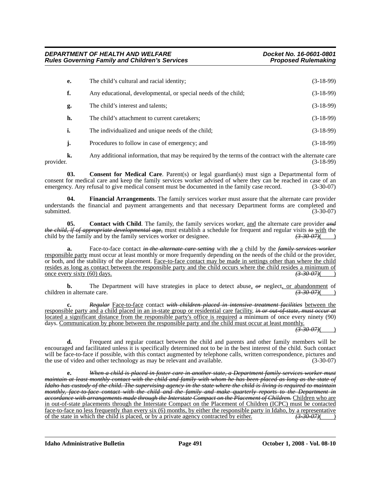| е. | The child's cultural and racial identity;                                    | $(3-18-99)$ |
|----|------------------------------------------------------------------------------|-------------|
| f. | Any educational, developmental, or special needs of the child;               | $(3-18-99)$ |
| g. | The child's interest and talents;                                            | $(3-18-99)$ |
| h. | The child's attachment to current caretakers;                                | $(3-18-99)$ |
| i. | The individualized and unique needs of the child;                            | $(3-18-99)$ |
| j. | Procedures to follow in case of emergency; and                               | $(3-18-99)$ |
|    | $\lambda$ and the distribution of the distribution of the state of $\lambda$ |             |

**k.** Any additional information, that may be required by the terms of the contract with the alternate care provider. (3-18-99)

**03.** Consent for Medical Care. Parent(s) or legal guardian(s) must sign a Departmental form of consent for medical care and keep the family services worker advised of where they can be reached in case of an emergency. Any refusal to give medical consent must be documented in the family case record. (3-30-07)

**04. Financial Arrangements**. The family services worker must assure that the alternate care provider understands the financial and payment arrangements and that necessary Department forms are completed and submitted. (3-30-07)

**05.** Contact with Child. The family, the family services worker, and the alternate care provider and *the child, if of appropriate developmental age,* must establish a schedule for frequent and regular visits *to* with the child by the family and by the family services worker or designee. child by the family and by the family services worker or designee.

**a.** Face-to-face contact *in the alternate care setting* with *the* a child by the *family services worker* responsible party must occur at least monthly or more frequently depending on the needs of the child or the provider, or both, and the stability of the placement. Face-to-face contact may be made in settings other than where the child resides as long as contact between the responsible party and the child occurs where the child resides a minimum of once every sixty (60) days. *(3-30-07)*( )

**b.** The Department will have strategies in place to detect abuse,  $\theta$  reglect, or abandonment of in alternate care.  $\theta$ children in alternate care.

**c.** *Regular* Face-to-face contact *with children placed in intensive treatment facilities* between the responsible party and a child placed in an in-state group or residential care facility, *in or out-of-state, must occur at* located a significant distance from the responsible party's office is required a minimum of once every ninety (90) days. Communication by phone between the responsible party and the child must occur at least monthly.

*(3-30-07)*( )

**d.** Frequent and regular contact between the child and parents and other family members will be encouraged and facilitated unless it is specifically determined not to be in the best interest of the child. Such contact will be face-to-face if possible, with this contact augmented by telephone calls, written correspondence, pictures and the use of video and other technology as may be relevant and available. (3-30-07)

**e.** *When a child is placed in foster care in another state, a Department family services worker must maintain at least monthly contact with the child and family with whom he has been placed as long as the state of Idaho has custody of the child. The supervising agency in the state where the child is living is required to maintain monthly, face-to-face contact with the child and the family and make quarterly reports to the Department in accordance with arrangements made through the Interstate Compact on the Placement of Children.* Children who are in out-of-state placements through the Interstate Compact on the Placement of Children (ICPC) must be contacted face-to-face no less frequently than every six (6) months, by either the responsible party in Idaho, by a representative of the state in which the child is placed, or by a private agency contracted by either.  $\left(3.30-07\$ of the state in which the child is placed, or by a private agency contracted by either.

**Idaho Administrative Bulletin Page 491 October 1, 2008 - Vol. 08-10**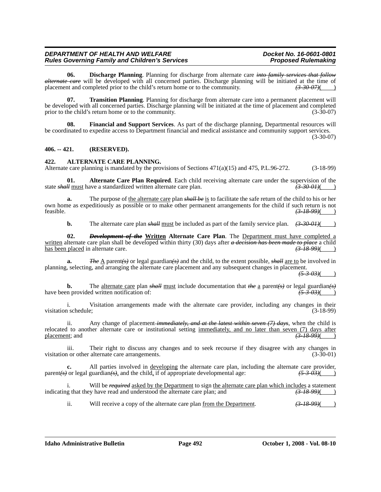**06. Discharge Planning**. Planning for discharge from alternate care *into family services that follow alternate care* will be developed with all concerned parties. Discharge planning will be initiated at the time of placement and completed prior to the child's return home or to the community.  $(3-30-07)$ 

**07. Transition Planning**. Planning for discharge from alternate care into a permanent placement will be developed with all concerned parties. Discharge planning will be initiated at the time of placement and completed<br>prior to the child's return home or to the community. (3-30-07) prior to the child's return home or to the community.

**08. Financial and Support Services**. As part of the discharge planning, Departmental resources will be coordinated to expedite access to Department financial and medical assistance and community support services.

(3-30-07)

## **406. -- 421. (RESERVED).**

## **422. ALTERNATE CARE PLANNING.**

Alternate care planning is mandated by the provisions of Sections  $471(a)(15)$  and  $475$ , P.L.96-272. (3-18-99)

**01. Alternate Care Plan Required**. Each child receiving alternate care under the supervision of the state *shall* must have a standardized written alternate care plan.  $(3-30-01)$ 

**a.** The purpose of the alternate care plan *shall be* is to facilitate the safe return of the child to his or her own home as expeditiously as possible or to make other permanent arrangements for the child if such return is not feasible.  $\left(3\frac{18}{99}\right)$ feasible. *(3-18-99)*( )

**b.** The alternate care plan *shall* must be included as part of the family service plan.  $(3-30-01)$ 

**02.** *Development of the* **Written Alternate Care Plan**. The Department must have completed a written alternate care plan shall be developed within thirty (30) days after *a decision has been made to place* a child has been placed in alternate care.

**a.** *The* A parent*(s)* or legal guardian*(s)* and the child, to the extent possible, *shall* are to be involved in planning, selecting, and arranging the alternate care placement and any subsequent changes in placement.

*(5-3-03)*( )

**b.** The <u>alternate care</u> plan *shall* <u>must</u> include documentation that *the* a parent *(s)* or legal guardian *(s)* have been provided written notification of: *(5-3-03)*(*5-3-03)*(

i. Visitation arrangements made with the alternate care provider, including any changes in their visitation schedule; (3-18-99)

ii. Any change of placement *immediately, and at the latest within seven (7) days*, when the child is relocated to another alternate care or institutional setting immediately, and no later than seven (7) days after placement; and *(3-18-99)*( )

iii. Their right to discuss any changes and to seek recourse if they disagree with any changes in<br>n or other alternate care arrangements. (3-30-01) visitation or other alternate care arrangements.

**c.** All parties involved in <u>developing</u> the alternate care plan, including the alternate care provider,  $\frac{1}{5}$  or legal guardian( $\frac{1}{5}$ ), and the child, if of appropriate developmental age:  $\frac{(5-3-0.3)}{(5-3-0.3)}$ parent(s) or legal guardian(s), and the child, if of appropriate developmental age:

i. Will be *required* asked by the Department to sign the alternate care plan which includes a statement indicating that they have read and understood the alternate care plan; and  $(3-18-99)$ 

ii. Will receive a copy of the alternate care plan <u>from the Department</u>.  $(3-18-99)$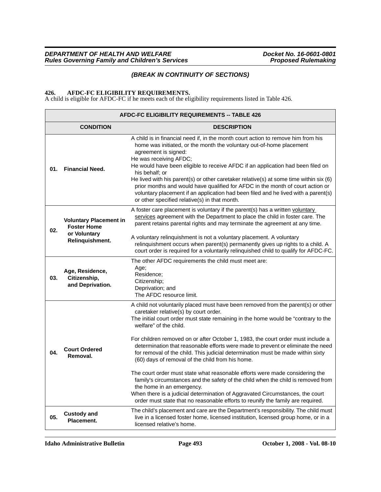# *(BREAK IN CONTINUITY OF SECTIONS)*

## **426. AFDC-FC ELIGIBILITY REQUIREMENTS.**

A child is eligible for AFDC-FC if he meets each of the eligibility requirements listed in Table 426.

|     | <b>AFDC-FC ELIGIBILITY REQUIREMENTS -- TABLE 426</b>                                   |                                                                                                                                                                                                                                                                                                                                                                                                                                                                                                                                                                                                                                                                                                                                                                                                                                                                                                                                 |  |  |  |
|-----|----------------------------------------------------------------------------------------|---------------------------------------------------------------------------------------------------------------------------------------------------------------------------------------------------------------------------------------------------------------------------------------------------------------------------------------------------------------------------------------------------------------------------------------------------------------------------------------------------------------------------------------------------------------------------------------------------------------------------------------------------------------------------------------------------------------------------------------------------------------------------------------------------------------------------------------------------------------------------------------------------------------------------------|--|--|--|
|     | <b>CONDITION</b>                                                                       | <b>DESCRIPTION</b>                                                                                                                                                                                                                                                                                                                                                                                                                                                                                                                                                                                                                                                                                                                                                                                                                                                                                                              |  |  |  |
| 01. | <b>Financial Need.</b>                                                                 | A child is in financial need if, in the month court action to remove him from his<br>home was initiated, or the month the voluntary out-of-home placement<br>agreement is signed:<br>He was receiving AFDC;<br>He would have been eligible to receive AFDC if an application had been filed on<br>his behalf; or<br>He lived with his parent(s) or other caretaker relative(s) at some time within six (6)<br>prior months and would have qualified for AFDC in the month of court action or<br>voluntary placement if an application had been filed and he lived with a parent(s)<br>or other specified relative(s) in that month.                                                                                                                                                                                                                                                                                             |  |  |  |
| 02. | <b>Voluntary Placement in</b><br><b>Foster Home</b><br>or Voluntary<br>Relinquishment. | A foster care placement is voluntary if the parent(s) has a written voluntary<br>services agreement with the Department to place the child in foster care. The<br>parent retains parental rights and may terminate the agreement at any time.<br>A voluntary relinquishment is not a voluntary placement. A voluntary<br>relinquishment occurs when parent(s) permanently gives up rights to a child. A<br>court order is required for a voluntarily relinquished child to qualify for AFDC-FC.                                                                                                                                                                                                                                                                                                                                                                                                                                 |  |  |  |
| 03. | Age, Residence,<br>Citizenship,<br>and Deprivation.                                    | The other AFDC requirements the child must meet are:<br>Age;<br>Residence;<br>Citizenship;<br>Deprivation; and<br>The AFDC resource limit.                                                                                                                                                                                                                                                                                                                                                                                                                                                                                                                                                                                                                                                                                                                                                                                      |  |  |  |
| 04. | <b>Court Ordered</b><br>Removal.                                                       | A child not voluntarily placed must have been removed from the parent(s) or other<br>caretaker relative(s) by court order.<br>The initial court order must state remaining in the home would be "contrary to the<br>welfare" of the child.<br>For children removed on or after October 1, 1983, the court order must include a<br>determination that reasonable efforts were made to prevent or eliminate the need<br>for removal of the child. This judicial determination must be made within sixty<br>(60) days of removal of the child from his home.<br>The court order must state what reasonable efforts were made considering the<br>family's circumstances and the safety of the child when the child is removed from<br>the home in an emergency.<br>When there is a judicial determination of Aggravated Circumstances, the court<br>order must state that no reasonable efforts to reunify the family are required. |  |  |  |
| 05. | <b>Custody and</b><br>Placement.                                                       | The child's placement and care are the Department's responsibility. The child must<br>live in a licensed foster home, licensed institution, licensed group home, or in a<br>licensed relative's home.                                                                                                                                                                                                                                                                                                                                                                                                                                                                                                                                                                                                                                                                                                                           |  |  |  |

**Idaho Administrative Bulletin Page 493 October 1, 2008 - Vol. 08-10**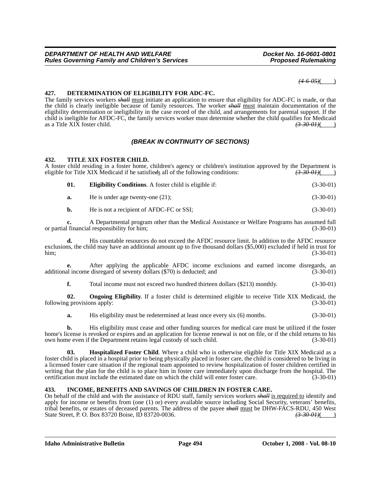*(4-6-05)*( )

## **427. DETERMINATION OF ELIGIBILITY FOR ADC-FC.**

The family services workers *shall* must initiate an application to ensure that eligibility for ADC-FC is made, or that the child is clearly ineligible because of family resources. The worker *shall* must maintain documentation of the eligibility determination or ineligibility in the case record of the child, and arrangements for parental support. If the child is ineligible for AFDC-FC, the family services worker must determine whether the child qualifies for Medicaid as a Title XIX foster child. *(3-30-01)*( )

# *(BREAK IN CONTINUITY OF SECTIONS)*

## **432. TITLE XIX FOSTER CHILD.**

A foster child residing in a foster home, children's agency or children's institution approved by the Department is eligible for Title XIX Medicaid if he satisfieds all of the following conditions:  $\overrightarrow{(3,30,01)}}$ eligible for Title XIX Medicaid if he satisfie*d*s all of the following conditions: *(3-30-01)*( )

| 01. | <b>Eligibility Conditions.</b> A foster child is eligible if: | $(3-30-01)$ |
|-----|---------------------------------------------------------------|-------------|
|     |                                                               |             |

**a.** He is under age twenty-one (21); (3-30-01)

**b.** He is not a recipient of AFDC-FC or SSI;  $(3-30-01)$ 

**c.** A Departmental program other than the Medical Assistance or Welfare Programs has assumed full or partial financial responsibility for him;

**d.** His countable resources do not exceed the AFDC resource limit. In addition to the AFDC resource exclusions, the child may have an additional amount up to five thousand dollars (\$5,000) excluded if held in trust for him; (3-30-01)

**e.** After applying the applicable AFDC income exclusions and earned income disregards, an additional income disregard of seventy dollars (\$70) is deducted; and (3-30-01)

**f.** Total income must not exceed two hundred thirteen dollars (\$213) monthly. (3-30-01)

**02. Ongoing Eligibility**. If a foster child is determined eligible to receive Title XIX Medicaid, the following provisions apply: (3-30-01)

**a.** His eligibility must be redetermined at least once every six (6) months. (3-30-01)

**b.** His eligibility must cease and other funding sources for medical care must be utilized if the foster home's license is revoked or expires and an application for license renewal is not on file, or if the child returns to his own home even if the Department retains legal custody of such child. (3-30-01) own home even if the Department retains legal custody of such child.

**Hospitalized Foster Child**. Where a child who is otherwise eligible for Title XIX Medicaid as a foster child is placed in a hospital prior to being physically placed in foster care, the child is considered to be living in a licensed foster care situation if the regional team appointed to review hospitalization of foster children certified in writing that the plan for the child is to place him in foster care immediately upon discharge from the hospital. The certification must include the estimated date on which the child will enter foster care. (3-30-01)

# **433. INCOME, BENEFITS AND SAVINGS OF CHILDREN IN FOSTER CARE.**

On behalf of the child and with the assistance of RDU staff, family services workers *shall* is required to identify and apply for income or benefits from (one (1) or) every available source including Social Security, veterans' benefits, tribal benefits, or estates of deceased parents. The address of the payee *shall* must be DHW-FACS-RDU, 450 West State Street, P. O. Box 83720 Boise, ID 83720-0036. *(3-30-01) (3-30-01) (3-30-01)*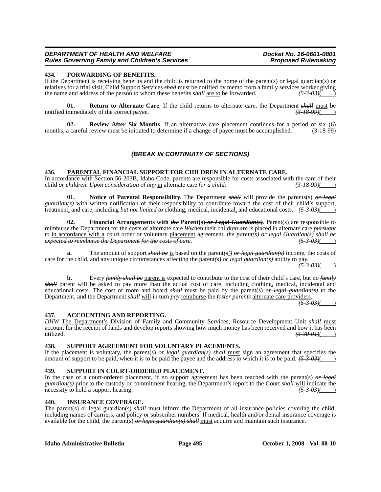# **434. FORWARDING OF BENEFITS.**

If the Department is receiving benefits and the child is returned to the home of the parent(s) or legal guardian(s) or relatives for a trial visit, Child Support Services *shall* <u>must</u> be notified by memo from a family services worker giving<br>the name and address of the person to whom these benefits *shall* are to be forwarded. the name and address of the person to whom these benefits *shall* are to be forwarded.

**01. Return to Alternate Care**. If the child returns to alternate care, the Department *shall* must be immediately of the correct payee. notified immediately of the correct payee.

**02. Review After Six Months**. If an alternative care placement continues for a period of six (6) months, a careful review must be initiated to determine if a change of payee must be accomplished. (3-18-99)

# *(BREAK IN CONTINUITY OF SECTIONS)*

## **436. PARENTAL FINANCIAL SUPPORT FOR CHILDREN IN ALTERNATE CARE.**

In accordance with Section 56-203B, Idaho Code, parents are responsible for costs associated with the care of their child  $\theta$ r children. Upon consideration of any in alternate care for a child:  $(3-18-99)($ child *or children. Upon consideration of any* in alternate care for a child:

**01. Notice of Parental Responsibility**. The Department *shall* will provide the parents(s) *or legal guardian(s)* with written notification of their responsibility to contribute toward the cost of their child's support, treatment, and care, including *but not limited to* clothing, medical, incidental, and educational costs. *(5-3-03)*( )

**02. Financial Arrangements with** *the* **Parent(s)** *or Legal Guardian(s)*. Parent(s) are responsible to reimburse the Department for the costs of alternate care *W*when their child*ren are* is placed in alternate care *pursuant to* in accordance with a court order or voluntary placement agreement*, the parent(s) or legal Guardian(s) shall be expected to reimburse the Department for the costs of care*. *(5-3-03)*( )

**a.** The amount of support *shall be* is based on the parent*(*s'*) or legal guardian(s)* income, the costs of care for the child, and any unique circumstances affecting the parent*(*s*) or legal guardian(s)* ability to pay.

*(5-3-03)*( )

**b.** Every *family shall be* parent is expected to contribute to the cost of their child's care, but no *family shall* parent will be asked to pay more than the actual cost of care, including clothing, medical, incidental and educational costs. The cost of room and board *shall* must be paid by the parent(s) *or legal guardian(s)* to the Department, and the Department *shall* will in turn *pay* reimburse the *foster parents* alternate care providers. *(5-3-03)*( )

#### **437. ACCOUNTING AND REPORTING.**

*DHW* The Department's Division of Family and Community Services, Resource Development Unit *shall* must account for the receipt of funds and develop reports showing how much money has been received and how it has been utilized.<br>  $\left(3-30-0.01\right)$ utilized. *(3-30-01)*( )

#### **438. SUPPORT AGREEMENT FOR VOLUNTARY PLACEMENTS.**

If the placement is voluntary, the parent(s) *or legal guardian(s) shall* must sign an agreement that specifies the amount of support to be paid, when it is to be paid the payee and the address to which it is to be paid. *(5-3-03)*( )

#### **439. SUPPORT IN COURT-ORDERED PLACEMENT.**

In the case of a court-ordered placement, if no support agreement has been reached with the parent(s) *or legal guardian(s)* prior to the custody or commitment hearing, the Department's report to the Court *shall* will indicate the necessity to hold a support hearing. necessity to hold a support hearing.

#### **440. INSURANCE COVERAGE.**

The parent(s) or legal guardian(s) *shall* must inform the Department of all insurance policies covering the child, including names of carriers, and policy or subscriber numbers. If medical, health and/or dental insurance coverage is available for the child, the parent(s) *or legal guardian(s) shall* must acquire and maintain such insurance.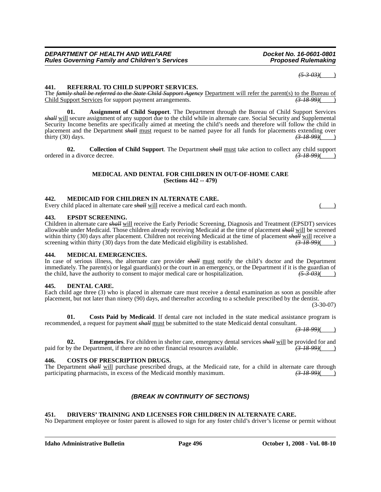*(5-3-03)*( )

# **441. REFERRAL TO CHILD SUPPORT SERVICES.**

The *family shall be referred to the State Child Support Agency* Department will refer the parent(s) to the Bureau of Child Support Services for support payment arrangements. *(3-18-99)*( )

**01. Assignment of Child Support**. The Department through the Bureau of Child Support Services *shall* will secure assignment of any support due to the child while in alternate care. Social Security and Supplemental Security Income benefits are specifically aimed at meeting the child's needs and therefore will follow the child in placement and the Department *shall* <u>must</u> request to be named payee for all funds for placements extending over thirty (30) days. (3.48.99)( thirty (30) days. *(3-18-99)*( )

**02. Collection of Child Support**. The Department *shall* must take action to collect any child support ordered in a divorce decree.  $\overline{(3.18-99)}$  ( $\overline{(3.18-99)}$ )

#### **MEDICAL AND DENTAL FOR CHILDREN IN OUT-OF-HOME CARE (Sections 442 -- 479)**

#### **442. MEDICAID FOR CHILDREN IN ALTERNATE CARE.**

Every child placed in alternate care *shall* will receive a medical card each month.

#### **443. EPSDT SCREENING.**

Children in alternate care *shall* will receive the Early Periodic Screening, Diagnosis and Treatment (EPSDT) services allowable under Medicaid. Those children already receiving Medicaid at the time of placement *shall* will be screened within thirty (30) days after placement. Children not receiving Medicaid at the time of placement *shall* will receive a screening within thirty (30) days from the date Medicaid eligibility is established.  $(3-18-99)$  (a) screening within thirty (30) days from the date Medicaid eligibility is established.

### **444. MEDICAL EMERGENCIES.**

In case of serious illness, the alternate care provider *shall* must notify the child's doctor and the Department immediately. The parent(s) or legal guardian(s) or the court in an emergency, or the Department if it is the guardian of the child, have the authority to consent to major medical care or hospitalization.  $\left(5-3-03\right)\left(1-\right)$ 

#### **445. DENTAL CARE.**

#### Each child age three (3) who is placed in alternate care must receive a dental examination as soon as possible after placement, but not later than ninety (90) days, and thereafter according to a schedule prescribed by the dentist. (3-30-07)

**01. Costs Paid by Medicaid**. If dental care not included in the state medical assistance program is recommended, a request for payment *shall* must be submitted to the state Medicaid dental consultant.

*(3-18-99)*( )

**02. Emergencies**. For children in shelter care, emergency dental services *shall* will be provided for and by the Department, if there are no other financial resources available.  $\left(3-18-99\right)$ paid for by the Department, if there are no other financial resources available.

#### **446. COSTS OF PRESCRIPTION DRUGS.**

The Department *shall* will purchase prescribed drugs, at the Medicaid rate, for a child in alternate care through participating pharmacists, in excess of the Medicaid monthly maximum.  $\left(\frac{3-18-99}{2}\right)$ participating pharmacists, in excess of the Medicaid monthly maximum.

# *(BREAK IN CONTINUITY OF SECTIONS)*

# **451. DRIVERS' TRAINING AND LICENSES FOR CHILDREN IN ALTERNATE CARE.**

No Department employee or foster parent is allowed to sign for any foster child's driver's license or permit without

**Idaho Administrative Bulletin Page 496 October 1, 2008 - Vol. 08-10**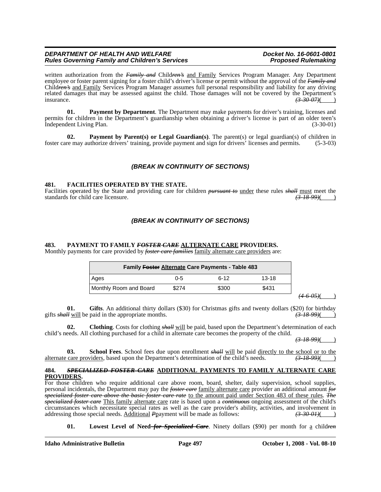written authorization from the *Family and* Child*ren's* and Family Services Program Manager. Any Department employee or foster parent signing for a foster child's driver's license or permit without the approval of the *Family and* Child*ren's* and Family Services Program Manager assumes full personal responsibility and liability for any driving related damages that may be assessed against the child. Those damages will not be covered by the Department's insurance.  $\left(3.30-0.07\right)$ insurance. *(3-30-07)*( )

**01. Payment by Department**. The Department may make payments for driver's training, licenses and permits for children in the Department's guardianship when obtaining a driver's license is part of an older teen's Independent Living Plan. (3-30-01)

**02. Payment by Parent(s) or Legal Guardian(s)**. The parent(s) or legal guardian(s) of children in foster care may authorize drivers' training, provide payment and sign for drivers' licenses and permits. (5-3-03)

# *(BREAK IN CONTINUITY OF SECTIONS)*

## **481. FACILITIES OPERATED BY THE STATE.**

Facilities operated by the State and providing care for children *pursuant to* under these rules *shall* must meet the standards for child care licensure. *(3-18-99)*( )

# *(BREAK IN CONTINUITY OF SECTIONS)*

#### **483. PAYMENT TO FAMILY** *FOSTER CARE* **ALTERNATE CARE PROVIDERS.**

Monthly payments for care provided by *foster care families* family alternate care providers are:

|                          | Family Foster Alternate Care Payments - Table 483 |  |  |  |
|--------------------------|---------------------------------------------------|--|--|--|
| $13 - 18$<br>հ-12<br>ი-5 | Ages                                              |  |  |  |
| \$300<br>\$431<br>\$274  | Monthly Room and Board                            |  |  |  |

*(4-6-05)*( )

**01. Gifts**. An additional thirty dollars (\$30) for Christmas gifts and twenty dollars (\$20) for birthday gifts *shall* will be paid in the appropriate months. *(3-18-99)*( )

**02. Clothing**. Costs for clothing *shall* will be paid, based upon the Department's determination of each child's needs. All clothing purchased for a child in alternate care becomes the property of the child.

*(3-18-99)*( )

**03.** School Fees. School fees due upon enrollment  $\frac{\partial H}{\partial l}$  will be paid directly to the school or to the care providers, based upon the Department's determination of the child's needs.  $\left(\frac{3-18-99}{2}\right)$ alternate care providers, based upon the Department's determination of the child's needs.

#### **484.** *SPECIALIZED FOSTER CARE* **ADDITIONAL PAYMENTS TO FAMILY ALTERNATE CARE PROVIDERS.**

For those children who require additional care above room, board, shelter, daily supervision, school supplies, personal incidentals, the Department may pay the *foster care* family alternate care provider an additional amount *for specialized foster care above the basic foster care rate* to the amount paid under Section 483 of these rules. *The specialized foster care* This family alternate care rate is based upon a *continuous* ongoing assessment of the child's circumstances which necessitate special rates as well as the care provider's ability, activities, and involvement in addressing those special needs. Additional Proayment will be made as follows:  $\left(3-30-0.01\right)$ addressing those special needs. Additional *P*payment will be made as follows:

**01. Lowest Level of Need** *for Specialized Care*. Ninety dollars (\$90) per month for a child*ren*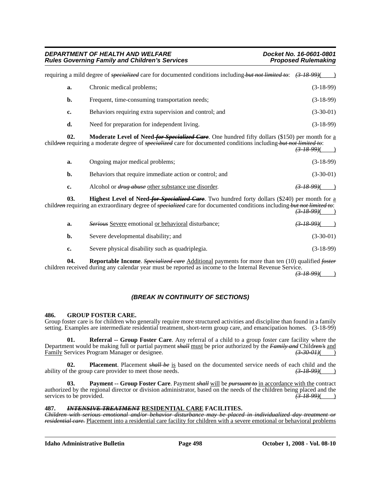| DEPARTMENT OF HEALTH AND WELFARE                      |
|-------------------------------------------------------|
| <b>Rules Governing Family and Children's Services</b> |

| requiring a mild degree of <i>specialized</i> care for documented conditions including <i>but not limited to</i> : (3-18-99) |                                                        |             |
|------------------------------------------------------------------------------------------------------------------------------|--------------------------------------------------------|-------------|
| a.                                                                                                                           | Chronic medical problems;                              | $(3-18-99)$ |
| b.                                                                                                                           | Frequent, time-consuming transportation needs;         | $(3-18-99)$ |
| c.                                                                                                                           | Behaviors requiring extra supervision and control; and | $(3-30-01)$ |
| d.                                                                                                                           | Need for preparation for independent living.           | $(3-18-99)$ |

**02. Moderate Level of Need** *for Specialized Care*. One hundred fifty dollars (\$150) per month for a child*ren* requiring a moderate degree of *specialized* care for documented conditions including *but not limited to*:  $(3, 18, 00)$ ( )

|    |                                                            | $\sqrt{2}$                  |
|----|------------------------------------------------------------|-----------------------------|
| а. | Ongoing major medical problems;                            | $(3-18-99)$                 |
| b. | Behaviors that require immediate action or control; and    | $(3-30-01)$                 |
| c. | Alcohol or <i>drug abuse</i> other substance use disorder. | <del>(3-18-99)</del> (* * * |

**03.** Highest Level of Need-for Specialized Care. Two hundred forty dollars (\$240) per month for a child*ren* requiring an extraordinary degree of *specialized* care for documented conditions including *but not limited to*:  $(3-18.99)$ ( )

| a. | <i>Serious</i> Severe emotional or behavioral disturbance; | <del>(3-18-99)</del> ( |
|----|------------------------------------------------------------|------------------------|
| b. | Severe developmental disability; and                       | $(3-30-01)$            |
| c. | Severe physical disability such as quadriplegia.           | $(3-18-99)$            |

**04. Reportable Income**. *Specialized care* Additional payments for more than ten (10) qualified *foster* children received during any calendar year must be reported as income to the Internal Revenue Service.

*(3-18-99)*( )

# *(BREAK IN CONTINUITY OF SECTIONS)*

# **486. GROUP FOSTER CARE.**

Group foster care is for children who generally require more structured activities and discipline than found in a family setting. Examples are intermediate residential treatment, short-term group care, and emancipation homes. (3-18-99)

**01.** Referral -- Group Foster Care. Any referral of a child to a group foster care facility where the Department would be making full or partial payment *shall* must be prior authorized by the *Family and* Child*ren's* and Family Services Program Manager or designee.

**02.** Placement. Placement *shall be* is based on the documented service needs of each child and the f the group care provider to meet those needs.  $\left(3-18-99\right)$  ( ability of the group care provider to meet those needs.

**03. Payment -- Group Foster Care**. Payment *shall* will be *pursuant to* in accordance with the contract authorized by the regional director or division administrator, based on the needs of the children being placed and the services to be provided.  $\overline{(3.18.99)}}$ services to be provided.

# **487.** *INTENSIVE TREATMENT* **RESIDENTIAL CARE FACILITIES.**

*Children with serious emotional and/or behavior disturbance may be placed in individualized day treatment or residential care.* Placement into a residential care facility for children with a severe emotional or behavioral problems

**Idaho Administrative Bulletin Page 498 October 1, 2008 - Vol. 08-10**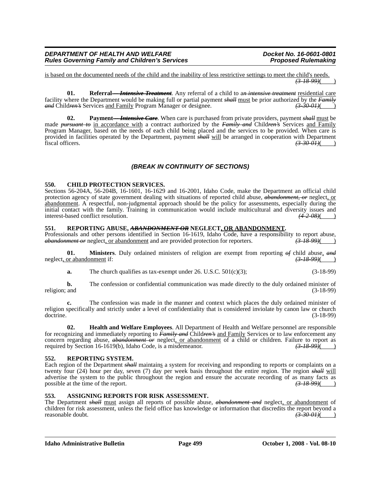is based on the documented needs of the child and the inability of less restrictive settings to meet the child's needs. *(3-18-99)*( )

**01. Referral** *-- Intensive Treatment*. Any referral of a child to a*n intensive treatment* residential care facility where the Department would be making full or partial payment *shall* must be prior authorized by the *Family*<br> *and* Children's Services and Family Program Manager or designee. (3-30-01) *and* Child*ren's* Services and Family Program Manager or designee. *(3-30-01)*( )

**02.** Payment—*Intensive Care*. When care is purchased from private providers, payment *shall* must be made *pursuant to* in accordance with a contract authorized by the *Family and* Child*ren's* Services and Family Program Manager, based on the needs of each child being placed and the services to be provided. When care is provided in facilities operated by the Department, payment *shall* will be arranged in cooperation with Department fiscal officers. fiscal officers. *(3-30-01)*( )

# *(BREAK IN CONTINUITY OF SECTIONS)*

# **550. CHILD PROTECTION SERVICES.**

Sections 56-204A, 56-204B, 16-1601, 16-1629 and 16-2001, Idaho Code, make the Department an official child protection agency of state government dealing with situations of reported child abuse, *abandonment, or* neglect, or abandonment. A respectful, non-judgmental approach should be the policy for assessments, especially during the initial contact with the family. Training in communication would include multicultural and diversity issues and interest-based conflict resolution.  $\frac{(4-2-0.06)}{(4-2-0.06)}$ interest-based conflict resolution.

# **551. REPORTING ABUSE,** *ABANDONMENT OR* **NEGLECT, OR ABANDONMENT.**

Professionals and other persons identified in Section 16-1619, Idaho Code, have a responsibility to report abuse, *abandonment or* neglect, or abandonment and are provided protection for reporters. *(3-18-99)*( )

**01. Ministers**. Duly ordained ministers of religion are exempt from reporting  $\theta f$  child abuse, and or abandonment if: neglect, or abandonment if:

**a.** The church qualifies as tax-exempt under 26. U.S.C. 501(c)(3); (3-18-99)

**b.** The confession or confidential communication was made directly to the duly ordained minister of religion; and (3-18-99) (3-18-99)

**c.** The confession was made in the manner and context which places the duly ordained minister of religion specifically and strictly under a level of confidentiality that is considered inviolate by canon law or church doctrine. (3-18-99) doctrine. (3-18-99)

**02. Health and Welfare Employees**. All Department of Health and Welfare personnel are responsible for recognizing and immediately reporting to *Family and* Child*ren's* and Family Services or to law enforcement any concern regarding abuse, *abandonment or* neglect, or abandonment of a child or children. Failure to report as required by Section 16-1619(b), Idaho Code, is a misdemeanor. *(3-18-99)*( )

# **552. REPORTING SYSTEM.**

Each region of the Department *shall* maintains a system for receiving and responding to reports or complaints on a twenty four (24) hour per day, seven (7) day per week basis throughout the entire region. The region *shall* will advertise the system to the public throughout the region and ensure the accurate recording of as many facts as possible at the time of the report.  $(3-18-99)$ 

# **553. ASSIGNING REPORTS FOR RISK ASSESSMENT.**

The Department *shall* must assign all reports of possible abuse, *abandonment and* neglect, or abandonment of children for risk assessment, unless the field office has knowledge or information that discredits the report beyond a reasonable doubt. *(3-30-01)* (*3-30-01)*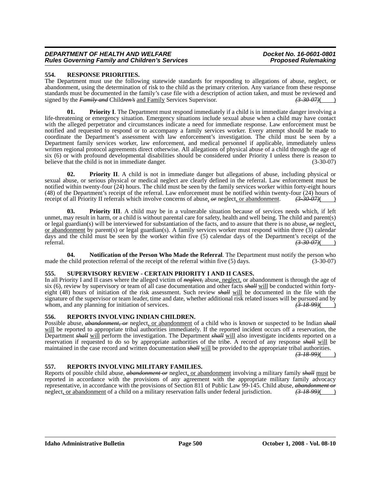# **554. RESPONSE PRIORITIES.**

The Department must use the following statewide standards for responding to allegations of abuse, neglect, or abandonment, using the determination of risk to the child as the primary criterion. Any variance from these response standards must be documented in the family's case file with a description of action taken, and must be reviewed and signed by the *Family and* Child*ren's* and Family Services Supervisor. *(3-30-07)*( )

**01. Priority I**. The Department must respond immediately if a child is in immediate danger involving a life-threatening or emergency situation. Emergency situations include sexual abuse when a child may have contact with the alleged perpetrator and circumstances indicate a need for immediate response. Law enforcement must be notified and requested to respond or to accompany a family services worker. Every attempt should be made to coordinate the Department's assessment with law enforcement's investigation. The child must be seen by a Department family services worker, law enforcement, and medical personnel if applicable, immediately unless written regional protocol agreements direct otherwise. All allegations of physical abuse of a child through the age of six (6) or with profound developmental disabilities should be considered under Priority I unless there is reason to believe that the child is not in immediate danger. (3-30-07)

**02. Priority II**. A child is not in immediate danger but allegations of abuse, including physical or sexual abuse, or serious physical or medical neglect are clearly defined in the referral. Law enforcement must be notified within twenty-four (24) hours. The child must be seen by the family services worker within forty-eight hours (48) of the Department's receipt of the referral. Law enforcement must be notified within twenty-four (24) hours of receipt of all Priority II referrals which involve concerns of abuse, *or* neglect, or abandonment. *(3-30-07)*( )

**03. Priority III**. A child may be in a vulnerable situation because of services needs which, if left unmet, may result in harm, or a child is without parental care for safety, health and well being. The child and parent(s) or legal guardian(s) will be interviewed for substantiation of the facts, and to assure that there is no abuse, *or* neglect, or abandonment by parent(s) or legal guardian(s). A family services worker must respond within three (3) calendar days and the child must be seen by the worker within five (5) calendar days of the Department's receipt of the referral. referral. *(3-30-07)*( )

**04. Notification of the Person Who Made the Referral**. The Department must notify the person who made the child protection referral of the receipt of the referral within five (5) days. (3-30-07)

# **555. SUPERVISORY REVIEW - CERTAIN PRIORITY I AND II CASES.**

In all Priority I and II cases where the alleged victim of *neglect,* abuse, neglect, or abandonment is through the age of six (6), review by supervisory or team of all case documentation and other facts *shall* will be conducted within fortyeight (48) hours of initiation of the risk assessment. Such review *shall* will be documented in the file with the signature of the supervisor or team leader, time and date, whether additional risk related issues will be pursued and by whom, and any planning for initiation of services. whom, and any planning for initiation of services.

# **556. REPORTS INVOLVING INDIAN CHILDREN.**

Possible abuse, *abandonment, or* neglect, or abandonment of a child who is known or suspected to be Indian *shall* will be reported to appropriate tribal authorities immediately. If the reported incident occurs off a reservation, the Department *shall* will perform the investigation. The Department *shall* will also investigate incidents reported on a reservation if requested to do so by appropriate authorities of the tribe. A record of any response *shall* will be maintained in the case record and written documentation *shall* will be provided to the appropriate tribal authorities.

*(3-18-99)*( )

#### **557. REPORTS INVOLVING MILITARY FAMILIES.**

Reports of possible child abuse, *abandonment or* neglect, or abandonment involving a military family *shall* must be reported in accordance with the provisions of any agreement with the appropriate military family advocacy representative, in accordance with the provisions of Section 811 of Public Law 99-145. Child abuse, *abandonment or* neglect, or abandonment of a child on a military reservation falls under federal jurisdiction. *(3-18-99)*( )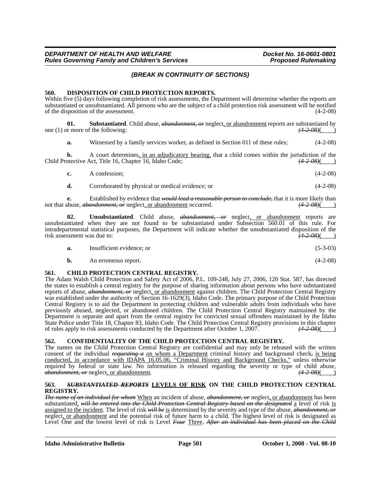# *(BREAK IN CONTINUITY OF SECTIONS)*

#### **560. DISPOSITION OF CHILD PROTECTION REPORTS.**

Within five (5) days following completion of risk assessments, the Department will determine whether the reports are substantiated or unsubstantiated. All persons who are the subject of a child protection risk assessment will be notified of the disposition of the assessment. (4-2-08)

**01. Substantiated**. Child abuse, *abandonment, or* neglect, or abandonment reports are substantiated by one (1) or more of the following:  $(4-2-0.06)$ 

**a.** Witnessed by a family services worker, as defined in Section 011 of these rules; (4-2-08)

**b.** A court determines, in an adjudicatory hearing, that a child comes within the jurisdiction of the otective Act, Title 16, Chapter 16, Idaho Code;  $\frac{(4-2.08)()}{2}$ Child Protective Act, Title 16, Chapter 16, Idaho Code;

| $c_{\cdot}$ | A confession: | $(4-2-08)$ |  |
|-------------|---------------|------------|--|
|-------------|---------------|------------|--|

**d.** Corroborated by physical or medical evidence; or (4-2-08)

**e.** Established by evidence that *would lead a reasonable person to conclude,* that it is more likely than not that abuse, *abandonment, or* neglect, or abandonment occurred.  $(4-2-0.08)($ 

**02. Unsubstantiated**. Child abuse, *abandonment, or* neglect, or abandonment reports are unsubstantiated when they are not found to be substantiated under Subsection 560.01 of this rule. For intradepartmental statistical purposes, the Department will indicate whether the unsubstantiated disposition of the risk assessment was due to:  $(42.08)($ risk assessment was due to: *(4-2-08)*( )

| a. | Insufficient evidence: or |  | $(5-3-03)$ |  |  |
|----|---------------------------|--|------------|--|--|
|----|---------------------------|--|------------|--|--|

**b.** An erroneous report. (4-2-08)

## **561. CHILD PROTECTION CENTRAL REGISTRY.**

The Adam Walsh Child Protection and Safety Act of 2006, P.L. 109-248, July 27, 2006, 120 Stat. 587, has directed the states to establish a central registry for the purpose of sharing information about persons who have substantiated reports of abuse, *abandonment, or* neglect, or abandonment against children. The Child Protection Central Registry was established under the authority of Section 16-1629(3), Idaho Code. The primary purpose of the Child Protection Central Registry is to aid the Department in protecting children and vulnerable adults from individuals who have previously abused, neglected, or abandoned children. The Child Protection Central Registry maintained by the Department is separate and apart from the central registry for convicted sexual offenders maintained by the Idaho State Police under Title 18, Chapter 83, Idaho Code. The Child Protection Central Registry provisions in this chapter of rules apply to risk assessments conducted by the Department after October 1, 2007.  $(42.08)()$ of rules apply to risk assessments conducted by the Department after October 1, 2007. *(4-2-08)*( )

# **562. CONFIDENTIALITY OF THE CHILD PROTECTION CENTRAL REGISTRY.**

The names on the Child Protection Central Registry are confidential and may only be released with the written consent of the individual *requesting a* on whom a Department criminal history and background check*,* is being conducted, in accordance with IDAPA 16.05.06, "Criminal History and Background Checks," unless otherwise required by federal or state law. No information is released regarding the severity or type of child abuse, *abandonment, or* neglect, or abandonment. *(4-2-08)*( )

## **563.** *SUBSTANTIATED REPORTS* **LEVELS OF RISK ON THE CHILD PROTECTION CENTRAL REGISTRY.**

*The name of an individual for whom* When an incident of abuse, *abandonment, or* neglect, or abandonment has been substantiated, *will be entered into the Child Protection Central Registry based on the designated* a level of risk is assigned to the incident. The level of risk *will be* is determined by the severity and type of the abuse, *abandonment, or* neglect, or abandonment and the potential risk of future harm to a child. The highest level of risk is designated as Level One and the lowest level of risk is Level *Four* Three. *After an individual has been placed on the Child*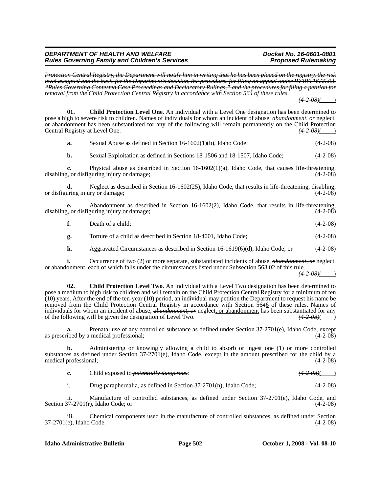*Protection Central Registry, the Department will notify him in writing that he has been placed on the registry, the risk level assigned and the basis for the Department's decision, the procedures for filing an appeal under IDAPA 16.05.03. "Rules Governing Contested Case Proceedings and Declaratory Rulings," and the procedures for filing a petition for removal from the Child Protection Central Registry in accordance with Section 564 of these rules.*

*(4-2-08)*( )

**01. Child Protection Level One**. An individual with a Level One designation has been determined to pose a high to severe risk to children. Names of individuals for whom an incident of abuse, *abandonment, or* neglect, <u>or abandonment</u> has been substantiated for any of the following will remain permanently on the Child Protection<br>Central Registry at Level One.  $\frac{(4-2-0.8)}{(4-2-0.6)}$ Central Registry at Level One.

| a. | Sexual Abuse as defined in Section 16-1602(1)(b), Idaho Code; | $(4-2-08)$ |
|----|---------------------------------------------------------------|------------|
|----|---------------------------------------------------------------|------------|

**b.** Sexual Exploitation as defined in Sections 18-1506 and 18-1507, Idaho Code;  $(4-2-08)$ 

**c.** Physical abuse as described in Section 16-1602(1)(a), Idaho Code, that causes life-threatening,  $\alpha$ , or disfiguring injury or damage: (4-2-08) disabling, or disfiguring injury or damage;

**d.** Neglect as described in Section 16-1602(25), Idaho Code, that results in life-threatening, disabling, or disfiguring injury or damage;  $(4-2-08)$ 

**e.** Abandonment as described in Section 16-1602(2), Idaho Code, that results in life-threatening, <br>*e.* or disfiguring injury or damage: (4-2-08) disabling, or disfiguring injury or damage;

|  | Death of a child: | $(4-2-08)$ |
|--|-------------------|------------|
|--|-------------------|------------|

**g.** Torture of a child as described in Section 18-4001, Idaho Code; (4-2-08)

**h.** Aggravated Circumstances as described in Section 16-1619(6)(d), Idaho Code; or (4-2-08)

**i.** Occurrence of two (2) or more separate, substantiated incidents of abuse, *abandonment*, *or* neglect, or abandonment, each of which falls under the circumstances listed under Subsection 563.02 of this rule.

 $(4 - 2 - 08)$ 

**02. Child Protection Level Two**. An individual with a Level Two designation has been determined to pose a medium to high risk to children and will remain on the Child Protection Central Registry for a minimum of ten (10) years. After the end of the ten-year (10) period, an individual may petition the Department to request his name be removed from the Child Protection Central Registry in accordance with Section 56*4*6 of these rules. Names of individuals for whom an incident of abuse, *abandonment*, or neglect, or abandonment has been substantiated for any of the following will be given the designation of Level Two.  $\frac{(4-2-0.8)}{(4-2-0.0)}$ of the following will be given the designation of Level Two.

**a.** Prenatal use of any controlled substance as defined under Section 37-2701(e), Idaho Code, except as prescribed by a medical professional; (4-2-08)

**b.** Administering or knowingly allowing a child to absorb or ingest one (1) or more controlled substances as defined under Section 37-2701(e), Idaho Code, except in the amount prescribed for the child by a medical professional; (4-2-08)

|  | Child exposed to <i>potentially dangerous</i> : | $(4 - 2 - 08)$ |
|--|-------------------------------------------------|----------------|
|--|-------------------------------------------------|----------------|

i. Drug paraphernalia, as defined in Section  $37-2701(n)$ , Idaho Code; (4-2-08)

ii. Manufacture of controlled substances, as defined under Section 37-2701(e), Idaho Code, and Section  $37-2701(r)$ , Idaho Code; or (4-2-08)

iii. Chemical components used in the manufacture of controlled substances, as defined under Section 37-2701(e), Idaho Code. (4-2-08)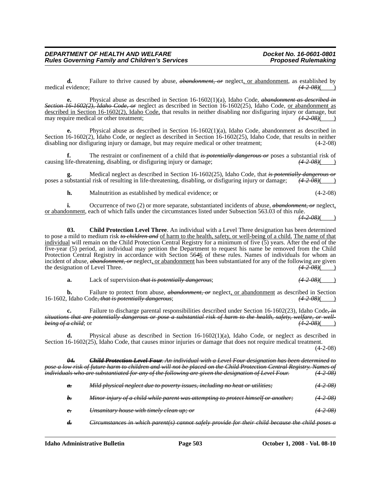**f.** The restraint or confinement of a child that *is potentially dangerous or* poses a substantial risk of causing life-threatening, disabling, or disfiguring injury or damage; *(4-2-08)*( )

**g.** Medical neglect as described in Section 16-1602(25), Idaho Code, that *is potentially dangerous or* ubstantial risk of resulting in life-threatening, disabling, or disfiguring injury or damage;  $(4-2-08)($ poses a substantial risk of resulting in life-threatening, disabling, or disfiguring injury or damage;

**h.** Malnutrition as established by medical evidence; or (4-2-08)

**d.** Failure to thrive caused by abuse, *abandonment, or* neglect, or abandonment, as established by

**e.** Physical abuse as described in Section 16-1602(1)(a), Idaho Code, *abandonment as described in*

**e.** Physical abuse as described in Section 16-1602(1)(a), Idaho Code, abandonment as described in

medical evidence;  $(4-2-0.08)$ 

*Section 16-1602(2), Idaho Code, or* neglect as described in Section 16-1602(25), Idaho Code, or abandonment as described in Section 16-1602(2), Idaho Code, that results in neither disabling nor disfiguring injury or damage, but<br>may require medical or other treatment:<br>(4.2.08) may require medical or other treatment;  $(4-2.08)$  (and the state of the state of the state of the state of the state of the state of the state of the state of the state of the state of the state of the state of the state

Section 16-1602(2), Idaho Code, or neglect as described in Section 16-1602(25), Idaho Code, that results in neither disabling nor disfiguring injury or damage, but may require medical or other treatment; (4-2-08)

**i.** Occurrence of two (2) or more separate, substantiated incidents of abuse, *abandonment*, *or* neglect, or abandonment, each of which falls under the circumstances listed under Subsection 563.03 of this rule.

*(4-2-08)*( )

**03. Child Protection Level Three**. An individual with a Level Three designation has been determined to pose a mild to medium risk *to children and* of harm to the health, safety, or well-being of a child. The name of that individual will remain on the Child Protection Central Registry for a minimum of five (5) years. After the end of the five-year (5) period, an individual may petition the Department to request his name be removed from the Child Protection Central Registry in accordance with Section 56*4*6 of these rules. Names of individuals for whom an incident of abuse, *abandonment, or* neglect, or abandonment has been substantiated for any of the following are given the designation of Level Three.  $(4.2-0.08)$ 

**a.** Lack of supervision-that is potentially dangerous; *(4-2-08)*  $(4-2-08)$ 

**b.** Failure to protect from abuse, *abandonment, or* neglect<u>, or abandonment</u> as described in Section (Idaho Code. *that is potentially dangerous*: (4-2-08)( 16-1602, Idaho Code, that is potentially dangerous;

**c.** Failure to discharge parental responsibilities described under Section 16-1602(23), Idaho Code*, in situations that are potentially dangerous or pose a substantial risk of harm to the health, safety, welfare, or well***being of a child**; or *(4-2-08)***( ) is a child in the case of a child**; or *(4-2-08)***(** 

**d.** Physical abuse as described in Section 16-1602(1)(a), Idaho Code, or neglect as described in Section 16-1602(25), Idaho Code, that causes minor injuries or damage that does not require medical treatment. (4-2-08)

*04. Child Protection Level Four. An individual with a Level Four designation has been determined to pose a low risk of future harm to children and will not be placed on the Child Protection Central Registry. Names of individuals who are substantiated for any of the following are given the designation of Level Four. (4-2-08)*

| $\theta$ .         | Mild physical neglect due to poverty issues, including no heat or utilities;                     | <del>(4-2-08)</del> |
|--------------------|--------------------------------------------------------------------------------------------------|---------------------|
| $h_{\tau}$         | Minor injury of a child while parent was attempting to protect himself or another;               | $(4\ 2\ 08)$        |
| $e_{\overline{z}}$ | Unsanitary house with timely clean up; or                                                        | $(4 - 2 - 08)$      |
| $\boldsymbol{d}$   | Circumstances in which parent(s) cannot safely provide for their child because the child poses a |                     |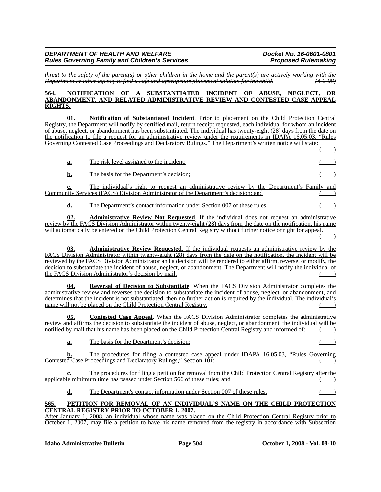*threat to the safety of the parent(s) or other children in the home and the parent(s) are actively working with the Department or other agency to find a safe and appropriate placement solution for the child.* 

#### **564. NOTIFICATION OF A SUBSTANTIATED INCIDENT OF ABUSE, NEGLECT, OR ABANDONMENT, AND RELATED ADMINISTRATIVE REVIEW AND CONTESTED CASE APPEAL RIGHTS.**

**01. Notification of Substantiated Incident**. Prior to placement on the Child Protection Central Registry, the Department will notify by certified mail, return receipt requested, each individual for whom an incident of abuse, neglect, or abandonment has been substantiated. The individual has twenty-eight (28) days from the date on the notification to file a request for an administrative review under the requirements in IDAPA 16.05.03, "Rules Governing Contested Case Proceedings and Declaratory Rulings." The Department's written notice will state:  $($   $)$ 

| а.        | The risk level assigned to the incident; |  |
|-----------|------------------------------------------|--|
| <u>b.</u> | The basis for the Department's decision; |  |

**c.** The individual's right to request an administrative review by the Department's Family and Community Services (FACS) Division Administrator of the Department's decision; and

**d.** The Department's contact information under Section 007 of these rules.

**02. Administrative Review Not Requested**. If the individual does not request an administrative review by the FACS Division Administrator within twenty-eight (28) days from the date on the notification, his name will automatically be entered on the Child Protection Central Registry without further notice or right for appeal.  $($   $)$ 

**03. Administrative Review Requested**. If the individual requests an administrative review by the FACS Division Administrator within twenty-eight (28) days from the date on the notification, the incident will be reviewed by the FACS Division Administrator and a decision will be rendered to either affirm, reverse, or modify, the decision to substantiate the incident of abuse, neglect, or abandonment. The Department will notify the individual of the FACS Division Administrator's decision by mail.

**04. Reversal of Decision to Substantiate**. When the FACS Division Administrator completes the administrative review and reverses the decision to substantiate the incident of abuse, neglect, or abandonment, and determines that the incident is not substantiated, then no further action is required by the individual. The individual's name will not be placed on the Child Protection Central Registry.

**05. Contested Case Appeal**. When the FACS Division Administrator completes the administrative review and affirms the decision to substantiate the incident of abuse, neglect, or abandonment, the individual will be notified by mail that his name has been placed on the Child Protection Central Registry and informed of:

**a.** The basis for the Department's decision; ( )

**b.** The procedures for filing a contested case appeal under IDAPA 16.05.03, "Rules Governing Contested Case Proceedings and Declaratory Rulings," Section 101; ( )

**c.** The procedures for filing a petition for removal from the Child Protection Central Registry after the applicable minimum time has passed under Section 566 of these rules; and

**d.** The Department's contact information under Section 007 of these rules.

# **565. PETITION FOR REMOVAL OF AN INDIVIDUAL'S NAME ON THE CHILD PROTECTION CENTRAL REGISTRY PRIOR TO OCTOBER 1, 2007.**

After January 1, 2008, an individual whose name was placed on the Child Protection Central Registry prior to October 1, 2007, may file a petition to have his name removed from the registry in accordance with Subsection

**Idaho Administrative Bulletin Page 504 October 1, 2008 - Vol. 08-10**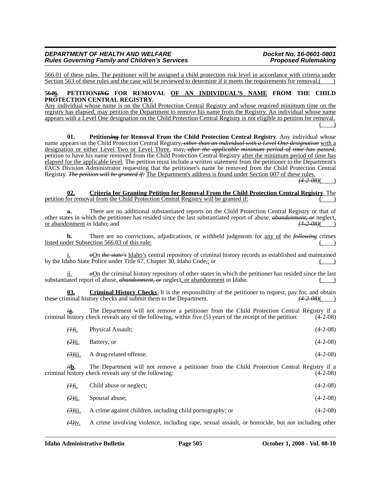566.01 of these rules. The petitioner will be assigned a child protection risk level in accordance with criteria under Section 563 of these rules and the case will be reviewed to determine if it meets the requirements for removal.

#### **56***4***6. PETITION***ING* **FOR REMOVAL OF AN INDIVIDUAL'S NAME FROM THE CHILD PROTECTION CENTRAL REGISTRY.**

Any individual whose name is on the Child Protection Central Registry and whose required minimum time on the registry has elapsed, may petition the Department to remove his name from the Registry. An individual whose name appears with a Level One designation on the Child Protection Central Registry is not eligible to petition for removal.  $($   $)$ 

**01.** Petitioning for Removal From the Child Protection Central Registry. Any individual whose name appears on the Child Protection Central Registry*, other than an individual with a Level One designation* with a designation or either Level Two or Level Three, may*, after the applicable minimum period of time has passed,* petition to have his name removed from the Child Protection Central Registry after the minimum period of time has elapsed for the applicable level. The petition must include a written statement from the petitioner to the Department's FACS Division Administrator requesting that the petitioner's name be removed from the Child Protection Central Registry. *The petition will be granted if:* The Department's address is found under Section 007 of these rules.

 $(4 - 2 - 08)$ 

#### **02. Criteria for Granting Petition for Removal From the Child Protection Central Registry**. The petition for removal from the Child Protection Central Registry will be granted if:

**a.** There are no additional substantiated reports on the Child Protection Central Registry or that of other states in which the petitioner has resided since the last substantiated report of abuse, *abandonment*, *or* neglect, or abandonment in Idaho; and (4–2–08)() or abandonment in Idaho; and *(4-2-08)*( )

**b.** There are no convictions, adjudications, or withheld judgments for <u>any of</u> the *following* crimes listed under Subsection 566.03 of this rule: ( )

 $\partial$ On *the state's* Idaho's central repository of criminal history records as established and maintained by the Idaho State Police under Title 67, Chapter 30, Idaho Code*,*; or ( )

ii. *o*On the criminal history repository of other states in which the petitioner has resided since the last substantiated report of abuse, *abandonment, or* neglect, or abandonment in Idaho.

**03. Criminal History Checks**. It is the responsibility of the petitioner to request, pay for, and obtain minal history checks and submit them to the Department.  $(4-2-08)$  (4-2-08) these criminal history checks and submit them to the Department.

*i***a.** The Department will not remove a petitioner from the Child Protection Central Registry if a criminal history check reveals any of the following, within five (5) years of the receipt of the petition: (4-2-08)

| $(\frac{\partial}{\partial \mathbf{L}})$ | <b>Physical Assault:</b>                  | $(4-2-08)$ |
|------------------------------------------|-------------------------------------------|------------|
| $(2)$ <u>ii.</u>                         | Battery; or                               | $(4-2-08)$ |
|                                          | $\frac{(3)}{111}$ A drug-related offense. | $(4-2-08)$ |
|                                          |                                           |            |

*ii***b.** The Department will not remove a petitioner from the Child Protection Central Registry if a criminal history check reveals any of the following: (4-2-08)

| $(H)$ i.   | Child abuse or neglect;                                   | $(4-2-08)$ |
|------------|-----------------------------------------------------------|------------|
| $(2)$ ii.  | Spousal abuse;                                            | $(4-2-08)$ |
| $(3)$ iii. | A crime against children, including child pornography; or | $(4-2-08)$ |

*(4)*iv. A crime involving violence, including rape, sexual assault, or homicide, but not including other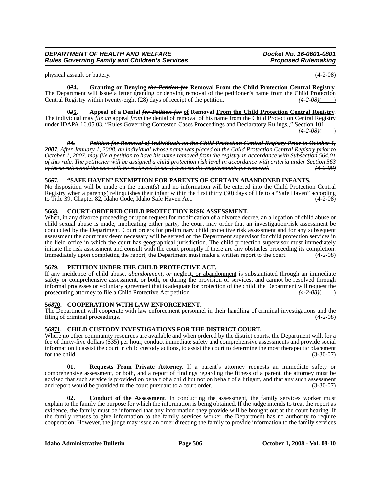physical assault or battery. (4-2-08)

**0***2***4. Granting or Denying** *the Petition for* **Removal From the Child Protection Central Registry**. The Department will issue a letter granting or denying removal of the petitioner's name from the Child Protection<br>Central Registry within twenty-eight (28) days of receipt of the petition.  $(42.08)()$ Central Registry within twenty-eight (28) days of receipt of the petition.<sup>7</sup>

**0***3***5. Appeal of a Denial** *for Petition for* **of Removal From the Child Protection Central Registry**. The individual may *file an* appeal *from* the denial of removal of his name from the Child Protection Central Registry under IDAPA 16.05.03, "Rules Governing Contested Cases Proceedings and Declaratory Ruling*s.*," Section 101. *(4-2-08)*( )

*04. Petition for Removal of Individuals on the Child Protection Central Registry Prior to October 1, 2007. After January 1, 2008, an individual whose name was placed on the Child Protection Central Registry prior to October 1, 2007, may file a petition to have his name removed from the registry in accordance with Subsection 564.01 of this rule. The petitioner will be assigned a child protection risk level in accordance with criteria under Section 563 of these rules and the case will be reviewed to see if it meets the requirements for removal. (4-2-08)*

# **56***5***7. "SAFE HAVEN" EXEMPTION FOR PARENTS OF CERTAIN ABANDONED INFANTS.**

No disposition will be made on the parent(s) and no information will be entered into the Child Protection Central Registry when a parent(s) relinquishes their infant within the first thirty (30) days of life to a "Safe Haven" according to Title 39, Chapter 82, Idaho Code, Idaho Safe Haven Act. (4-2-08)

# **56***6***8. COURT-ORDERED CHILD PROTECTION RISK ASSESSMENT.**

When, in any divorce proceeding or upon request for modification of a divorce decree, an allegation of child abuse or child sexual abuse is made, implicating either party, the court may order that an investigation/risk assessment be conducted by the Department. Court orders for preliminary child protective risk assessment and for any subsequent assessment the court may deem necessary will be served on the Department supervisor for child protection services in the field office in which the court has geographical jurisdiction. The child protection supervisor must immediately initiate the risk assessment and consult with the court promptly if there are any obstacles proceeding its completion. Immediately upon completing the report, the Department must make a written report to the court. (4-2-08)

# **56***7***9. PETITION UNDER THE CHILD PROTECTIVE ACT.**

If any incidence of child abuse, *abandonment, or* neglect, or abandonment is substantiated through an immediate safety or comprehensive assessment, or both, or during the provision of services, and cannot be resolved through informal processes or voluntary agreement that is adequate for protection of the child, the Department will request the prosecuting attorney to file a Child Protective Act petition.  $\frac{(4-2-0.08)}{(4-2-0.08)}$ 

# **5***68***70. COOPERATION WITH LAW ENFORCEMENT.**

The Department will cooperate with law enforcement personnel in their handling of criminal investigations and the filing of criminal proceedings. (4-2-08) filing of criminal proceedings.

# **5***69***71. CHILD CUSTODY INVESTIGATIONS FOR THE DISTRICT COURT.**

Where no other community resources are available and when ordered by the district courts, the Department will, for a fee of thirty-five dollars (\$35) per hour, conduct immediate safety and comprehensive assessments and provide social information to assist the court in child custody actions, to assist the court to determine the most therapeutic placement for the child.  $(3-30-07)$ 

**01. Requests From Private Attorney**. If a parent's attorney requests an immediate safety or comprehensive assessment, or both, and a report of findings regarding the fitness of a parent, the attorney must be advised that such service is provided on behalf of a child but not on behalf of a litigant, and that any such assessment and report would be provided to the court pursuant to a court order. (3-30-07)

**02. Conduct of the Assessment**. In conducting the assessment, the family services worker must explain to the family the purpose for which the information is being obtained. If the judge intends to treat the report as evidence, the family must be informed that any information they provide will be brought out at the court hearing. If the family refuses to give information to the family services worker, the Department has no authority to require cooperation. However, the judge may issue an order directing the family to provide information to the family services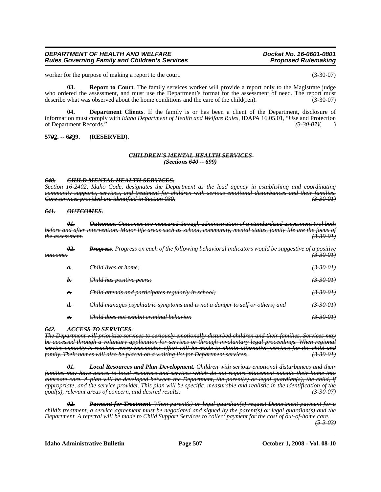worker for the purpose of making a report to the court. (3-30-07)

**03. Report to Court**. The family services worker will provide a report only to the Magistrate judge who ordered the assessment, and must use the Department's format for the assessment of need. The report must describe what was observed about the home conditions and the care of the child(ren). (3-30-07)

**04. Department Clients**. If the family is or has been a client of the Department, disclosure of information must comply with *Idaho Department of Health and Welfare Rules,* IDAPA 16.05.01, "Use and Protection of Department Records." *(3-30-07)*( )

## **57***0***2. -- 6***3***99. (RESERVED).**

#### *CHILDREN'S MENTAL HEALTH SERVICES (Sections 640 -- 699)*

#### *640. CHILD MENTAL HEALTH SERVICES.*

*Section 16-2402, Idaho Code, designates the Department as the lead agency in establishing and coordinating community supports, services, and treatment for children with serious emotional disturbances and their families. Core services provided are identified in Section 030.* 

#### *641. OUTCOMES.*

*01. Outcomes. Outcomes are measured through administration of a standardized assessment tool both before and after intervention. Major life areas such as school, community, mental status, family life are the focus of the assessment. (3-30-01)*

| <del>outcome:</del> | <u>θ2.</u>             | Progress. Progress on each of the following behavioral indicators would be suggestive of a positive | <del>(3-30-01)</del> |
|---------------------|------------------------|-----------------------------------------------------------------------------------------------------|----------------------|
|                     | $\theta$ .             | Child lives at home;                                                                                | (3300)               |
|                     | b.                     | Child has positive peers;                                                                           | <del>(3-30-01)</del> |
|                     | $e_{\overline{\cdot}}$ | <del>Child attends and participates regularly in school;</del>                                      | <del>(3-30-01)</del> |
|                     | d.                     | Child manages psychiatric symptoms and is not a danger to self or others; and                       | <del>3 30 OH</del>   |
|                     | $e_{\overline{\cdot}}$ | Child does not exhibit criminal behavior.                                                           | <del>3-30-01)</del>  |

#### *642. ACCESS TO SERVICES.*

*The Department will prioritize services to seriously emotionally disturbed children and their families. Services may be accessed through a voluntary application for services or through involuntary legal proceedings. When regional service capacity is reached, every reasonable effort will be made to obtain alternative services for the child and family. Their names will also be placed on a waiting list for Department services.* 

*01. Local Resources and Plan Development. Children with serious emotional disturbances and their families may have access to local resources and services which do not require placement outside their home into alternate care. A plan will be developed between the Department, the parent(s) or legal guardian(s), the child, if appropriate, and the service provider. This plan will be specific, measurable and realistic in the identification of the goal(s), relevant areas of concern, and desired results. (3-30-07)*

*02. Payment for Treatment. When parent(s) or legal guardian(s) request Department payment for a child's treatment, a service agreement must be negotiated and signed by the parent(s) or legal guardian(s) and the Department. A referral will be made to Child Support Services to collect payment for the cost of out-of-home care.*

*(5-3-03)*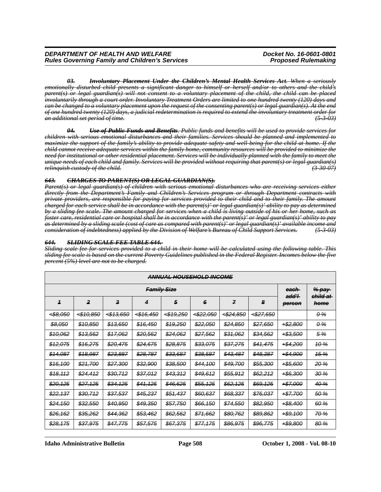*03. Involuntary Placement Under the Children's Mental Health Services Act. When a seriously emotionally disturbed child presents a significant danger to himself or herself and/or to others and the child's parent(s) or legal guardian(s) will not consent to a voluntary placement of the child, the child can be placed involuntarily through a court order. Involuntary Treatment Orders are limited to one hundred twenty (120) days and can be changed to a voluntary placement upon the request of the consenting parent(s) or legal guardian(s). At the end of one hundred twenty (120) days, a judicial redetermination is required to extend the involuntary treatment order for an additional set period of time. (5-3-03)*

*04. Use of Public Funds and Benefits. Public funds and benefits will be used to provide services for children with serious emotional disturbances and their families. Services should be planned and implemented to maximize the support of the family's ability to provide adequate safety and well-being for the child at home. If the child cannot receive adequate services within the family home, community resources will be provided to minimize the need for institutional or other residential placement. Services will be individually planned with the family to meet the unique needs of each child and family. Services will be provided without requiring that parent(s) or legal guardian(s) relinquish custody of the child. (3-30-07)*

#### *643. CHARGES TO PARENT(S) OR LEGAL GUARDIAN(S).*

*Parent(s) or legal guardian(s) of children with serious emotional disturbances who are receiving services either directly from the Department's Family and Children's Services program or through Department contracts with private providers, are responsible for paying for services provided to their child and to their family. The amount charged for each service shall be in accordance with the parent(s)' or legal guardian(s)' ability to pay as determined by a sliding fee scale. The amount charged for services when a child is living outside of his or her home, such as foster care, residential care or hospital shall be in accordance with the parent(s)' or legal guardian(s)' ability to pay as determined by a sliding scale (cost of care as compared with parent(s)' or legal guardian(s)' available income and consideration of indebtedness) applied by the Division of Welfare's Bureau of Child Support Services. (5-3-03)*

#### *644. SLIDING SCALE FEE TABLE 644.*

*Sliding scale fee for services provided to a child in their home will be calculated using the following table. This sliding fee scale is based on the current Poverty Guidelines published in the Federal Register. Incomes below the five percent (5%) level are not to be charged.*

| ANNUAL HOUSEHOLD INCOME |                          |                                         |           |                      |                         |                 |                      |                     |             |
|-------------------------|--------------------------|-----------------------------------------|-----------|----------------------|-------------------------|-----------------|----------------------|---------------------|-------------|
|                         | <del>each</del><br>add'l | <del>% pay</del><br><del>child at</del> |           |                      |                         |                 |                      |                     |             |
| $\overline{1}$          | 2                        | $\boldsymbol{3}$                        | 4         | 5                    | 6                       | $\overline{f}$  | 8                    | person              | home        |
| <del>4\$8.050</del>     | <del>4\$10,850</del>     | 543,650                                 | 4\$16,450 | <del>4\$19,250</del> | <del>&lt;\$22,050</del> | 4\$24,850       | 4\$27,650            |                     | $0\%$       |
| \$8,050                 | \$10,850                 | \$13,650                                | \$16,450  | \$19,250             | \$22,050                | \$24,850        | \$27,650             | +\$2,800            | 0 %         |
| \$10,062                | \$13,562                 | \$17,062                                | \$20,562  | \$24,062             | \$27,562                | \$31,062        | \$34,562             | <del>1\$3,500</del> | 5%          |
| \$12,075                | \$16,275                 | \$20,475                                | \$24,675  | \$28,875             | \$33,075                | \$37,275        | \$41,475             | $+ $4,200$          | $-10%$      |
| <del>\$14,087</del>     | \$18,987                 | \$23,887                                | \$28,787  | \$33,687             | \$38,587                | \$43,487        | \$48,387             | $+ $4,900$          | 15%         |
| \$16,100                | \$21,700                 | \$27,300                                | \$32,900  | \$38,500             | \$44,100                | \$49,700        | <del>\$55,300</del>  | +\$5,600            | <b>20%</b>  |
| \$18,112                | \$24,412                 | \$30,712                                | \$37,012  | \$43,312             | \$49,612                | <b>\$55,912</b> | <del>\$62,212</del>  | $+ $6,300$          | 30%         |
| \$20,125                | \$27,125                 | <del>\$34,125</del>                     | \$41,125  | \$46.625             | \$55,125                | \$62,125        | <del>\$69,125</del>  | $+ $7,000$          | 40 %        |
| \$22,137                | \$30,712                 | \$37,537                                | \$45,237  | \$51,437             | \$60,637                | \$68,337        | \$76,037             | +\$7,700            | 50 %        |
| \$24,150                | \$32,550                 | \$40,950                                | \$49,350  | \$57,750             | \$66,150                | \$74,550        | <del>\$82,95</del> 0 | $+ $8,400$          | 60 %        |
| \$26,162                | \$35,262                 | \$44,362                                | \$53,462  | \$62,562             | \$71,662                | \$80,762        | <del>\$89,862</del>  | <del>1\$9,100</del> | <b>70 %</b> |
| \$28,175                | \$37,975                 | \$47,775                                | \$57,575  | \$67,375             | \$77,175                | \$86,975        | <del>\$96.775</del>  | +\$9,800            | 80 %        |

**Idaho Administrative Bulletin Page 508 October 1, 2008 - Vol. 08-10**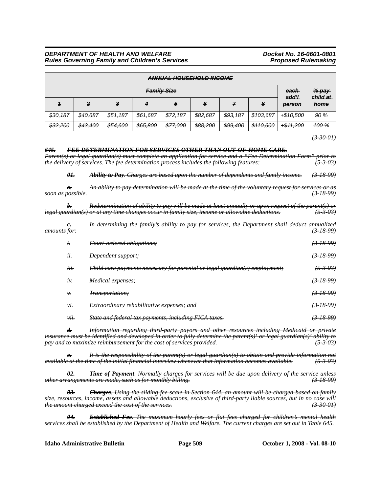|                        | ANNIHAI HOHEEHOLD INCOME |          |          |          |          |          |           |                 |                     |
|------------------------|--------------------------|----------|----------|----------|----------|----------|-----------|-----------------|---------------------|
| <del>Family Size</del> |                          |          |          |          |          |          |           |                 | $%$ pay<br>child at |
|                        | 2                        | -3       | 4        | 5        | 6        | 7        | 8         | add'l<br>person | home                |
| \$30,187               | \$40,687                 | \$51,187 | \$61,687 | \$72,187 | \$82,687 | \$93,187 | \$103,687 | +\$10,500       | 90%                 |
| \$32,200               | \$43,400                 | \$54,600 | \$65,800 | \$77,000 | \$88,200 | \$99,400 | \$110,600 | +\$11,200       | <del>100 %</del>    |

*(3-30-01)*

#### *645. FEE DETERMINATION FOR SERVICES OTHER THAN OUT-OF-HOME CARE.*

*Parent(s) or legal guardian(s) must complete an application for service and a "Fee Determination Form" prior to the delivery of services. The fee determination process includes the following features: (5-3-03) 01. Ability to Pay. Charges are based upon the number of dependents and family income. (3-18-99)*

*a. An ability to pay determination will be made at the time of the voluntary request for services or as soon as possible. (3-18-99)*

*b. Redetermination of ability to pay will be made at least annually or upon request of the parent(s) or legal guardian(s) or at any time changes occur in family size, income or allowable deductions.* 

| <del>amounts for:</del> | $e_{\overline{\cdot}}$ | In determining the family's ability to pay for services, the Department shall deduct annualized | $(3-18-99)$         |
|-------------------------|------------------------|-------------------------------------------------------------------------------------------------|---------------------|
|                         | $t$ .                  | Court ordered obligations;                                                                      | (3, 18, 99)         |
|                         | $\cdot \cdot$<br>it.   | Dependent support;                                                                              | $(3-18-99)$         |
|                         | iii.                   | Child care payments necessary for parental or legal guardian(s) employment;                     | <del>(5-3-03)</del> |
|                         | $\ddot{t}$             | Medical expenses;                                                                               | (3, 18, 99)         |
|                         | ν.                     | <i>Transportation</i> :                                                                         | $(3-18-99)$         |
|                         | vi.                    | Extraordinary rehabilitative expenses; and                                                      | $(3-18-99)$         |
|                         | vii.                   | State and federal tax payments, including FICA taxes.                                           | <u>3 18 99)</u>     |
|                         |                        |                                                                                                 |                     |

*d. Information regarding third-party payors and other resources including Medicaid or private insurance must be identified and developed in order to fully determine the parent(s)' or legal guardian(s)' ability to pay and to maximize reimbursement for the cost of services provided. (5-3-03)*

*e. It is the responsibility of the parent(s) or legal guardian(s) to obtain and provide information not available at the time of the initial financial interview whenever that information becomes available. (5-3-03)*

*02. Time of Payment. Normally charges for services will be due upon delivery of the service unless other arrangements are made, such as for monthly billing. (3-18-99)*

*03. Charges. Using the sliding fee scale in Section 644, an amount will be charged based on family size, resources, income, assets and allowable deductions, exclusive of third-party liable sources, but in no case will the amount charged exceed the cost of the services. (3-30-01)*

*04. Established Fee. The maximum hourly fees or flat fees charged for children's mental health services shall be established by the Department of Health and Welfare. The current charges are set out in Table 645.*

**Idaho Administrative Bulletin Page 509 October 1, 2008 - Vol. 08-10**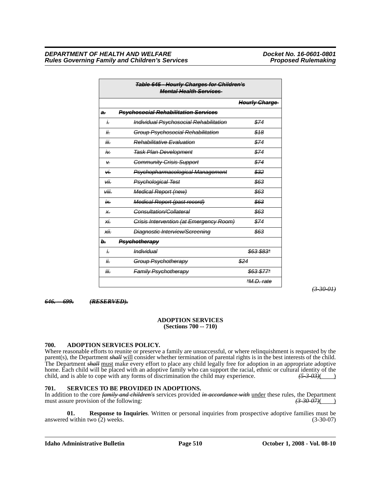|          | <b>Table 645 - Hourly Charges for Children's</b><br><b>Mental Health Services</b> |                      |
|----------|-----------------------------------------------------------------------------------|----------------------|
|          |                                                                                   | <b>Hourly Charge</b> |
| a.       | <b>Psychosocial Rehabilitation Services</b>                                       |                      |
| İ.       | Individual Psychosocial Rehabilitation                                            | \$74                 |
| ii.      | Group Psychosocial Rehabilitation                                                 | \$18                 |
| iii.     | <b>Rehabilitative Evaluation</b>                                                  | \$74                 |
| À۷.      | <b>Task Plan Development</b>                                                      | \$74                 |
| V.       | <b>Community Crisis Support</b>                                                   | \$74                 |
| ۱ń       | Psychopharmacological Management                                                  | \$32                 |
| νii.     | Psychological Test                                                                | \$63                 |
| viii.    | <b>Medical Report (new)</b>                                                       | \$63                 |
| ix.      | <b>Medical Report (past record)</b>                                               | \$63                 |
| $\times$ | Consultation/Collateral                                                           | \$63                 |
| хi.      | Crisis Intervention (at Emergency Room)                                           | \$74                 |
| хij.     | <b>Diagnostic Interview/Screening</b>                                             | \$63                 |
| Ь.       | Psychotherapy                                                                     |                      |
| i.       | <i><b>Individual</b></i>                                                          | \$63 \$83*           |
| ii.      | Group Psychotherapy                                                               | \$24                 |
| iii.     | <b>Family Psychotherapy</b>                                                       | \$63 \$77*           |
|          |                                                                                   | <i>*M.D. rate</i>    |

*(3-30-01)*

*646. -- 699. (RESERVED).*

## **ADOPTION SERVICES (Sections 700 -- 710)**

# **700. ADOPTION SERVICES POLICY.**

Where reasonable efforts to reunite or preserve a family are unsuccessful, or where relinquishment is requested by the parent(s), the Department *shall* will consider whether termination of parental rights is in the best interests of the child. The Department *shall* must make every effort to place any child legally free for adoption in an appropriate adoptive home. Each child will be placed with an adoptive family who can support the racial, ethnic or cultural identity of the child, and is able to cope with any forms of discrimination the child may experience.  $\frac{(5-3-0.3)}{(5-3$ child, and is able to cope with any forms of discrimination the child may experience.

# **701. SERVICES TO BE PROVIDED IN ADOPTIONS.**

In addition to the core *family and children's* services provided *in accordance with* under these rules, the Department must assure provision of the following: must assure provision of the following: *(3-30-07)*( )

**01. Response to Inquiries**. Written or personal inquiries from prospective adoptive families must be d within two (2) weeks. (3-30-07) answered within two  $(2)$  weeks.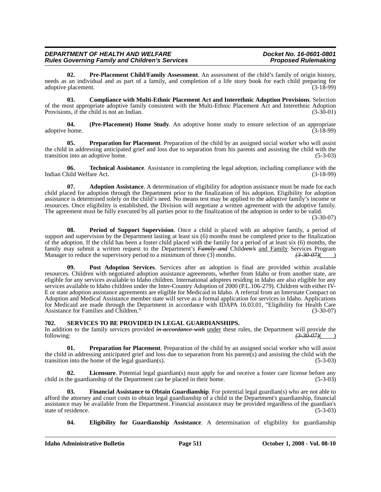**02. Pre-Placement Child/Family Assessment**. An assessment of the child's family of origin history, needs as an individual and as part of a family, and completion of a life story book for each child preparing for adoptive placement. (3-18-99) adoptive placement.

**03. Compliance with Multi-Ethnic Placement Act and Interethnic Adoption Provisions**. Selection of the most appropriate adoptive family consistent with the Multi-Ethnic Placement Act and Interethnic Adoption<br>Provisions, if the child is not an Indian. Provisions, if the child is not an Indian.

**04. (Pre-Placement) Home Study**. An adoptive home study to ensure selection of an appropriate adoptive home. (3-18-99)

**05. Preparation for Placement**. Preparation of the child by an assigned social worker who will assist the child in addressing anticipated grief and loss due to separation from his parents and assisting the child with the transition into an adoptive home. (5-3-03)

**06. Technical Assistance**. Assistance in completing the legal adoption, including compliance with the hild Welfare Act. (3-18-99) Indian Child Welfare Act.

**07. Adoption Assistance**. A determination of eligibility for adoption assistance must be made for each child placed for adoption through the Department prior to the finalization of his adoption. Eligibility for adoption assistance is determined solely on the child's need. No means test may be applied to the adoptive family's income or resources. Once eligibility is established, the Division will negotiate a written agreement with the adoptive family. The agreement must be fully executed by all parties prior to the finalization of the adoption in order to be valid.

(3-30-07)

**08. Period of Support Supervision**. Once a child is placed with an adoptive family, a period of support and supervision by the Department lasting at least six (6) months must be completed prior to the finalization of the adoption. If the child has been a foster child placed with the family for a period of at least six (6) months, the family may submit a written request to the Department's *Family and* Child*ren's* and Family Services Program Manager to reduce the supervisory period to a minimum of three (3) months. *(3-30-07)*( )

**09. Post Adoption Services**. Services after an adoption is final are provided within available resources. Children with negotiated adoption assistance agreements, whether from Idaho or from another state, are eligible for any services available to Idaho children. International adoptees residing in Idaho are also eligible for any services available to Idaho children under the Inter-Country Adoption of 2000 (P.L.106-279). Children with either IV-E or state adoption assistance agreements are eligible for Medicaid in Idaho. A referral from an Interstate Compact on Adoption and Medical Assistance member state will serve as a formal application for services in Idaho. Applications for Medicaid are made through the Department in accordance with IDAPA 16.03.01, "Eligibility for Health Care Assistance for Families and Children." (3-30-07)

# **702. SERVICES TO BE PROVIDED IN LEGAL GUARDIANSHIPS.**

In addition to the family services provided *in accordance with* under these rules, the Department will provide the following: *(3-30-07)*( )

**01. Preparation for Placement**. Preparation of the child by an assigned social worker who will assist the child in addressing anticipated grief and loss due to separation from his parent(s) and assisting the child with the transition into the home of the legal guardian(s). (5-3-03)

**02.** Licensure. Potential legal guardian(s) must apply for and receive a foster care license before any he guardianship of the Department can be placed in their home. (5-3-03) child in the guardianship of the Department can be placed in their home.

**Financial Assistance to Obtain Guardianship**. For potential legal guardian(s) who are not able to afford the attorney and court costs to obtain legal guardianship of a child in the Department's guardianship, financial assistance may be available from the Department. Financial assistance may be provided regardless of the guardian's state of residence.

**04. Eligibility for Guardianship Assistance**. A determination of eligibility for guardianship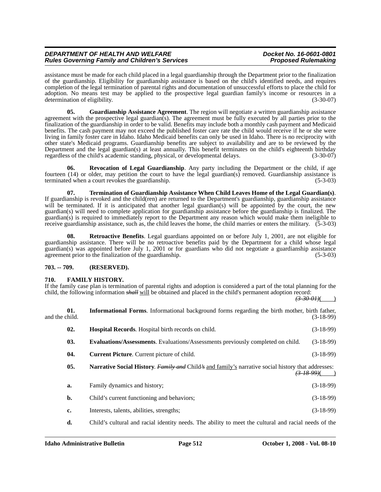assistance must be made for each child placed in a legal guardianship through the Department prior to the finalization of the guardianship. Eligibility for guardianship assistance is based on the child's identified needs, and requires completion of the legal termination of parental rights and documentation of unsuccessful efforts to place the child for adoption. No means test may be applied to the prospective legal guardian family's income or resources in a determination of eligibility. (3-30-07)

**05. Guardianship Assistance Agreement**. The region will negotiate a written guardianship assistance agreement with the prospective legal guardian(s). The agreement must be fully executed by all parties prior to the finalization of the guardianship in order to be valid. Benefits may include both a monthly cash payment and Medicaid benefits. The cash payment may not exceed the published foster care rate the child would receive if he or she were living in family foster care in Idaho. Idaho Medicaid benefits can only be used in Idaho. There is no reciprocity with other state's Medicaid programs. Guardianship benefits are subject to availability and are to be reviewed by the Department and the legal guardian(s) at least annually. This benefit terminates on the child's eighteenth birthday regardless of the child's academic standing, physical, or developmental delays. (3-30-07)

**06. Revocation of Legal Guardianship**. Any party including the Department or the child, if age fourteen (14) or older, may petition the court to have the legal guardian(s) removed. Guardianship assistance is terminated when a court revokes the guardianship. (5-3-03)

**07.** Termination of Guardianship Assistance When Child Leaves Home of the Legal Guardian(s). If guardianship is revoked and the child(ren) are returned to the Department's guardianship, guardianship assistance will be terminated. If it is anticipated that another legal guardian(s) will be appointed by the court, the new guardian(s) will need to complete application for guardianship assistance before the guardianship is finalized. The guardian(s) is required to immediately report to the Department any reason which would make them ineligible to receive guardianship assistance, such as, the child leaves the home, the child marries or enters the military. (5-3-03)

**08. Retroactive Benefits**. Legal guardians appointed on or before July 1, 2001, are not eligible for guardianship assistance. There will be no retroactive benefits paid by the Department for a child whose legal guardian(s) was appointed before July 1, 2001 or for guardians who did not negotiate a guardianship assistance agreement prior to the finalization of the guardianship. (5-3-03)

# **703. -- 709. (RESERVED).**

# **710. FAMILY HISTORY.**

If the family case plan is termination of parental rights and adoption is considered a part of the total planning for the child, the following information *shall* will be obtained and placed in the child's permanent adoption record:

 $(3-30-0)$ 

| and the child. | 01. | <b>Informational Forms.</b> Informational background forms regarding the birth mother, birth father,                                       | $(3-18-99)$ |
|----------------|-----|--------------------------------------------------------------------------------------------------------------------------------------------|-------------|
|                | 02. | <b>Hospital Records.</b> Hospital birth records on child.                                                                                  | $(3-18-99)$ |
|                | 03. | <b>Evaluations/Assessments.</b> Evaluations/Assessments previously completed on child.                                                     | $(3-18-99)$ |
|                | 04. | <b>Current Picture.</b> Current picture of child.                                                                                          | $(3-18-99)$ |
|                | 05. | <b>Narrative Social History.</b> <i>Family and</i> Child's and family's narrative social history that addresses:<br><del>(3-18-99)</del> ( |             |
|                | a.  | Family dynamics and history;                                                                                                               | $(3-18-99)$ |
|                | b.  | Child's current functioning and behaviors;                                                                                                 | $(3-18-99)$ |
|                | c.  | Interests, talents, abilities, strengths;                                                                                                  | $(3-18-99)$ |
|                |     |                                                                                                                                            |             |

**d.** Child's cultural and racial identity needs. The ability to meet the cultural and racial needs of the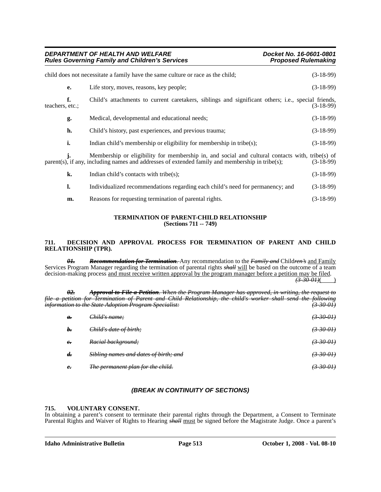| DEPARTMENT OF HEALTH AND WELFARE<br><b>Rules Governing Family and Children's Services</b> |    |                                                                                                                                                                                                    | Docket No. 16-0601-0801<br><b>Proposed Rulemaking</b> |             |
|-------------------------------------------------------------------------------------------|----|----------------------------------------------------------------------------------------------------------------------------------------------------------------------------------------------------|-------------------------------------------------------|-------------|
|                                                                                           |    | child does not necessitate a family have the same culture or race as the child;                                                                                                                    |                                                       | $(3-18-99)$ |
|                                                                                           | e. | Life story, moves, reasons, key people;                                                                                                                                                            |                                                       | $(3-18-99)$ |
| teachers, etc.:                                                                           | f. | Child's attachments to current caretakers, siblings and significant others; i.e., special friends,                                                                                                 |                                                       | $(3-18-99)$ |
|                                                                                           | g. | Medical, developmental and educational needs;                                                                                                                                                      |                                                       | $(3-18-99)$ |
|                                                                                           | h. | Child's history, past experiences, and previous trauma;                                                                                                                                            |                                                       | $(3-18-99)$ |
|                                                                                           | i. | Indian child's membership or eligibility for membership in tribe $(s)$ ;                                                                                                                           |                                                       | $(3-18-99)$ |
|                                                                                           | j. | Membership or eligibility for membership in, and social and cultural contacts with, tribe(s) of<br>parent(s), if any, including names and addresses of extended family and membership in tribe(s); |                                                       | $(3-18-99)$ |
|                                                                                           | k. | Indian child's contacts with tribe(s);                                                                                                                                                             |                                                       | $(3-18-99)$ |
|                                                                                           | l. | Individualized recommendations regarding each child's need for permanency; and                                                                                                                     |                                                       | $(3-18-99)$ |
|                                                                                           | m. | Reasons for requesting termination of parental rights.                                                                                                                                             |                                                       | $(3-18-99)$ |

#### **TERMINATION OF PARENT-CHILD RELATIONSHIP (Sections 711 -- 749)**

# **711. DECISION AND APPROVAL PROCESS FOR TERMINATION OF PARENT AND CHILD RELATIONSHIP (TPR).**

*01. Recommendation for Termination.* Any recommendation to the *Family and* Child*ren's* and Family Services Program Manager regarding the termination of parental rights *shall* will be based on the outcome of a team decision-making process and must receive written approval by the program manager before a petition may be filed.

 $\frac{(3-30-01)}{2}$ 

|      | θ2.                           | When the Program Manager has approved, in writing, the request to<br>Annroual to Eile a Detition                                                                      |                      |
|------|-------------------------------|-----------------------------------------------------------------------------------------------------------------------------------------------------------------------|----------------------|
| file | natition<br><del>vennon</del> | child's worker shall send the following<br>Child Polationship<br>fba<br><i><b>Returnation</b></i> .<br>$\mu$<br>information to the State Adoption Program Specialist: | <u>3 30 01)</u>      |
|      | $\theta$ .                    | Child's name;                                                                                                                                                         | <del>(3-30-01)</del> |
|      | b.                            | Child's date of birth;                                                                                                                                                | $(3-30-0)$           |
|      | $e_{\overline{\cdot}}$        | Racial background;                                                                                                                                                    | <del>(3 30 01)</del> |
|      | $d_{\overline{r}}$            | Sibling names and dates of birth; and                                                                                                                                 | <del>(3-30-01)</del> |
|      | $e_{\overline{\cdot}}$        | The permanent plan for the child.                                                                                                                                     | <del>(3-30-01)</del> |
|      |                               |                                                                                                                                                                       |                      |

# *(BREAK IN CONTINUITY OF SECTIONS)*

# **715. VOLUNTARY CONSENT.**

In obtaining a parent's consent to terminate their parental rights through the Department, a Consent to Terminate Parental Rights and Waiver of Rights to Hearing *shall* must be signed before the Magistrate Judge. Once a parent's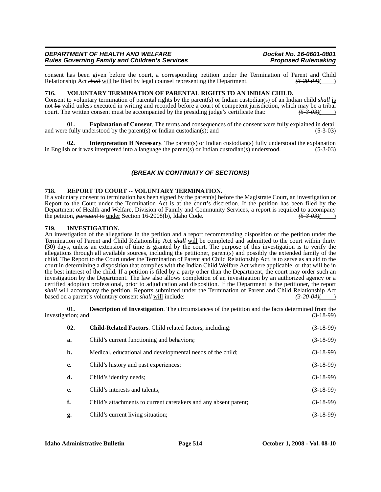consent has been given before the court, a corresponding petition under the Termination of Parent and Child Relationship Act  $\frac{\partial H}{\partial t}$  will be filed by legal counsel representing the Department. Relationship Act *shall* will be filed by legal counsel representing the Department.

## **716. VOLUNTARY TERMINATION OF PARENTAL RIGHTS TO AN INDIAN CHILD.**

Consent to voluntary termination of parental rights by the parent(s) or Indian custodian(s) of an Indian child *shall* is not *be* valid unless executed in writing and recorded before a court of competent jurisdiction, which may be a tribal court. The written consent must be accompanied by the presiding judge's certificate that:  $\frac{(5-3-0.3)()}$ court. The written consent must be accompanied by the presiding judge's certificate that:

**01. Explanation of Consent**. The terms and consequences of the consent were fully explained in detail and were fully understood by the parent(s) or Indian custodian(s); and  $(5-3-03)$ 

**02.** Interpretation If Necessary. The parent(s) or Indian custodian(s) fully understood the explanation the orienting the parent of the parent of the parent of the explanation (5-3-03) in English or it was interpreted into a language the parent(s) or Indian custodian(s) understood.

# *(BREAK IN CONTINUITY OF SECTIONS)*

#### **718. REPORT TO COURT -- VOLUNTARY TERMINATION.**

If a voluntary consent to termination has been signed by the parent(s) before the Magistrate Court, an investigation or Report to the Court under the Termination Act is at the court's discretion. If the petition has been filed by the Department of Health and Welfare, Division of Family and Community Services, a report is required to accompany the petition, *pursuant to* under Section 16-2008(b), Idaho Code. *(5-3-03)*( *(5-3-03)* 

#### **719. INVESTIGATION.**

An investigation of the allegations in the petition and a report recommending disposition of the petition under the Termination of Parent and Child Relationship Act *shall* will be completed and submitted to the court within thirty (30) days, unless an extension of time is granted by the court. The purpose of this investigation is to verify the allegations through all available sources, including the petitioner, parent(s) and possibly the extended family of the child. The Report to the Court under the Termination of Parent and Child Relationship Act, is to serve as an aid to the court in determining a disposition that complies with the Indian Child Welfare Act where applicable, or that will be in the best interest of the child. If a petition is filed by a party other than the Department, the court may order such an investigation by the Department. The law also allows completion of an investigation by an authorized agency or a certified adoption professional, prior to adjudication and disposition. If the Department is the petitioner, the report *shall* will accompany the petition. Reports submitted under the Termination of Parent and Child Relationship Act based on a parent's voluntary consent *shall* will include:<br>
(3-20-04) based on a parent's voluntary consent *shall* will include:

**01. Description of Investigation**. The circumstances of the petition and the facts determined from the tion; and (3-18-99) investigation; and

| 02. | <b>Child-Related Factors.</b> Child related factors, including:  | $(3-18-99)$ |
|-----|------------------------------------------------------------------|-------------|
| a.  | Child's current functioning and behaviors;                       | $(3-18-99)$ |
| b.  | Medical, educational and developmental needs of the child;       | $(3-18-99)$ |
| c.  | Child's history and past experiences;                            | $(3-18-99)$ |
| d.  | Child's identity needs;                                          | $(3-18-99)$ |
| e.  | Child's interests and talents;                                   | $(3-18-99)$ |
| f.  | Child's attachments to current caretakers and any absent parent; | $(3-18-99)$ |
| g.  | Child's current living situation;                                | $(3-18-99)$ |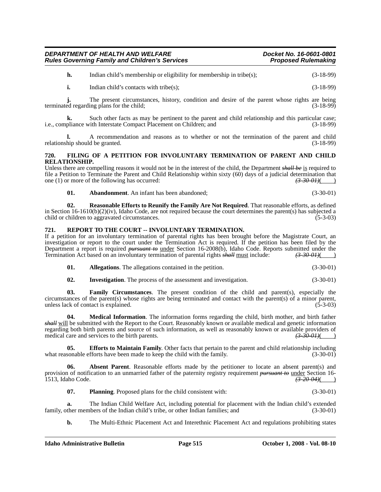**h.** Indian child's membership or eligibility for membership in tribe(s); (3-18-99)

**i.** Indian child's contacts with tribe(s); (3-18-99)

**j.** The present circumstances, history, condition and desire of the parent whose rights are being terminated regarding plans for the child; (3-18-99)

**k.** Such other facts as may be pertinent to the parent and child relationship and this particular case; i.e., compliance with Interstate Compact Placement on Children; and (3-18-99)

**l.** A recommendation and reasons as to whether or not the termination of the parent and child relationship should be granted. (3-18-99)

## **720. FILING OF A PETITION FOR INVOLUNTARY TERMINATION OF PARENT AND CHILD RELATIONSHIP.**

Unless there are compelling reasons it would not be in the interest of the child, the Department *shall be* is required to file a Petition to Terminate the Parent and Child Relationship within sixty (60) days of a judicial determination that one (1) or more of the following has occurred: one (1) or more of the following has occurred:

**01. Abandonment**. An infant has been abandoned; (3-30-01)

**02. Reasonable Efforts to Reunify the Family Are Not Required**. That reasonable efforts, as defined in Section 16-1610(b)(2)(iv), Idaho Code, are not required because the court determines the parent(s) has subjected a child or children to aggravated circumstances. (5-3-03)

# **721. REPORT TO THE COURT -- INVOLUNTARY TERMINATION.**

If a petition for an involuntary termination of parental rights has been brought before the Magistrate Court, an investigation or report to the court under the Termination Act is required. If the petition has been filed by the Department a report is required *pursuant to* under Section 16-2008(b), Idaho Code. Reports submitted under the Termination Act based on an involuntary termination of parental rights *shall* must include: *(3-30-01)*( )

| 01. |  | <b>Allegations.</b> The allegations contained in the petition. |  | $(3-30-01)$ |
|-----|--|----------------------------------------------------------------|--|-------------|
|-----|--|----------------------------------------------------------------|--|-------------|

**02.** Investigation. The process of the assessment and investigation. (3-30-01)

**03. Family Circumstances**. The present condition of the child and parent(s), especially the circumstances of the parent(s) whose rights are being terminated and contact with the parent(s) of a minor parent, unless lack of contact is explained. (5-3-03)

**04. Medical Information**. The information forms regarding the child, birth mother, and birth father *shall* will be submitted with the Report to the Court. Reasonably known or available medical and genetic information regarding both birth parents and source of such information, as well as reasonably known or available providers of medical care and services to the birth parents. *(3-30-01)*(

**05. Efforts to Maintain Family**. Other facts that pertain to the parent and child relationship including sonable efforts have been made to keep the child with the family.  $(3-30-01)$ what reasonable efforts have been made to keep the child with the family.

**06. Absent Parent**. Reasonable efforts made by the petitioner to locate an absent parent(s) and provision of notification to an unmarried father of the paternity registry requirement *pursuant to* under Section 16-<br>1513. Idaho Code. 1513, Idaho Code. *(3-20-04)*( )

**07. Planning**. Proposed plans for the child consistent with: (3-30-01)

**a.** The Indian Child Welfare Act, including potential for placement with the Indian child's extended ther members of the Indian child's tribe, or other Indian families; and (3-30-01) family, other members of the Indian child's tribe, or other Indian families; and

**b.** The Multi-Ethnic Placement Act and Interethnic Placement Act and regulations prohibiting states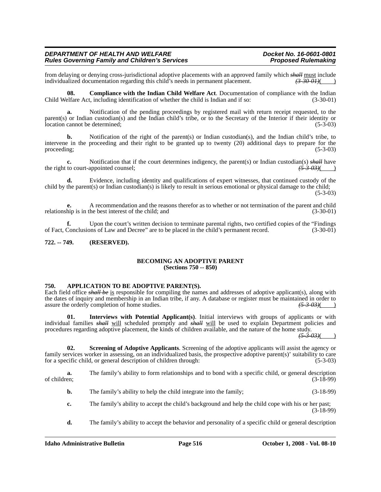from delaying or denying cross-jurisdictional adoptive placements with an approved family which *shall* must include individualized documentation regarding this child's needs in permanent placement. (3.30 01) individualized documentation regarding this child's needs in permanent placement.

**08. Compliance with the Indian Child Welfare Act**. Documentation of compliance with the Indian Child Welfare Act, including identification of whether the child is Indian and if so: (3-30-01)

**a.** Notification of the pending proceedings by registered mail with return receipt requested, to the parent(s) or Indian custodian(s) and the Indian child's tribe, or to the Secretary of the Interior if their identity or location cannot be determined; (5-3-03)

**b.** Notification of the right of the parent(s) or Indian custodian(s), and the Indian child's tribe, to intervene in the proceeding and their right to be granted up to twenty (20) additional days to prepare for the proceeding;  $(5-3-03)$ 

Notification that if the court determines indigency, the parent(s) or Indian custodian(s) *shall* have appointed counsel;<br>(5-3-03)( the right to court-appointed counsel;

**d.** Evidence, including identity and qualifications of expert witnesses, that continued custody of the child by the parent(s) or Indian custodian(s) is likely to result in serious emotional or physical damage to the child;  $(5-3-03)$ 

**e.** A recommendation and the reasons therefor as to whether or not termination of the parent and child hip is in the best interest of the child: and (3-30-01) relationship is in the best interest of the child; and

**f.** Upon the court's written decision to terminate parental rights, two certified copies of the "Findings Conclusions of Law and Decree" are to be placed in the child's permanent record. (3-30-01) of Fact, Conclusions of Law and Decree" are to be placed in the child's permanent record.

## **722. -- 749. (RESERVED).**

#### **BECOMING AN ADOPTIVE PARENT (Sections 750 -- 850)**

#### **750. APPLICATION TO BE ADOPTIVE PARENT(S).**

Each field office *shall be* is responsible for compiling the names and addresses of adoptive applicant(s), along with the dates of inquiry and membership in an Indian tribe, if any. A database or register must be maintained in order to assure the orderly completion of home studies.  $\frac{(5.3.03)}{(2.5.03 \times 10^{11} \text{ J s})}$ assure the orderly completion of home studies.

**01. Interviews with Potential Applicant(s)**. Initial interviews with groups of applicants or with individual families *shall* will scheduled promptly and *shall* will be used to explain Department policies and procedures regarding adoptive placement, the kinds of children available, and the nature of the home study.

 $(5-3-03)$ 

**02. Screening of Adoptive Applicants**. Screening of the adoptive applicants will assist the agency or family services worker in assessing, on an individualized basis, the prospective adoptive parent(s)' suitability to care for a specific child, or general description of children through: (5-3-03)

**a.** The family's ability to form relationships and to bond with a specific child, or general description of children; (3-18-99) of children;  $(3-18-99)$ 

- **b.** The family's ability to help the child integrate into the family; (3-18-99)
- **c.** The family's ability to accept the child's background and help the child cope with his or her past; (3-18-99)
- **d.** The family's ability to accept the behavior and personality of a specific child or general description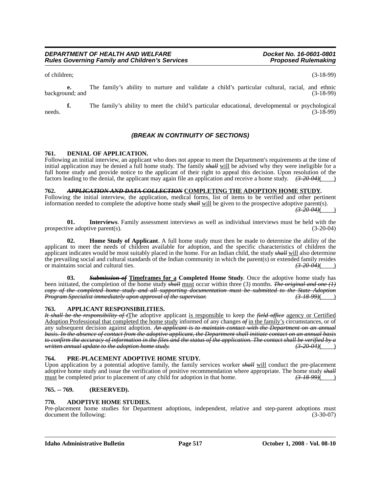of children; (3-18-99)

**e.** The family's ability to nurture and validate a child's particular cultural, racial, and ethnic background; and (3-18-99)

**f.** The family's ability to meet the child's particular educational, developmental or psychological (3-18-99)  $\text{needs.}$  (3-18-99)

# *(BREAK IN CONTINUITY OF SECTIONS)*

# **761. DENIAL OF APPLICATION.**

Following an initial interview, an applicant who does not appear to meet the Department's requirements at the time of initial application may be denied a full home study. The family *shall* will be advised why they were ineligible for a full home study and provide notice to the applicant of their right to appeal this decision. Upon resolution of the factors leading to the denial, the applicant may again file an application and receive a home study. *(3-20-04)*( )

**762.** *APPLICATION AND DATA COLLECTION* **COMPLETING THE ADOPTION HOME STUDY.** Following the initial interview, the application, medical forms, list of items to be verified and other pertinent information needed to complete the adoptive home study *shall* will be given to the prospective adoptive parent(s). *(3-20-04)*( )

**01. Interviews**. Family assessment interviews as well as individual interviews must be held with the ive adoptive parent(s). (3-20-04) prospective adoptive parent $(s)$ .

**02. Home Study of Applicant**. A full home study must then be made to determine the ability of the applicant to meet the needs of children available for adoption, and the specific characteristics of children the applicant indicates would be most suitably placed in the home. For an Indian child, the study *shall* will also determine the prevailing social and cultural standards of the Indian community in which the parent(s) or extended family resides or maintains social and cultural ties. or maintains social and cultural ties.

**03.** *Submission of* **Timeframes for a Completed Home Study**. Once the adoptive home study has been initiated, the completion of the home study *shall* must occur within three (3) months. *The original and one (1) copy of the completed home study and all supporting documentation must be submitted to the State Adoption Program Specialist immediately upon approval of the supervisor.* 

#### **763. APPLICANT RESPONSIBILITIES.**

*It shall be the responsibility of t*The adoptive applicant is responsible to keep the *field office* agency or Certified Adoption Professional that completed the home study informed of any changes *of* in the family's circumstances, or of any subsequent decision against adoption. *An applicant is to maintain contact with the Department on an annual basis. In the absence of contact from the adoptive applicant, the Department shall initiate contact on an annual basis to confirm the accuracy of information in the files and the status of the application. The contact shall be verified by a written annual update to the adoption home study. (3-20-04)*( )

#### **764. PRE-PLACEMENT ADOPTIVE HOME STUDY.**

Upon application by a potential adoptive family, the family services worker *shall* will conduct the pre-placement adoptive home study and issue the verification of positive recommendation where appropriate. The home study *shall*<br>must be completed prior to placement of any child for adoption in that home. must be completed prior to placement of any child for adoption in that home.  $\left(3\frac{18}{99}\right)$  (a)

# **765. -- 769. (RESERVED).**

#### **770. ADOPTIVE HOME STUDIES.**

Pre-placement home studies for Department adoptions, independent, relative and step-parent adoptions must document the following: (3-30-07) (3-30-07)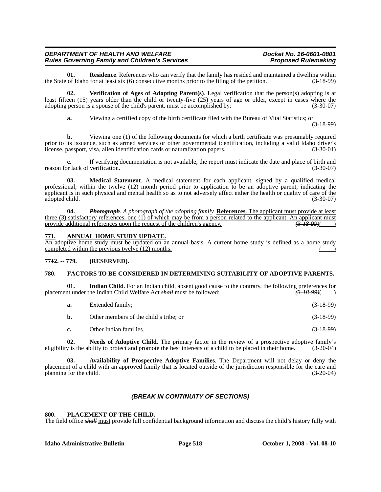**01. Residence**. References who can verify that the family has resided and maintained a dwelling within of Idaho for at least six (6) consecutive months prior to the filing of the petition. (3-18-99) the State of Idaho for at least six  $(6)$  consecutive months prior to the filing of the petition.

**02. Verification of Ages of Adopting Parent(s)**. Legal verification that the person(s) adopting is at least fifteen (15) years older than the child or twenty-five (25) years of age or older, except in cases where the adopting person is a spouse of the child's parent, must be accomplished by: (3-30-07)

**a.** Viewing a certified copy of the birth certificate filed with the Bureau of Vital Statistics; or

(3-18-99)

**b.** Viewing one (1) of the following documents for which a birth certificate was presumably required prior to its issuance, such as armed services or other governmental identification, including a valid Idaho driver's license, passport, visa, alien identification cards or naturalization papers. (3-30-01) license, passport, visa, alien identification cards or naturalization papers.

**c.** If verifying documentation is not available, the report must indicate the date and place of birth and or lack of verification. (3-30-07) reason for lack of verification.

**03. Medical Statement**. A medical statement for each applicant, signed by a qualified medical professional, within the twelve (12) month period prior to application to be an adoptive parent, indicating the applicant is in such physical and mental health so as to not adversely affect either the health or quality of care of the adopted child. (3-30-07) (3-30-07)

**04.** *Photograph. A photograph of the adopting family.* **References**. The applicant must provide at least three (3) satisfactory references, one (1) of which may be from a person related to the applicant. An applicant must<br>provide additional references upon the request of the children's agency. provide additional references upon the request of the children's agency.

# **771. ANNUAL HOME STUDY UPDATE.**

An adoptive home study must be updated on an annual basis. A current home study is defined as a home study completed within the previous twelve  $(12)$  months.

# **77***1***2. -- 779. (RESERVED).**

# **780. FACTORS TO BE CONSIDERED IN DETERMINING SUITABILITY OF ADOPTIVE PARENTS.**

**01.** Indian Child. For an Indian child, absent good cause to the contrary, the following preferences for placement under the Indian Child Welfare Act *shall* must be followed:  $\left(3-18-99\right)$  (

| а. | Extended family;                       | $(3-18-99)$ |
|----|----------------------------------------|-------------|
| b. | Other members of the child's tribe; or | $(3-18-99)$ |
| c. | Other Indian families.                 | $(3-18-99)$ |

02. Needs of Adoptive Child. The primary factor in the review of a prospective adoptive family's eligibility is the ability to protect and promote the best interests of a child to be placed in their home. (3-20-04)

**03. Availability of Prospective Adoptive Families**. The Department will not delay or deny the placement of a child with an approved family that is located outside of the jurisdiction responsible for the care and planning for the child. (3-20-04) planning for the child.

# *(BREAK IN CONTINUITY OF SECTIONS)*

# **800. PLACEMENT OF THE CHILD.**

The field office *shall* must provide full confidential background information and discuss the child's history fully with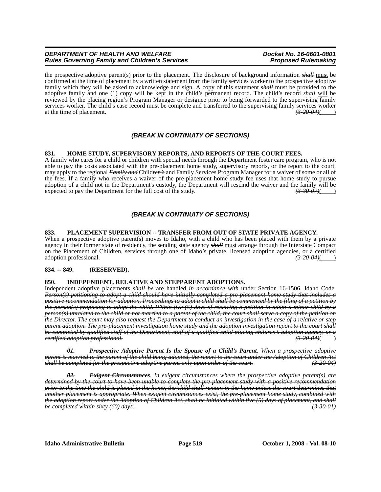the prospective adoptive parent(s) prior to the placement. The disclosure of background information *shall* must be confirmed at the time of placement by a written statement from the family services worker to the prospective adoptive family which they will be asked to acknowledge and sign. A copy of this statement *shall* must be provided to the adoptive family and one (1) copy will be kept in the child's permanent record. The child's record *shall* will be reviewed by the placing region's Program Manager or designee prior to being forwarded to the supervising family services worker. The child's case record must be complete and transferred to the supervising family services worker at the time of placement.  $\left( \frac{3-20.04}{2} \right)$ at the time of placement. *(3-20-04)*( )

# *(BREAK IN CONTINUITY OF SECTIONS)*

# **831. HOME STUDY, SUPERVISORY REPORTS, AND REPORTS OF THE COURT FEES.**

A family who cares for a child or children with special needs through the Department foster care program, who is not able to pay the costs associated with the pre-placement home study, supervisory reports, or the report to the court, may apply to the regional *Family and* Child*ren's* and Family Services Program Manager for a waiver of some or all of the fees. If a family who receives a waiver of the pre-placement home study fee uses that home study to pursue adoption of a child not in the Department's custody, the Department will rescind the waiver and the family will be expected to pay the Department for the full cost of the study.  $\frac{(3-30.07)()}{(3-30.07)()}$ expected to pay the Department for the full cost of the study.<sup>7</sup>

# *(BREAK IN CONTINUITY OF SECTIONS)*

#### **833. PLACEMENT SUPERVISION -- TRANSFER FROM OUT OF STATE PRIVATE AGENCY.**

When a prospective adoptive parent(s) moves to Idaho, with a child who has been placed with them by a private agency in their former state of residency, the sending state agency *shall* must arrange through the Interstate Compact on the Placement of Children, services through one of Idaho's private, licensed adoption agencies, or a certified adoption professional.  $\left(3-20-04\right)$ adoption professional. *(3-20-04)*( )

# **834. -- 849. (RESERVED).**

#### **850. INDEPENDENT, RELATIVE AND STEPPARENT ADOPTIONS.**

Independent adoptive placements *shall be* are handled *in accordance with* under Section 16-1506, Idaho Code. *Person(s) petitioning to adopt a child should have initially completed a pre-placement home study that includes a positive recommendation for adoption. Proceedings to adopt a child shall be commenced by the filing of a petition by the person(s) proposing to adopt the child. Within five (5) days of receiving a petition to adopt a minor child by a person(s) unrelated to the child or not married to a parent of the child, the court shall serve a copy of the petition on the Director. The court may also request the Department to conduct an investigation in the case of a relative or step parent adoption. The pre-placement investigation home study and the adoption investigation report to the court shall be completed by qualified staff of the Department, staff of a qualified child-placing children's adoption agency, or a certified adoption professional. (3-20-04)*( )

*01. Prospective Adoptive Parent Is the Spouse of a Child's Parent. When a prospective adoptive parent is married to the parent of the child being adopted, the report to the court under the Adoption of Children Act shall be completed for the prospective adoptive parent only upon order of the court. (3-20-04)*

*02. Exigent Circumstances. In exigent circumstances where the prospective adoptive parent(s) are determined by the court to have been unable to complete the pre-placement study with a positive recommendation prior to the time the child is placed in the home, the child shall remain in the home unless the court determines that another placement is appropriate. When exigent circumstances exist, the pre-placement home study, combined with the adoption report under the Adoption of Children Act, shall be initiated within five (5) days of placement, and shall be completed within sixty (60) days.* 

**Idaho Administrative Bulletin Page 519 October 1, 2008 - Vol. 08-10**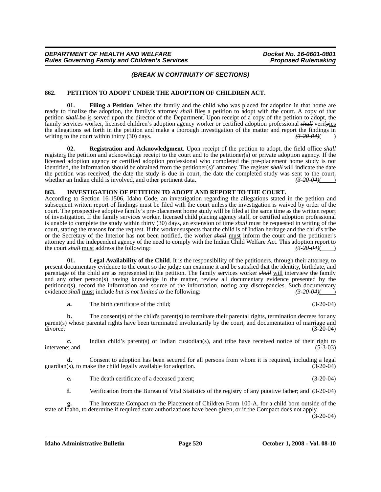# *(BREAK IN CONTINUITY OF SECTIONS)*

## **862. PETITION TO ADOPT UNDER THE ADOPTION OF CHILDREN ACT.**

**01. Filing a Petition**. When the family and the child who was placed for adoption in that home are ready to finalize the adoption, the family's attorney *shall* files a petition to adopt with the court. A copy of that petition *shall be* is served upon the director of the Department. Upon receipt of a copy of the petition to adopt, the family services worker, licensed children's adoption agency worker or certified adoption professional *shall* verif*y*ies the allegations set forth in the petition and make a thorough investigation of the matter and report the findings in writing to the court within thirty (30) days. writing to the court within thirty (30) days.

**02. Registration and Acknowledgment**. Upon receipt of the petition to adopt, the field office *shall* registers the petition and acknowledge receipt to the court and to the petitioner(s) or private adoption agency. If the licensed adoption agency or certified adoption professional who completed the pre-placement home study is not identified, the information should be obtained from the petitioner(s)' attorney. The register *shall* will indicate the date the petition was received, the date the study is due in court, the date the completed study was sent to the court, whether an Indian child is involved, and other pertinent data.  $\left(3.2004\right)(\frac{1}{2})$ whether an Indian child is involved, and other pertinent data.

#### **863. INVESTIGATION OF PETITION TO ADOPT AND REPORT TO THE COURT.**

According to Section 16-1506, Idaho Code, an investigation regarding the allegations stated in the petition and subsequent written report of findings must be filed with the court unless the investigation is waived by order of the court. The prospective adoptive family's pre-placement home study will be filed at the same time as the written report of investigation. If the family services worker, licensed child placing agency staff, or certified adoption professional is unable to complete the study within thirty (30) days, an extension of time *shall* must be requested in writing of the court, stating the reasons for the request. If the worker suspects that the child is of Indian heritage and the child's tribe or the Secretary of the Interior has not been notified, the worker *shall* must inform the court and the petitioner's attorney and the independent agency of the need to comply with the Indian Child Welfare Act. This adoption report to the court shall must address the following:  $\left( \frac{3-20-04}{2} \right)$ the court *shall* must address the following:

**Legal Availability of the Child.** It is the responsibility of the petitioners, through their attorney, to present documentary evidence to the court so the judge can examine it and be satisfied that the identity, birthdate, and parentage of the child are as represented in the petition. The family services worker *shall* will interview the family and any other person(s) having knowledge in the matter, review all documentary evidence presented by the petitioner(s), record the information and source of the information, noting any discrepancies. Such documentary evidence shall must include but is not limited to the following:<br>  $\left(320.04\right)$ evidence *shall* must include *but is not limited to* the following:

**a.** The birth certificate of the child; (3-20-04)

**b.** The consent(s) of the child's parent(s) to terminate their parental rights, termination decrees for any parent(s) whose parental rights have been terminated involuntarily by the court, and documentation of marriage and divorce;<br>(3-20-04)  $div \, \text{or} \, (3-20-04)$ 

**c.** Indian child's parent(s) or Indian custodian(s), and tribe have received notice of their right to e; and (5-3-03) intervene; and

**d.** Consent to adoption has been secured for all persons from whom it is required, including a legal (s), to make the child legally available for adoption. (3-20-04) guardian(s), to make the child legally available for adoption.

**e.** The death certificate of a deceased parent; (3-20-04)

**f.** Verification from the Bureau of Vital Statistics of the registry of any putative father; and (3-20-04)

**g.** The Interstate Compact on the Placement of Children Form 100-A, for a child born outside of the state of Idaho, to determine if required state authorizations have been given, or if the Compact does not apply.  $(3-20-04)$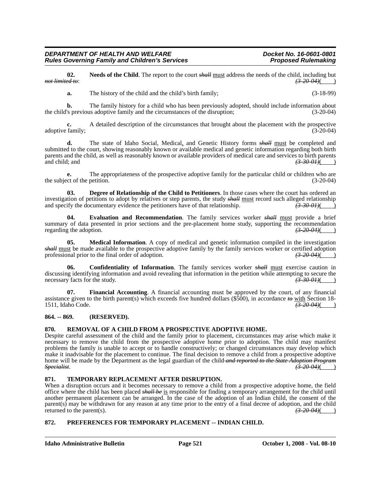**02.** Needs of the Child. The report to the court *shall* must address the needs of the child, including but *not limited to*: (3.20.04)(  $(3-20.04)$ ( )

**a.** The history of the child and the child's birth family; (3-18-99)

**b.** The family history for a child who has been previously adopted, should include information about 's previous adoptive family and the circumstances of the disruption:  $(3-20-04)$ the child's previous adoptive family and the circumstances of the disruption;

**c.** A detailed description of the circumstances that brought about the placement with the prospective adoptive family; (3-20-04)

**d.** The state of Idaho Social, Medical, and Genetic History forms *shall* must be completed and submitted to the court, showing reasonably known or available medical and genetic information regarding both birth parents and the child, as well as reasonably known or available providers of medical care and services to birth parents and child; and **(3-30-01)**( )

**e.** The appropriateness of the prospective adoptive family for the particular child or children who are the subject of the petition. (3-20-04)

**03. Degree of Relationship of the Child to Petitioners**. In those cases where the court has ordered an investigation of petitions to adopt by relatives or step parents, the study  $s$ *hall* must record such alleged relationship and specify the documentary evidence the petitioners have of that relationship.  $\left(3-30-01\right)$ and specify the documentary evidence the petitioners have of that relationship.

**04. Evaluation and Recommendation**. The family services worker *shall* must provide a brief summary of data presented in prior sections and the pre-placement home study, supporting the recommendation regarding the adoption.  $\left(3, 20, 04\right)$ regarding the adoption.

**05. Medical Information**. A copy of medical and genetic information compiled in the investigation *shall* must be made available to the prospective adoptive family by the family services worker or certified adoption professional prior to the final order of adoption.  $\left(3\text{-}20\text{-}04\right)$ 

**06. Confidentiality of Information**. The family services worker *shall* must exercise caution in discussing identifying information and avoid revealing that information in the petition while attempting to secure the necessary facts for the study. necessary facts for the study.  $\left(3-30-01\right)$  ( $\left(3-30-01\right)$ )

**07. Financial Accounting**. A financial accounting must be approved by the court, of any financial assistance given to the birth parent(s) which exceeds five hundred dollars (\$500), in accordance  $\theta \theta$  with Section 18-<br>1511, Idaho Code. 1511, Idaho Code. *(3-20-04)*( )

# **864. -- 869. (RESERVED).**

# **870. REMOVAL OF A CHILD FROM A PROSPECTIVE ADOPTIVE HOME.**

Despite careful assessment of the child and the family prior to placement, circumstances may arise which make it necessary to remove the child from the prospective adoptive home prior to adoption. The child may manifest problems the family is unable to accept or to handle constructively; or changed circumstances may develop which make it inadvisable for the placement to continue. The final decision to remove a child from a prospective adoptive home will be made by the Department as the legal guardian of the child *and reported to the State Adoption Program Specialist*. *(3-20-04)*( )

# **871. TEMPORARY REPLACEMENT AFTER DISRUPTION.**

When a disruption occurs and it becomes necessary to remove a child from a prospective adoptive home, the field office where the child has been placed *shall be* is responsible for finding a temporary arrangement for the child until another permanent placement can be arranged. In the case of the adoption of an Indian child, the consent of the parent(s) may be withdrawn for any reason at any time prior to the entry of a final decree of adoption, and the child returned to the parent(s).  $\left( \frac{3-20-04}{2} \right)$ returned to the parent(s).

# **872. PREFERENCES FOR TEMPORARY PLACEMENT -- INDIAN CHILD.**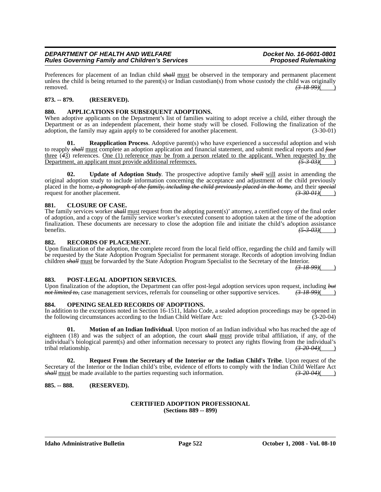Preferences for placement of an Indian child *shall* must be observed in the temporary and permanent placement unless the child is being returned to the parent(s) or Indian custodian(s) from whose custody the child was originally removed. *(3-18-99)*( )

# **873. -- 879. (RESERVED).**

# **880. APPLICATIONS FOR SUBSEQUENT ADOPTIONS.**

When adoptive applicants on the Department's list of families waiting to adopt receive a child, either through the Department or as an independent placement, their home study will be closed. Following the finalization of the adoption, the family may again apply to be considered for another placement. (3-30-01)

**01. Reapplication Process**. Adoptive parent(s) who have experienced a successful adoption and wish to reapply *shall* must complete an adoption application and financial statement, and submit medical reports and *four* three (*4*3) references. One (1) reference may be from a person related to the applicant. When requested by the Department, an applicant must provide additional references. *(5-3-03)*( )

**02. Update of Adoption Study**. The prospective adoptive family *shall* will assist in amending the original adoption study to include information concerning the acceptance and adjustment of the child previously placed in the home*, a photograph of the family, including the child previously placed in the home,* and their *special* request for another placement.  $\frac{(3-30-0.01)(1)}{2}$ 

## **881. CLOSURE OF CASE.**

The family services worker *shall* must request from the adopting parent(s)' attorney, a certified copy of the final order of adoption, and a copy of the family service worker's executed consent to adoption taken at the time of the adoption finalization. These documents are necessary to close the adoption file and initiate the child's adoption assistance benefits.  $\frac{(5-3.03)}{(2.5-3.03)}$ **benefits.**  $\qquad \qquad (5.3-0.3)()$ 

#### **882. RECORDS OF PLACEMENT.**

Upon finalization of the adoption, the complete record from the local field office, regarding the child and family will be requested by the State Adoption Program Specialist for permanent storage. Records of adoption involving Indian children *shall* must be forwarded by the State Adoption Program Specialist to the Secretary of the Interior.

*(3-18-99)*( )

#### **883. POST-LEGAL ADOPTION SERVICES.**

Upon finalization of the adoption, the Department can offer post-legal adoption services upon request, including *but not limited to,* case management services, referrals for counseling or other supportive services.  $(3-18-99)()$ 

#### **884. OPENING SEALED RECORDS OF ADOPTIONS.**

In addition to the exceptions noted in Section 16-1511, Idaho Code, a sealed adoption proceedings may be opened in the following circumstances according to the Indian Child Welfare Act: (3-20-04) the following circumstances according to the Indian Child Welfare Act:

**01. Motion of an Indian Individual**. Upon motion of an Indian individual who has reached the age of eighteen (18) and was the subject of an adoption, the court *shall* must provide tribal affiliation, if any, of the individual's biological parent(s) and other information necessary to protect any rights flowing from the individual's tribal relationship. *(3-20-04)*( )

**02. Request From the Secretary of the Interior or the Indian Child's Tribe**. Upon request of the Secretary of the Interior or the Indian child's tribe, evidence of efforts to comply with the Indian Child Welfare Act shall must be made available to the parties requesting such information.  $\left(3-20.04\right)$ *shall* must be made available to the parties requesting such information.

## **885. -- 888. (RESERVED).**

#### **CERTIFIED ADOPTION PROFESSIONAL (Sections 889 -- 899)**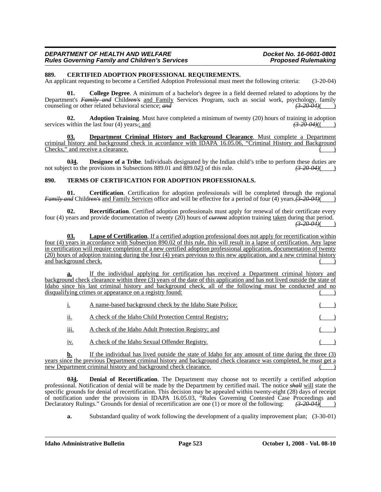| DEPARTMENT OF HEALTH AND WELFARE                      | Docket No. 16-0601-0801    |
|-------------------------------------------------------|----------------------------|
| <b>Rules Governing Family and Children's Services</b> | <b>Proposed Rulemaking</b> |

#### **889. CERTIFIED ADOPTION PROFESSIONAL REQUIREMENTS.**

An applicant requesting to become a Certified Adoption Professional must meet the following criteria: (3-20-04)

**01. College Degree**. A minimum of a bachelor's degree in a field deemed related to adoptions by the Department's *Family and* Children's <u>and Family</u> Services Program, such as social work, psychology, family counseling or other related behavioral science; *and* counseling or other related behavioral science; and

**02. Adoption Training**. Must have completed a minimum of twenty (20) hours of training in adoption within the last four (4) years-; and  $\left(\frac{3-20.04}{1000}\right)$ services within the last four (4) years.; and

**03. Department Criminal History and Background Clearance**. Must complete a Department criminal history and background check in accordance with IDAPA 16.05.06, "Criminal History and Background Checks," and receive a clearance.

**034.** Designee of a Tribe. Individuals designated by the Indian child's tribe to perform these duties are ct to the provisions in Subsections 889.01 and 889.023 of this rule.  $\left(3-20-04\right)$ not subject to the provisions in Subsections 889.01 and 889.023 of this rule.

#### **890. TERMS OF CERTIFICATION FOR ADOPTION PROFESSIONALS.**

**01. Certification**. Certification for adoption professionals will be completed through the regional *Family and* Children's and Family Services office and will be effective for a period of four (4) years.  $\overline{(3-20-04)}$ 

**02. Recertification**. Certified adoption professionals must apply for renewal of their certificate every four (4) years and provide documentation of twenty (20) hours of *current* adoption training taken during that period.  $(3-20.04)$ 

**03. Lapse of Certification**. If a certified adoption professional does not apply for recertification within four (4) years in accordance with Subsection 890.02 of this rule, this will result in a lapse of certification. Any lapse in certification will require completion of a new certified adoption professional application, documentation of twenty (20) hours of adoption training during the four (4) years previous to this new application, and a new criminal history and background check.

**a.** If the individual applying for certification has received a Department criminal history and background check clearance within three (3) years of the date of this application and has not lived outside the state of Idaho since his last criminal history and background check, all of the following must be conducted and no disqualifying crimes or appearance on a registry found:

|      | A name-based background check by the Idaho State Police; |  |
|------|----------------------------------------------------------|--|
| ii.  | A check of the Idaho Child Protection Central Registry;  |  |
| iii. | A check of the Idaho Adult Protection Registry; and      |  |
| 1V.  | A check of the Idaho Sexual Offender Registry.           |  |

**b.** If the individual has lived outside the state of Idaho for any amount of time during the three (3) years since the previous Department criminal history and background check clearance was completed, he must get a new Department criminal history and background check clearance.

**0***3***4. Denial of Recertification**. The Department may choose not to recertify a certified adoption professional. Notification of denial will be made by the Department by certified mail. The notice *shall* will state the specific grounds for denial of recertification. This decision may be appealed within twenty-eight (28) days of receipt of notification under the provisions in IDAPA 16.05.03, "Rules Governing Contested Case Proceedings and Declaratory Rulings." Grounds for denial of recertification are one (1) or more of the following: *(3-20-04)*( )

**a.** Substandard quality of work following the development of a quality improvement plan; (3-30-01)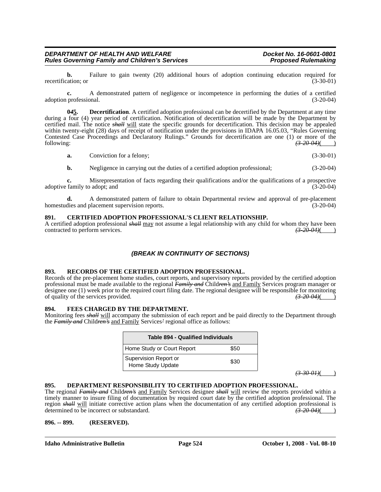**b.** Failure to gain twenty (20) additional hours of adoption continuing education required for (3-30-01) (3-30-01) recertification; or

**c.** A demonstrated pattern of negligence or incompetence in performing the duties of a certified adoption professional. (3-20-04)

**0***4***5. Decertification**. A certified adoption professional can be decertified by the Department at any time during a four (4) year period of certification. Notification of decertification will be made by the Department by certified mail. The notice *shall* will state the specific grounds for decertification. This decision may be appealed within twenty-eight (28) days of receipt of notification under the provisions in IDAPA 16.05.03, "Rules Governing Contested Case Proceedings and Declaratory Rulings." Grounds for decertification are one (1) or more of the following: following: *(3-20-04)*( )

| a. | Conviction for a felony: |  | $(3-30-01)$ |
|----|--------------------------|--|-------------|
|----|--------------------------|--|-------------|

**b.** Negligence in carrying out the duties of a certified adoption professional; (3-20-04)

**c.** Misrepresentation of facts regarding their qualifications and/or the qualifications of a prospective adoptive family to adopt; and (3-20-04)  $(3-20-04)$ 

**d.** A demonstrated pattern of failure to obtain Departmental review and approval of pre-placement dies and placement supervision reports. (3-20-04) homestudies and placement supervision reports.

#### **891. CERTIFIED ADOPTION PROFESSIONAL'S CLIENT RELATIONSHIP.**

A certified adoption professional *shall* may not assume a legal relationship with any child for whom they have been contracted to perform services. contracted to perform services.

# *(BREAK IN CONTINUITY OF SECTIONS)*

#### **893. RECORDS OF THE CERTIFIED ADOPTION PROFESSIONAL.**

Records of the pre-placement home studies, court reports, and supervisory reports provided by the certified adoption professional must be made available to the regional *Family and* Child*ren's* and Family Services program manager or designee one (1) week prior to the required court filing date. The regional designee will be responsible for monitoring of quality of the services provided. of quality of the services provided. *(3-20-04)*( )

### **894. FEES CHARGED BY THE DEPARTMENT.**

Monitoring fees *shall* will accompany the submission of each report and be paid directly to the Department through the *Family and* Child*ren's* and Family Services*'* regional office as follows:

| <b>Table 894 - Qualified Individuals</b>           |      |  |
|----------------------------------------------------|------|--|
| Home Study or Court Report                         | \$50 |  |
| Supervision Report or<br>\$30<br>Home Study Update |      |  |

*(3-30-01)*( )

#### **895. DEPARTMENT RESPONSIBILITY TO CERTIFIED ADOPTION PROFESSIONAL.**

The regional *Family and* Child*ren's* and Family Services designee *shall* will review the reports provided within a timely manner to insure filing of documentation by required court date by the certified adoption professional. The region *shall* will initiate corrective action plans when the documentation of any certified adoption professional is determined to be incorrect or substandard. determined to be incorrect or substandard.

#### **896. -- 899. (RESERVED).**

**Idaho Administrative Bulletin Page 524 October 1, 2008 - Vol. 08-10**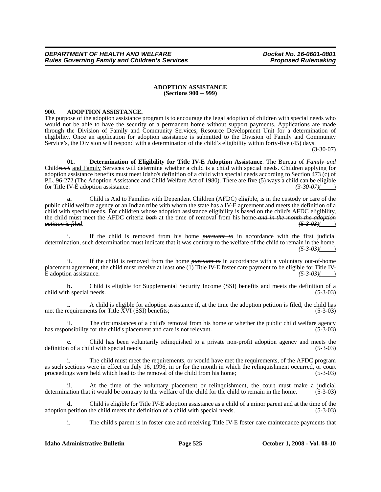#### **ADOPTION ASSISTANCE (Sections 900 -- 999)**

## **900. ADOPTION ASSISTANCE.**

The purpose of the adoption assistance program is to encourage the legal adoption of children with special needs who would not be able to have the security of a permanent home without support payments. Applications are made through the Division of Family and Community Services, Resource Development Unit for a determination of eligibility. Once an application for adoption assistance is submitted to the Division of Family and Community Service's, the Division will respond with a determination of the child's eligibility within forty-five (45) days.

(3-30-07)

**01. Determination of Eligibility for Title IV-E Adoption Assistance**. The Bureau of *Family and* Child*ren's* and Family Services will determine whether a child is a child with special needs. Children applying for adoption assistance benefits must meet Idaho's definition of a child with special needs according to Section 473 (c) of P.L. 96-272 (The Adoption Assistance and Child Welfare Act of 1980). There are five (5) ways a child can be eligible for Title IV-E adoption assistance: *(3-30-07)*( )

**a.** Child is Aid to Families with Dependent Children (AFDC) eligible, is in the custody or care of the public child welfare agency or an Indian tribe with whom the state has a IV-E agreement and meets the definition of a child with special needs. For children whose adoption assistance eligibility is based on the child's AFDC eligibility, the child must meet the AFDC criteria *both* at the time of removal from his home *and in the month the adoption petition is filed.* 

i. If the child is removed from his home *pursuant to* in accordance with the first judicial determination, such determination must indicate that it was contrary to the welfare of the child to remain in the home. *(5-3-03)*( )

ii. If the child is removed from the home *pursuant to* in accordance with a voluntary out-of-home placement agreement, the child must receive at least one (1) Title IV-E foster care payment to be eligible for Title IV-E adoption assistance.  $\left(5-3-03\right)$ 

**b.** Child is eligible for Supplemental Security Income (SSI) benefits and meets the definition of a child with special needs. (5-3-03)

i. A child is eligible for adoption assistance if, at the time the adoption petition is filed, the child has met the requirements for Title XVI (SSI) benefits; (5-3-03)

ii. The circumstances of a child's removal from his home or whether the public child welfare agency has responsibility for the child's placement and care is not relevant. (5-3-03)

**c.** Child has been voluntarily relinquished to a private non-profit adoption agency and meets the definition of a child with special needs. (5-3-03)

i. The child must meet the requirements, or would have met the requirements, of the AFDC program as such sections were in effect on July 16, 1996, in or for the month in which the relinquishment occurred, or court proceedings were held which lead to the removal of the child from his home; (5-3-03) proceedings were held which lead to the removal of the child from his home;

ii. At the time of the voluntary placement or relinquishment, the court must make a judicial determination that it would be contrary to the welfare of the child for the child to remain in the home. (5-3-03)

**d.** Child is eligible for Title IV-E adoption assistance as a child of a minor parent and at the time of the petition the child meets the definition of a child with special needs. (5-3-03) adoption petition the child meets the definition of a child with special needs.

i. The child's parent is in foster care and receiving Title IV-E foster care maintenance payments that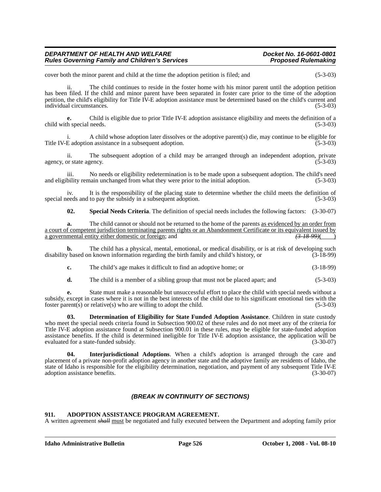| DEPARTMENT OF HEALTH AND WELFARE                      | Docket No. 16-0601-0801    |
|-------------------------------------------------------|----------------------------|
| <b>Rules Governing Family and Children's Services</b> | <b>Proposed Rulemaking</b> |

cover both the minor parent and child at the time the adoption petition is filed; and (5-3-03)

ii. The child continues to reside in the foster home with his minor parent until the adoption petition has been filed. If the child and minor parent have been separated in foster care prior to the time of the adoption petition, the child's eligibility for Title IV-E adoption assistance must be determined based on the child's current and individual circumstances. (5-3-03)

**e.** Child is eligible due to prior Title IV-E adoption assistance eligibility and meets the definition of a child with special needs. (5-3-03) (5-3-03)

i. A child whose adoption later dissolves or the adoptive parent(s) die, may continue to be eligible for Title IV-E adoption assistance in a subsequent adoption. (5-3-03)

ii. The subsequent adoption of a child may be arranged through an independent adoption, private agency, or state agency. (5-3-03)

iii. No needs or eligibility redetermination is to be made upon a subsequent adoption. The child's need and eligibility remain unchanged from what they were prior to the initial adoption. (5-3-03)

iv. It is the responsibility of the placing state to determine whether the child meets the definition of special needs and to pay the subsidy in a subsequent adoption. (5-3-03)

**02. Special Needs Criteria**. The definition of special needs includes the following factors: (3-30-07)

**a.** The child cannot or should not be returned to the home of the parents <u>as evidenced by an order from</u> a court of competent jurisdiction terminating parents rights or an Abandonment Certificate or its equivalent issued by a governmental entity either domestic or foreign; and *(3-18-99)*( )

**b.** The child has a physical, mental, emotional, or medical disability, or is at risk of developing such disability based on known information regarding the birth family and child's history, or (3-18-99)

**c.** The child's age makes it difficult to find an adoptive home; or (3-18-99)

**d.** The child is a member of a sibling group that must not be placed apart; and  $(5-3-03)$ 

**e.** State must make a reasonable but unsuccessful effort to place the child with special needs without a subsidy, except in cases where it is not in the best interests of the child due to his significant emotional ties with the foster parent(s) or relative(s) who are willing to adopt the child.  $(5-3-03)$ 

**03. Determination of Eligibility for State Funded Adoption Assistance**. Children in state custody who meet the special needs criteria found in Subsection 900.02 of these rules and do not meet any of the criteria for Title IV-E adoption assistance found at Subsection 900.01 in these rules, may be eligible for state-funded adoption assistance benefits. If the child is determined ineligible for Title IV-E adoption assistance, the application will be evaluated for a state-funded subsidy. (3-30-07)

**04. Interjurisdictional Adoptions**. When a child's adoption is arranged through the care and placement of a private non-profit adoption agency in another state and the adoptive family are residents of Idaho, the state of Idaho is responsible for the eligibility determination, negotiation, and payment of any subsequent Title IV-E adoption assistance benefits. (3-30-07)

# *(BREAK IN CONTINUITY OF SECTIONS)*

# **911. ADOPTION ASSISTANCE PROGRAM AGREEMENT.**

A written agreement *shall* must be negotiated and fully executed between the Department and adopting family prior